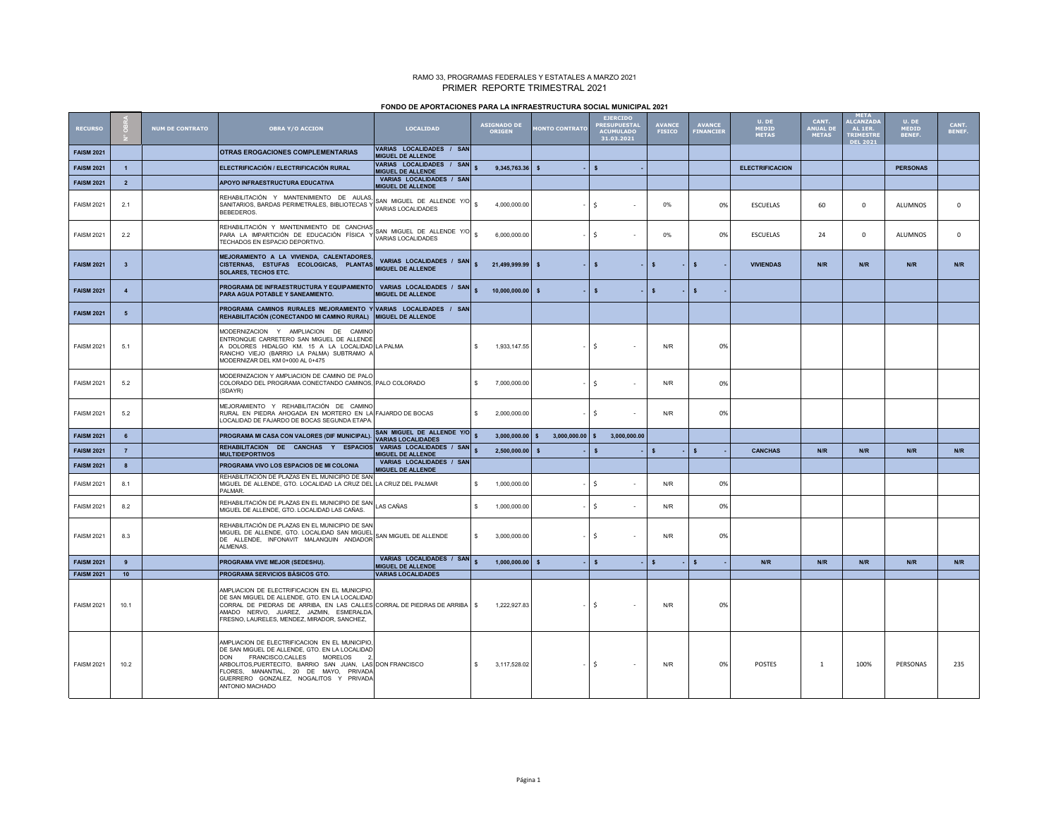## RAMO 33, PROGRAMAS FEDERALES Y ESTATALES A MARZO 2021 PRIMER REPORTE TRIMESTRAL 2021

| FONDO DE APORTACIONES PARA LA INFRAESTRUCTURA SOCIAL MUNICIPAL 2021 |  |
|---------------------------------------------------------------------|--|
|---------------------------------------------------------------------|--|

| <b>RECURSO</b>    |                         | <b>NUM DE CONTRATO</b> | <b>OBRA Y/O ACCION</b>                                                                                                                                                                                                                                                                                                  | <b>LOCALIDAD</b>                                       |                    | <b>ASIGNADO DE</b><br>ORIGEN | <b>IONTO CONTRATO</b>             | <b>EJERCIDO</b><br><b>RESUPUESTA</b><br>ACUMULADO<br>31.03.2021 |              | <b>AVANCE</b><br><b>FISICO</b> | <b>AVANCE</b><br>FINANCIER | U. DE<br><b>MEDID</b><br><b>METAS</b> | CANT.<br><b>ANUAL DE</b><br><b>METAS</b> | <b>META</b><br><b>ALCANZAD</b><br>AL 1ER.<br><b>TRIMESTR</b><br><b>DEL 2021</b> | U. DE<br><b>MEDID</b><br><b>BENEF.</b> | CANT.<br>BENEF. |
|-------------------|-------------------------|------------------------|-------------------------------------------------------------------------------------------------------------------------------------------------------------------------------------------------------------------------------------------------------------------------------------------------------------------------|--------------------------------------------------------|--------------------|------------------------------|-----------------------------------|-----------------------------------------------------------------|--------------|--------------------------------|----------------------------|---------------------------------------|------------------------------------------|---------------------------------------------------------------------------------|----------------------------------------|-----------------|
| <b>FAISM 2021</b> |                         |                        | <b>OTRAS EROGACIONES COMPLEMENTARIAS</b>                                                                                                                                                                                                                                                                                | VARIAS LOCALIDADES / SAN<br>MIGUEL DE ALLENDE          |                    |                              |                                   |                                                                 |              |                                |                            |                                       |                                          |                                                                                 |                                        |                 |
| <b>FAISM 2021</b> | $\overline{1}$          |                        | ELECTRIFICACIÓN / ELECTRIFICACIÓN RURAL                                                                                                                                                                                                                                                                                 | VARIAS LOCALIDADES / SAN<br><b>MIGUEL DE ALLENDE</b>   |                    | 9.345.763.36                 | $\mathbf{s}$                      | $\mathbf{s}$                                                    |              |                                |                            | <b>ELECTRIFICACION</b>                |                                          |                                                                                 | <b>PERSONAS</b>                        |                 |
| <b>FAISM 2021</b> | $\overline{2}$          |                        | <b>APOYO INFRAESTRUCTURA EDUCATIVA</b>                                                                                                                                                                                                                                                                                  | VARIAS LOCALIDADES / SAN<br>MIGUEL DE ALLENDE          |                    |                              |                                   |                                                                 |              |                                |                            |                                       |                                          |                                                                                 |                                        |                 |
| <b>FAISM 2021</b> | 2.1                     |                        | REHABILITACIÓN Y MANTENIMIENTO DE AULAS,<br>SANITARIOS, BARDAS PERIMETRALES, BIBLIOTECAS Y<br>BEBEDEROS.                                                                                                                                                                                                                | SAN MIGUEL DE ALLENDE Y/O<br>VARIAS LOCALIDADES        | $\hat{\mathbf{x}}$ | 4.000.000.00                 |                                   | $\mathsf{s}$                                                    |              | 0%                             | 0%                         | <b>ESCUELAS</b>                       | 60                                       | $\mathbf 0$                                                                     | <b>ALUMNOS</b>                         | $\mathbf 0$     |
| <b>FAISM 2021</b> | 2.2                     |                        | REHABILITACIÓN Y MANTENIMIENTO DE CANCHAS<br>PARA LA IMPARTICIÓN DE EDUCACIÓN FÍSICA Y<br>TECHADOS EN ESPACIO DEPORTIVO.                                                                                                                                                                                                | SAN MIGUEL DE ALLENDE Y/O<br><b>VARIAS LOCALIDADES</b> | \$.                | 6.000.000.00                 |                                   | -Ś                                                              | $\sim$       | 0%                             | 0%                         | <b>ESCUELAS</b>                       | 24                                       | $\mathbf 0$                                                                     | <b>ALUMNOS</b>                         | $\mathbf 0$     |
| <b>FAISM 2021</b> | $\overline{\mathbf{3}}$ |                        | MEJORAMIENTO A LA VIVIENDA, CALENTADORES<br>CISTERNAS, ESTUFAS ECOLOGICAS, PLANTAS<br><b>SOLARES, TECHOS ETC.</b>                                                                                                                                                                                                       | VARIAS LOCALIDADES / SAN<br><b>MIGUEL DE ALLENDE</b>   |                    | 21,499,999.99                | $\mathbf{s}$                      | $\mathbf{s}$                                                    |              | $\mathbf{s}$                   | $\mathbf{s}$               | <b>VIVIENDAS</b>                      | N/R                                      | N/R                                                                             | N/R                                    | N/R             |
| <b>FAISM 2021</b> | $\overline{4}$          |                        | PROGRAMA DE INFRAESTRUCTURA Y EQUIPAMIENTO<br>PARA AGUA POTABLE Y SANEAMIENTO.                                                                                                                                                                                                                                          | VARIAS LOCALIDADES / SAN<br><b>MIGUEL DE ALLENDE</b>   |                    | 10.000.000.00                | $\mathbf{s}$                      | $\mathbf{s}$                                                    |              | $\mathbf{s}$                   | \$.                        |                                       |                                          |                                                                                 |                                        |                 |
| <b>FAISM 2021</b> | 5                       |                        | PROGRAMA CAMINOS RURALES MEJORAMIENTO Y VARIAS LOCALIDADES / SAN<br>REHABILITACIÓN (CONECTANDO MI CAMINO RURAL)                                                                                                                                                                                                         | <b>MIGUEL DE ALLENDE</b>                               |                    |                              |                                   |                                                                 |              |                                |                            |                                       |                                          |                                                                                 |                                        |                 |
| <b>FAISM 2021</b> | 5.1                     |                        | MODERNIZACION Y AMPLIACION DE CAMINO<br>ENTRONQUE CARRETERO SAN MIGUEL DE ALLENDE<br>A DOLORES HIDALGO KM. 15 A LA LOCALIDAD LA PALMA<br>RANCHO VIEJO (BARRIO LA PALMA) SUBTRAMO A<br>MODERNIZAR DEL KM 0+000 AL 0+475                                                                                                  |                                                        | $\mathbb{S}$       | 1,933,147.55                 |                                   | Ŝ                                                               | п.           | N/R                            | 0%                         |                                       |                                          |                                                                                 |                                        |                 |
| <b>FAISM 2021</b> | 5.2                     |                        | MODERNIZACION Y AMPLIACION DE CAMINO DE PALO<br>COLORADO DEL PROGRAMA CONECTANDO CAMINOS, PALO COLORADO<br>(SDAYR)                                                                                                                                                                                                      |                                                        | \$                 | 7,000,000.00                 |                                   | .s                                                              | $\sim$       | N/R                            | 0%                         |                                       |                                          |                                                                                 |                                        |                 |
| <b>FAISM 2021</b> | 5.2                     |                        | MEJORAMIENTO Y REHABILITACIÓN DE CAMINO<br>RURAL EN PIEDRA AHOGADA EN MORTERO EN LA FAJARDO DE BOCAS<br>LOCALIDAD DE FAJARDO DE BOCAS SEGUNDA ETAPA                                                                                                                                                                     |                                                        | s.                 | 2,000,000.00                 |                                   | .s                                                              | $\sim$       | N/R                            | 0%                         |                                       |                                          |                                                                                 |                                        |                 |
| <b>FAISM 2021</b> | $6\overline{6}$         |                        | PROGRAMA MI CASA CON VALORES (DIF MUNICIPAL).                                                                                                                                                                                                                                                                           | SAN MIGUEL DE ALLENDE Y/O<br><b>VARIAS LOCALIDADES</b> |                    | 3,000,000.00                 | $3,000,000.00$ \$<br>$\mathbf{s}$ |                                                                 | 3,000,000.00 |                                |                            |                                       |                                          |                                                                                 |                                        |                 |
| <b>FAISM 2021</b> | $\overline{7}$          |                        | REHABILITACION DE CANCHAS Y ESPACIOS<br><b>MULTIDEPORTIVOS</b>                                                                                                                                                                                                                                                          | VARIAS LOCALIDADES / SAN<br><b>MIGUEL DE ALLENDE</b>   |                    | 2,500,000.00                 | $\mathbf{s}$                      | <b>s</b>                                                        |              | $\mathsf{s}$                   | $\mathbf{s}$               | <b>CANCHAS</b>                        | N/R                                      | N/R                                                                             | N/R                                    | N/R             |
| <b>FAISM 2021</b> | 8                       |                        | PROGRAMA VIVO LOS ESPACIOS DE MI COLONIA                                                                                                                                                                                                                                                                                | VARIAS LOCALIDADES / SAN<br><b>MIGUEL DE ALLENDE</b>   |                    |                              |                                   |                                                                 |              |                                |                            |                                       |                                          |                                                                                 |                                        |                 |
| <b>FAISM 2021</b> | 8.1                     |                        | REHABILITACIÓN DE PLAZAS EN EL MUNICIPIO DE SAN<br>MIGUEL DE ALLENDE, GTO. LOCALIDAD LA CRUZ DEL LA CRUZ DEL PALMAR<br>PALMAR.                                                                                                                                                                                          |                                                        | \$.                | 1,000,000.00                 |                                   | -Ś                                                              | $\sim$       | N/R                            | 0%                         |                                       |                                          |                                                                                 |                                        |                 |
| <b>FAISM 2021</b> | 8.2                     |                        | REHABILITACIÓN DE PLAZAS EN EL MUNICIPIO DE SAN<br>MIGUEL DE ALLENDE, GTO. LOCALIDAD LAS CAÑAS.                                                                                                                                                                                                                         | LAS CAÑAS                                              | \$                 | 1,000,000.00                 |                                   | Ś                                                               | $\sim$       | N/R                            | 0%                         |                                       |                                          |                                                                                 |                                        |                 |
| <b>FAISM 2021</b> | 8.3                     |                        | REHABILITACIÓN DE PLAZAS EN EL MUNICIPIO DE SAN<br>MIGUEL DE ALLENDE. GTO. LOCALIDAD SAN MIGUEL<br>DE ALLENDE, INFONAVIT MALANQUIN ANDADOR<br>ALMENAS.                                                                                                                                                                  | SAN MIGUEL DE ALLENDE                                  | $\mathbf{s}$       | 3,000,000.00                 |                                   | -Ś                                                              | ÷,           | N/R                            | 0%                         |                                       |                                          |                                                                                 |                                        |                 |
| <b>FAISM 2021</b> | 9                       |                        | PROGRAMA VIVE MEJOR (SEDESHU).                                                                                                                                                                                                                                                                                          | VARIAS LOCALIDADES / SAN<br><b>MIGUEL DE ALLENDE</b>   |                    | 1,000,000.00                 | $\mathbf{s}$                      | $\mathbf{s}$                                                    |              | s                              | $\mathbf{s}$               | N/R                                   | N/R                                      | N/R                                                                             | N/R                                    | N/R             |
| <b>FAISM 2021</b> | $10$                    |                        | PROGRAMA SERVICIOS BÁSICOS GTO.                                                                                                                                                                                                                                                                                         | <b>VARIAS LOCALIDADES</b>                              |                    |                              |                                   |                                                                 |              |                                |                            |                                       |                                          |                                                                                 |                                        |                 |
| <b>FAISM 2021</b> | 10.1                    |                        | AMPLIACION DE ELECTRIFICACION EN EL MUNICIPIO<br>DE SAN MIGUEL DE ALLENDE, GTO. EN LA LOCALIDAD<br>CORRAL DE PIEDRAS DE ARRIBA. EN LAS CALLES CORRAL DE PIEDRAS DE ARRIBA I \$<br>AMADO NERVO, JUAREZ, JAZMIN, ESMERALDA<br>FRESNO, LAURELES, MENDEZ, MIRADOR, SANCHEZ,                                                 |                                                        |                    | 1.222.927.83                 |                                   | -S                                                              | $\sim$       | N/R                            | 0%                         |                                       |                                          |                                                                                 |                                        |                 |
| <b>FAISM 2021</b> | 10.2                    |                        | AMPLIACION DE ELECTRIFICACION EN EL MUNICIPIO<br>DE SAN MIGUEL DE ALLENDE, GTO. EN LA LOCALIDAD<br><b>DON</b><br>FRANCISCO.CALLES<br><b>MORELOS</b><br>ARBOLITOS, PUERTECITO, BARRIO SAN JUAN, LAS DON FRANCISCO<br>FLORES, MANANTIAL, 20 DE MAYO, PRIVADA<br>GUERRERO GONZALEZ. NOGALITOS Y PRIVADA<br>ANTONIO MACHADO |                                                        | \$                 | 3,117,528.02                 |                                   | Ŝ.                                                              | $\sim$       | N/R                            | 0%                         | <b>POSTES</b>                         | 1                                        | 100%                                                                            | PERSONAS                               | 235             |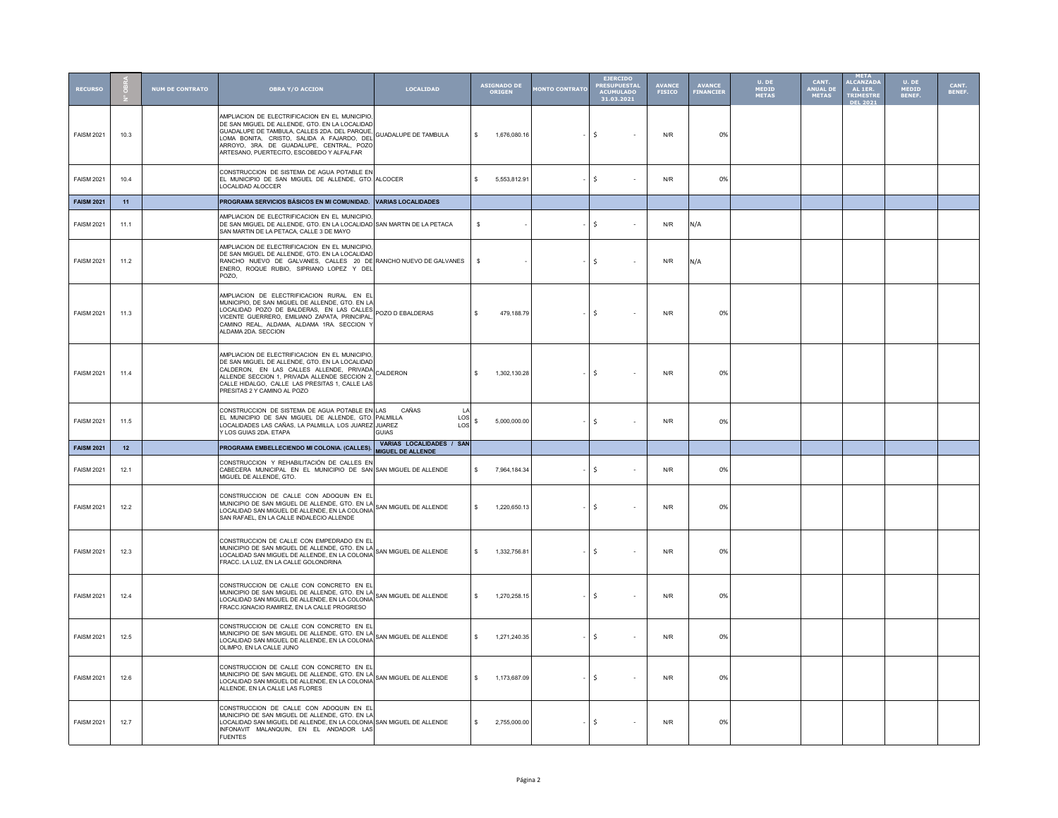| <b>RECURSO</b>    |      | <b>NUM DE CONTRATO</b> | <b>OBRA Y/O ACCION</b>                                                                                                                                                                                                                                                                 | <b>LOCALIDAD</b>                                         | <b>ASIGNADO DE<br/>ORIGEN</b> | <b>ONTO CONTRATO</b> | <b>EJERCIDO</b><br>PRESUPUESTA <mark>I</mark><br>ACUMULADO<br>31.03.2021 | <b>AVANCE</b><br>FISICO | <b>AVANCE</b><br>FINANCIER | U. DE<br><b>MEDID</b><br>METAS | CANT.<br>ANUAL DI<br><b>METAS</b> | META<br>ALCANZAD/<br>AL 1ER.<br><b>TRIMESTR</b><br><b>DEL 2021</b> | U. DE<br>MEDID<br>BENEF. | CANT.<br>BENEF. |
|-------------------|------|------------------------|----------------------------------------------------------------------------------------------------------------------------------------------------------------------------------------------------------------------------------------------------------------------------------------|----------------------------------------------------------|-------------------------------|----------------------|--------------------------------------------------------------------------|-------------------------|----------------------------|--------------------------------|-----------------------------------|--------------------------------------------------------------------|--------------------------|-----------------|
| <b>FAISM 2021</b> | 10.3 |                        | AMPLIACION DE ELECTRIFICACION EN EL MUNICIPIO<br>DE SAN MIGUEL DE ALLENDE, GTO. EN LA LOCALIDAD<br>GUADALUPE DE TAMBULA, CALLES 2DA. DEL PARQUE<br>LOMA BONITA, CRISTO, SALIDA A FAJARDO, DEL<br>ARROYO, 3RA, DE GUADALUPE, CENTRAL, POZO<br>ARTESANO, PUERTECITO, ESCOBEDO Y ALFALFAR | <b>GUADALUPE DE TAMBULA</b>                              | s.<br>1.676.080.16            |                      | <b>S</b><br>$\sim$                                                       | N/R                     | 0%                         |                                |                                   |                                                                    |                          |                 |
| <b>FAISM 2021</b> | 10.4 |                        | CONSTRUCCION DE SISTEMA DE AGUA POTABLE EN<br>EL MUNICIPIO DE SAN MIGUEL DE ALLENDE, GTO. ALCOCER<br>LOCALIDAD ALOCCER                                                                                                                                                                 |                                                          | s.<br>5,553,812.91            |                      | $\frac{1}{2}$<br>$\sim$                                                  | N/R                     | 0%                         |                                |                                   |                                                                    |                          |                 |
| <b>FAISM 2021</b> | 11   |                        | PROGRAMA SERVICIOS BÁSICOS EN MI COMUNIDAD.                                                                                                                                                                                                                                            | <b>VARIAS LOCALIDADES</b>                                |                               |                      |                                                                          |                         |                            |                                |                                   |                                                                    |                          |                 |
| <b>FAISM 2021</b> | 11.1 |                        | AMPLIACION DE ELECTRIFICACION EN EL MUNICIPIO<br>DE SAN MIGUEL DE ALLENDE. GTO. EN LA LOCALIDAD SAN MARTIN DE LA PETACA<br>SAN MARTIN DE LA PETACA, CALLE 3 DE MAYO                                                                                                                    |                                                          | - S                           |                      | ۱s<br>$\sim$                                                             | N/R                     | N/A                        |                                |                                   |                                                                    |                          |                 |
| <b>FAISM 2021</b> | 11.2 |                        | AMPLIACION DE ELECTRIFICACION EN EL MUNICIPIO<br>DE SAN MIGUEL DE ALLENDE, GTO. EN LA LOCALIDAD<br>RANCHO NUEVO DE GALVANES, CALLES 20 DE RANCHO NUEVO DE GALVANES<br>ENERO, ROQUE RUBIO, SIPRIANO LOPEZ Y DEL<br>POZO.                                                                |                                                          | s                             |                      | l\$<br>÷,                                                                | N/R                     | N/A                        |                                |                                   |                                                                    |                          |                 |
| <b>FAISM 2021</b> | 11.3 |                        | AMPLIACION DE ELECTRIFICACION RURAL EN EL<br>MUNICIPIO. DE SAN MIGUEL DE ALLENDE, GTO, EN LA<br>LOCALIDAD POZO DE BALDERAS. EN LAS CALLES<br>VICENTE GUERRERO, EMILIANO ZAPATA, PRINCIPAL<br>CAMINO REAL, ALDAMA, ALDAMA 1RA. SECCION Y<br>ALDAMA 2DA. SECCION                         | POZO D EBALDERAS                                         | s.<br>479,188.79              |                      | ۱s<br>$\overline{\phantom{a}}$                                           | N/R                     | 0%                         |                                |                                   |                                                                    |                          |                 |
| <b>FAISM 2021</b> | 11.4 |                        | AMPLIACION DE ELECTRIFICACION EN EL MUNICIPIO<br>DE SAN MIGUEL DE ALLENDE, GTO. EN LA LOCALIDAD<br>CALDERON, EN LAS CALLES ALLENDE, PRIVADA<br>ALLENDE SECCION 1. PRIVADA ALLENDE SECCION 2<br>CALLE HIDALGO, CALLE LAS PRESITAS 1, CALLE LAS<br>PRESITAS 2 Y CAMINO AL POZO           | CALDERON                                                 | $\mathbf{s}$<br>1,302,130.28  |                      | l\$<br>$\sim$                                                            | N/R                     | 0%                         |                                |                                   |                                                                    |                          |                 |
| <b>FAISM 2021</b> | 11.5 |                        | CONSTRUCCION DE SISTEMA DE AGUA POTABLE EN LAS<br>EL MUNICIPIO DE SAN MIGUEL DE ALLENDE, GTO. PALMILLA<br>LOCALIDADES LAS CAÑAS, LA PALMILLA, LOS JUAREZ<br>Y LOS GUIAS 2DA. ETAPA                                                                                                     | CAÑAS<br>$\perp$<br>LOS<br><b>JUAREZ</b><br>LOS<br>GUIAS | 5,000,000.00<br>s.            |                      | $\mathsf{S}$<br>$\overline{\phantom{a}}$                                 | N/R                     | 0%                         |                                |                                   |                                                                    |                          |                 |
| <b>FAISM 2021</b> | 12   |                        | PROGRAMA EMBELLECIENDO MI COLONIA. (CALLES).                                                                                                                                                                                                                                           | VARIAS LOCALIDADES / SAN<br>MIGUEL DE ALLENDE            |                               |                      |                                                                          |                         |                            |                                |                                   |                                                                    |                          |                 |
| <b>FAISM 2021</b> | 12.1 |                        | CONSTRUCCION Y REHABILITACIÓN DE CALLES EN<br>CABECERA MUNICIPAL EN EL MUNICIPIO DE SAN SAN MIGUEL DE ALLENDE<br>MIGUEL DE ALLENDE, GTO.                                                                                                                                               |                                                          | 7,964,184.34<br>\$.           |                      | \$<br>$\overline{\phantom{a}}$                                           | N/R                     | 0%                         |                                |                                   |                                                                    |                          |                 |
| <b>FAISM 2021</b> | 12.2 |                        | CONSTRUCCION DE CALLE CON ADOQUIN EN EL<br>MUNICIPIO DE SAN MIGUEL DE ALLENDE, GTO. EN LA<br>MUNICIPIO DE SAN MIGUEL DE ALLENDE, GTO. EN LA SAN MIGUEL DE ALLENDE<br>LOCALIDAD SAN MIGUEL DE ALLENDE, EN LA COLONIA<br>SAN RAFAEL, EN LA CALLE INDALECIO ALLENDE                       |                                                          | s.<br>1.220.650.13            |                      | 5<br>$\sim$                                                              | N/R                     | 0%                         |                                |                                   |                                                                    |                          |                 |
| <b>FAISM 2021</b> | 12.3 |                        | CONSTRUCCION DE CALLE CON EMPEDRADO EN EL<br>MUNICIPIO DE SAN MIGUEL DE ALLENDE, GTO. EN LA<br>MUNICIPIO DE SAN MIGUEL DE CHEC CHARLA COLONIA SAN MIGUEL DE ALLENDE<br>LOCALIDAD SAN MIGUEL DE ALLENDE, EN LA COLONIA<br>FRACC. LA LUZ, EN LA CALLE GOLONDRINA                         |                                                          | $\mathbf{s}$<br>1,332,756.81  |                      | -\$<br>$\sim$                                                            | N/R                     | 0%                         |                                |                                   |                                                                    |                          |                 |
| <b>FAISM 2021</b> | 12.4 |                        | CONSTRUCCION DE CALLE CON CONCRETO EN EL<br>MUNICIPIO DE SAN MIGUEL DE ALLENDE, GTO, EN LA<br>LOCALIDAD SAN MIGUEL DE ALLENDE, EN LA COLONIA<br>FRACC.IGNACIO RAMIREZ, EN LA CALLE PROGRESO                                                                                            | SAN MIGUEL DE ALLENDE                                    | \$<br>1,270,258.15            |                      | -\$<br>$\overline{\phantom{a}}$                                          | N/R                     | 0%                         |                                |                                   |                                                                    |                          |                 |
| <b>FAISM 2021</b> | 12.5 |                        | CONSTRUCCION DE CALLE CON CONCRETO EN EL<br>MUNICIPIO DE SAN MIGUEL DE ALLENDE, GTO. EN LA<br>MUNICIPIO DE SAN MIGUEL DE ALLENDE, GTO. EN LA SAN MIGUEL DE ALLENDE<br>LOCALIDAD SAN MIGUEL DE ALLENDE, EN LA COLONIA<br>OLIMPO, EN LA CALLE JUNO                                       |                                                          | 1,271,240.35<br>s.            |                      | l s<br>$\sim$                                                            | N/R                     | 0%                         |                                |                                   |                                                                    |                          |                 |
| <b>FAISM 2021</b> | 12.6 |                        | CONSTRUCCION DE CALLE CON CONCRETO EN EL<br>MUNICIPIO DE SAN MIGUEL DE ALLENDE, GTO. EN LA<br>LOCALIDAD SAN MIGUEL DE ALLENDE, EN LA COLONIA<br>ALLENDE, EN LA CALLE LAS FLORES                                                                                                        |                                                          | \$<br>1.173.687.09            |                      | 5<br>$\overline{\phantom{a}}$                                            | N/R                     | 0%                         |                                |                                   |                                                                    |                          |                 |
| <b>FAISM 2021</b> | 12.7 |                        | CONSTRUCCION DE CALLE CON ADOQUIN EN EL<br>MUNICIPIO DE SAN MIGUEL DE ALLENDE, GTO. EN LA<br>LOCALIDAD SAN MIGUEL DE ALLENDE, EN LA COLONIA SAN MIGUEL DE ALLENDE<br>INFONAVIT MALANQUIN, EN EL ANDADOR LAS<br><b>FUENTES</b>                                                          |                                                          | 2,755,000.00<br>$\mathbf{s}$  |                      | $\mathsf{S}$<br>$\sim$                                                   | N/R                     | 0%                         |                                |                                   |                                                                    |                          |                 |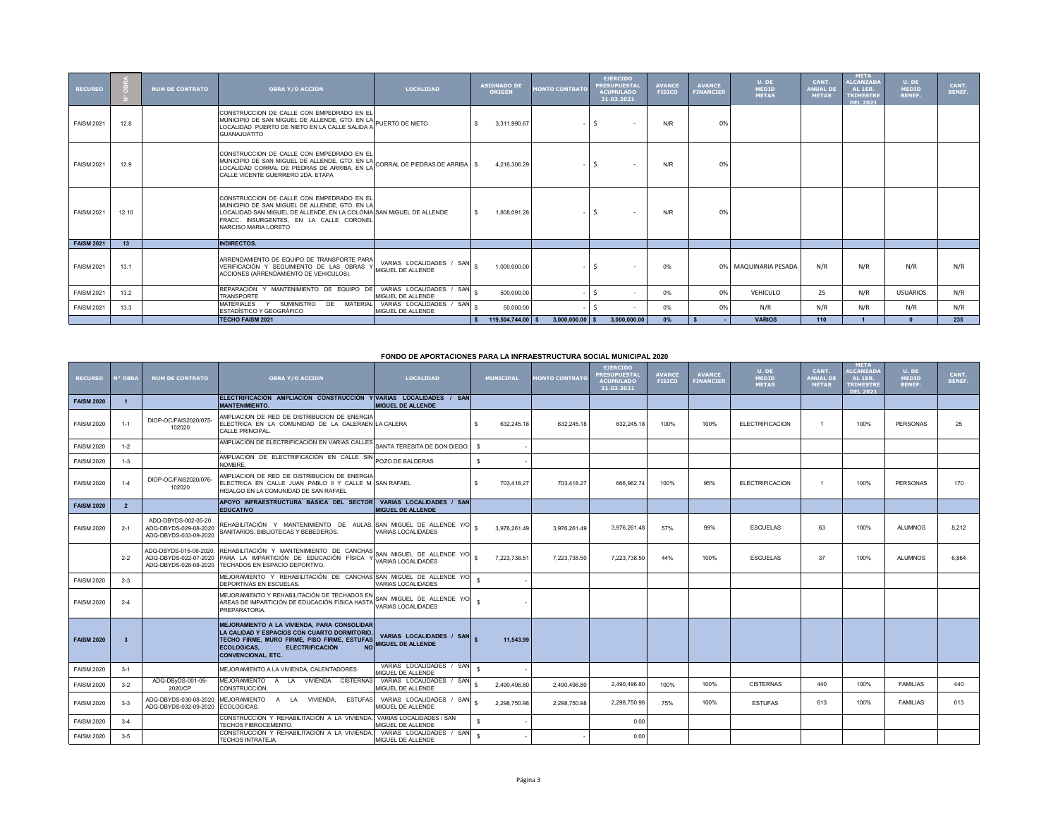| <b>RECURSO</b>    |       | <b>NUM DE CONTRATO</b> | <b>OBRA Y/O ACCION</b>                                                                                                                                                                                                                 | <b>LOCALTDAD</b>                              | <b>ASIGNADO DE</b><br><b>ORIGEN</b> | <b>MONTO CONTRATO</b> | <b>EJERCIDO</b><br>PRESUPUESTAL<br><b>ACUMULADO</b><br>31.03.2021 | <b>AVANCE</b><br><b>FISICO</b> | <b>AVANCE</b><br><b>FINANCIER</b> | U. DE<br><b>MEDID</b><br><b>METAS</b> | CANT.<br><b>ANUAL DE</b><br><b>METAS</b> | <b>META</b><br><b>ALCANZADA</b><br>AL 1ER.<br><b>TRIMESTRE</b><br><b>DEL 2021</b> | U. DE<br><b>MEDID</b><br><b>BENEF.</b> | CANT.<br>BENEF. |
|-------------------|-------|------------------------|----------------------------------------------------------------------------------------------------------------------------------------------------------------------------------------------------------------------------------------|-----------------------------------------------|-------------------------------------|-----------------------|-------------------------------------------------------------------|--------------------------------|-----------------------------------|---------------------------------------|------------------------------------------|-----------------------------------------------------------------------------------|----------------------------------------|-----------------|
| <b>FAISM 2021</b> | 12.8  |                        | CONSTRUCCION DE CALLE CON EMPEDRADO EN EL<br>MUNICIPIO DE SAN MIGUEL DE ALLENDE, GTO. EN LA PUERTO DE NIETO<br>LOCALIDAD, PUERTO DE NIETO EN LA CALLE SALIDA A<br><b>GUANAJUATITO</b>                                                  |                                               | 3.311.990.67                        |                       | $\sim$                                                            | N/R                            | 0%                                |                                       |                                          |                                                                                   |                                        |                 |
| <b>FAISM 2021</b> | 12.9  |                        | CONSTRUCCION DE CALLE CON EMPEDRADO EN EL<br>MUNICIPIO DE SAN MIGUEL DE ALLENDE, GTO. EN LA CORRAL DE PIEDRAS DE ARRIBA   \$<br>LOCALIDAD CORRAL DE PIEDRAS DE ARRIBA. EN LA<br>CALLE VICENTE GUERRERO 2DA, ETAPA                      |                                               | 4.216.306.29                        |                       | $\sim$                                                            | N/R                            | 0%                                |                                       |                                          |                                                                                   |                                        |                 |
| <b>FAISM 2021</b> | 12.10 |                        | CONSTRUCCION DE CALLE CON EMPEDRADO EN EL<br>MUNICIPIO DE SAN MIGUEL DE ALLENDE. GTO. EN LA<br>LOCALIDAD SAN MIGUEL DE ALLENDE, EN LA COLONIA SAN MIGUEL DE ALLENDE<br>FRACC. INSURGENTES. EN LA CALLE CORONEL<br>NARCISO MARIA LORETO |                                               | 1.808.091.28                        |                       | $\sim$                                                            | N/R                            | 0%                                |                                       |                                          |                                                                                   |                                        |                 |
| <b>FAISM 2021</b> | 13    |                        | <b>INDIRECTOS.</b>                                                                                                                                                                                                                     |                                               |                                     |                       |                                                                   |                                |                                   |                                       |                                          |                                                                                   |                                        |                 |
| <b>FAISM 2021</b> | 13.1  |                        | ARRENDAMIENTO DE EQUIPO DE TRANSPORTE PARA<br>VERIFICACIÓN Y SEGUIMIENTO DE LAS OBRAS Y<br>ACCIONES (ARRENDAMIENTO DE VEHICULOS).                                                                                                      | VARIAS LOCALIDADES / SAN<br>MIGUEL DE ALLENDE | 1.000.000.00                        |                       |                                                                   | 0%                             |                                   | 0% MAQUINARIA PESADA                  | N/R                                      | N/R                                                                               | N/R                                    | N/R             |
| <b>FAISM 2021</b> | 13.2  |                        | REPARACIÓN Y MANTENIMIENTO DE EQUIPO DE<br><b>TRANSPORTE</b>                                                                                                                                                                           | VARIAS LOCALIDADES / SAN<br>MIGUEL DE ALLENDE | 500,000.00                          |                       | $\sim$                                                            | 0%                             | 0%                                | VEHICULO                              | 25                                       | N/R                                                                               | <b>USUARIOS</b>                        | N/R             |
| <b>FAISM 2021</b> | 13.3  |                        | SUMINISTRO DE MATERIAL<br>MATERIALES Y<br>ESTADÍSTICO Y GEOGRÁFICO                                                                                                                                                                     | VARIAS LOCALIDADES / SAN<br>MIGUEL DE ALLENDE | 50.000.00                           |                       | $\sim$                                                            | 0%                             | 0%                                | N/R                                   | N/R                                      | N/R                                                                               | N/R                                    | N/R             |
|                   |       |                        | <b>TECHO FAISM 2021</b>                                                                                                                                                                                                                |                                               | 119,504,744.00                      | $3,000,000.00$ \$     | 3,000,000.00                                                      | 0%                             |                                   | <b>VARIOS</b>                         | 110                                      |                                                                                   |                                        | 235             |

## **FONDO DE APORTACIONES PARA LA INFRAESTRUCTURA SOCIAL MUNICIPAL 2020**

| <b>RECURSO</b>    | <sup>o</sup> OBRA       | <b>NUM DE CONTRATO</b>                                                   | <b>OBRA Y/O ACCION</b>                                                                                                                                                                                                               | <b>LOCALIDAD</b>                                     | <b>MUNICIPAL</b>  | <b>MONTO CONTRATO</b> | <b>EJERCIDO</b><br><b>RESUPUESTAI</b><br><b>ACUMULADO</b><br>31.03.2021 | <b>AVANCE</b><br><b>FISICO</b> | <b>AVANCE</b><br><b>FINANCIER</b> | U. DE<br><b>MEDID</b><br><b>METAS</b> | CANT.<br><b>ANUAL DI</b><br><b>METAS</b> | <b>META</b><br><b>ALCANZADA</b><br>AL 1ER.<br><b>TRIMESTRI</b><br><b>DEL 2021</b> | U. DE<br><b>MEDID</b><br><b>BENEF.</b> | CANT.<br>BENEF. |
|-------------------|-------------------------|--------------------------------------------------------------------------|--------------------------------------------------------------------------------------------------------------------------------------------------------------------------------------------------------------------------------------|------------------------------------------------------|-------------------|-----------------------|-------------------------------------------------------------------------|--------------------------------|-----------------------------------|---------------------------------------|------------------------------------------|-----------------------------------------------------------------------------------|----------------------------------------|-----------------|
| <b>FAISM 2020</b> |                         |                                                                          | ELECTRIFICACIÓN AMPLIACIÓN CONSTRUCCIÓN Y VARIAS LOCALIDADES / SAN<br><b>MANTENIMIENTO.</b>                                                                                                                                          | <b>MIGUEL DE ALLENDE</b>                             |                   |                       |                                                                         |                                |                                   |                                       |                                          |                                                                                   |                                        |                 |
| <b>FAISM 2020</b> | $1 - 1$                 | DIOP-OC/FAIS2020/075-<br>102020                                          | AMPLIACION DE RED DE DISTRIBUCION DE ENERGIA<br>ELECTRICA EN LA COMUNIDAD DE LA CALERAEN LA CALERA<br>CALLE PRINCIPAL.                                                                                                               |                                                      | 632.245.18<br>\$. | 632.245.18            | 632.245.18                                                              | 100%                           | 100%                              | <b>ELECTRIFICACION</b>                |                                          | 100%                                                                              | <b>PERSONAS</b>                        | 25              |
| <b>FAISM 2020</b> | $1 - 2$                 |                                                                          | AMPLIACIÓN DE ELECTRIFICACIÓN EN VARIAS CALLES                                                                                                                                                                                       | SANTA TERESITA DE DON DIEGO.                         | -S.               |                       |                                                                         |                                |                                   |                                       |                                          |                                                                                   |                                        |                 |
| <b>FAISM 2020</b> | $1 - 3$                 |                                                                          | AMPLIACIÓN DE ELECTRIFICACIÓN EN CALLE SIN POZO DE BALDERAS<br>NOMBRE.                                                                                                                                                               |                                                      | \$.               |                       |                                                                         |                                |                                   |                                       |                                          |                                                                                   |                                        |                 |
| <b>FAISM 2020</b> | $1 - 4$                 | DIOP-OC/FAIS2020/076-<br>102020                                          | AMPLIACION DE RED DE DISTRIBUCION DE ENERGIA<br>ELECTRICA EN CALLE JUAN PABLO II Y CALLE M. ISAN RAFAEL<br>HIDALGO EN LA COMUNIDAD DE SAN RAFAEL                                                                                     |                                                      | 703.418.27<br>\$. | 703.418.27            | 666,962.74                                                              | 100%                           | 95%                               | <b>ELECTRIFICACION</b>                | $\overline{1}$                           | 100%                                                                              | <b>PFRSONAS</b>                        | 170             |
| <b>FAISM 2020</b> | $\overline{2}$          |                                                                          | APOYO INFRAESTRUCTURA BÁSICA DEL SECTOR<br><b>EDUCATIVO</b>                                                                                                                                                                          | VARIAS LOCALIDADES / SAN<br>MIGUEL DE ALLENDE        |                   |                       |                                                                         |                                |                                   |                                       |                                          |                                                                                   |                                        |                 |
| <b>FAISM 2020</b> | $2 - 1$                 | ADQ-DBYDS-002-05-20<br>ADQ-DBYDS-029-08-2020<br>ADQ-DBYDS-033-09-2020    | REHABILITACIÓN Y MANTENIMIENTO DE AULAS, SAN MIGUEL DE ALLENDE Y/O<br>SANITARIOS, BIBLIOTECAS Y BEBEDEROS                                                                                                                            | <b>VARIAS LOCALIDADES</b>                            | 3.976.261.49      | 3.976.261.49          | 3.976.261.48                                                            | 57%                            | 99%                               | <b>ESCUELAS</b>                       | 63                                       | 100%                                                                              | <b>ALUMNOS</b>                         | 8.212           |
|                   | $2 - 2$                 | ADQ-DBYDS-015-06-2020,<br>ADQ-DBYDS-022-07-2020<br>ADQ-DBYDS-028-08-2020 | REHABILITACIÓN Y MANTENIMIENTO DE CANCHAS<br>PARA LA IMPARTICIÓN DE EDUCACIÓN FÍSICA Y<br>TECHADOS EN ESPACIO DEPORTIVO.                                                                                                             | SAN MIGUEL DE ALLENDE Y/O<br>VARIAS LOCALIDADES      | 7.223.738.51      | 7.223.738.50          | 7,223,738.50                                                            | 44%                            | 100%                              | <b>ESCUELAS</b>                       | 37                                       | 100%                                                                              | <b>ALUMNOS</b>                         | 6,864           |
| <b>FAISM 2020</b> | $2 - 3$                 |                                                                          | MEJORAMIENTO Y REHABILITACIÓN DE CANCHAS SAN MIGUEL DE ALLENDE Y/O<br>DEPORTIVAS EN ESCUELAS                                                                                                                                         | VARIAS LOCALIDADES                                   |                   |                       |                                                                         |                                |                                   |                                       |                                          |                                                                                   |                                        |                 |
| <b>FAISM 2020</b> | $2 - 4$                 |                                                                          | MEJORAMIENTO Y REHABILITACIÓN DE TECHADOS EN<br>ÁREAS DE IMPARTICIÓN DE EDUCACIÓN FÍSICA HASTA<br>PREPARATORIA.                                                                                                                      | SAN MIGUEL DE ALLENDE Y/O<br>VARIAS LOCALIDADES      |                   |                       |                                                                         |                                |                                   |                                       |                                          |                                                                                   |                                        |                 |
| <b>FAISM 2020</b> | $\overline{\mathbf{3}}$ |                                                                          | MEJORAMIENTO A LA VIVIENDA. PARA CONSOLIDAR<br>LA CALIDAD Y ESPACIOS CON CUARTO DORMITORIO<br>TECHO FIRME, MURO FIRME, PISO FIRME, ESTUFAS<br><b>ECOLOGICAS.</b><br><b>ELECTRIFICACIÓN</b><br><b>NO</b><br><b>CONVENCIONAL, ETC.</b> | VARIAS LOCALIDADES / SAN<br><b>MIGUEL DE ALLENDE</b> | 11.543.99         |                       |                                                                         |                                |                                   |                                       |                                          |                                                                                   |                                        |                 |
| <b>FAISM 2020</b> | $3-1$                   |                                                                          | MEJORAMIENTO A LA VIVIENDA, CALENTADORES.                                                                                                                                                                                            | VARIAS LOCALIDADES / SAN<br>MIGUEL DE ALLENDE        | -S.               |                       |                                                                         |                                |                                   |                                       |                                          |                                                                                   |                                        |                 |
| <b>FAISM 2020</b> | $3 - 2$                 | ADQ-DByDS-001-09-<br>2020/CP                                             | MEJORAMIENTO A LA VIVIENDA<br><b>CISTERNAS</b><br>CONSTRUCCIÓN.                                                                                                                                                                      | VARIAS LOCALIDADES / SAN<br>MIGUEL DE ALLENDE        | 2.490.496.80      | 2.490.496.80          | 2.490.496.80                                                            | 100%                           | 100%                              | <b>CISTERNAS</b>                      | 440                                      | 100%                                                                              | <b>FAMILIAS</b>                        | 440             |
| <b>FAISM 2020</b> | $3 - 3$                 | ADQ-DBYDS-030-08-2020<br>ADQ-DBYDS-032-09-2020                           | MEJORAMIENTO<br>LA<br><b>VIVIENDA</b><br><b>ESTUFAS</b><br>$\overline{A}$<br>ECOLOGICAS.                                                                                                                                             | VARIAS LOCALIDADES / SAN<br>MIGUEL DE ALLENDE        | 2.298.750.98      | 2.298.750.98          | 2,298,750.98                                                            | 75%                            | 100%                              | <b>ESTUFAS</b>                        | 613                                      | 100%                                                                              | <b>FAMILIAS</b>                        | 613             |
| <b>FAISM 2020</b> | $3 - 4$                 |                                                                          | CONSTRUCCIÓN Y REHABILITACIÓN A LA VIVIENDA.<br>TECHOS FIBROCEMENTO.                                                                                                                                                                 | VARIAS LOCALIDADES / SAN<br>MIGUEL DE ALLENDE        |                   |                       | 0.00                                                                    |                                |                                   |                                       |                                          |                                                                                   |                                        |                 |
| <b>FAISM 2020</b> | $3-5$                   |                                                                          | CONSTRUCCIÓN Y REHABILITACIÓN A LA VIVIENDA.<br>TECHOS INTRATEJA.                                                                                                                                                                    | VARIAS LOCALIDADES / SAN<br>MIGUEL DE ALLENDE        |                   |                       | 0.00                                                                    |                                |                                   |                                       |                                          |                                                                                   |                                        |                 |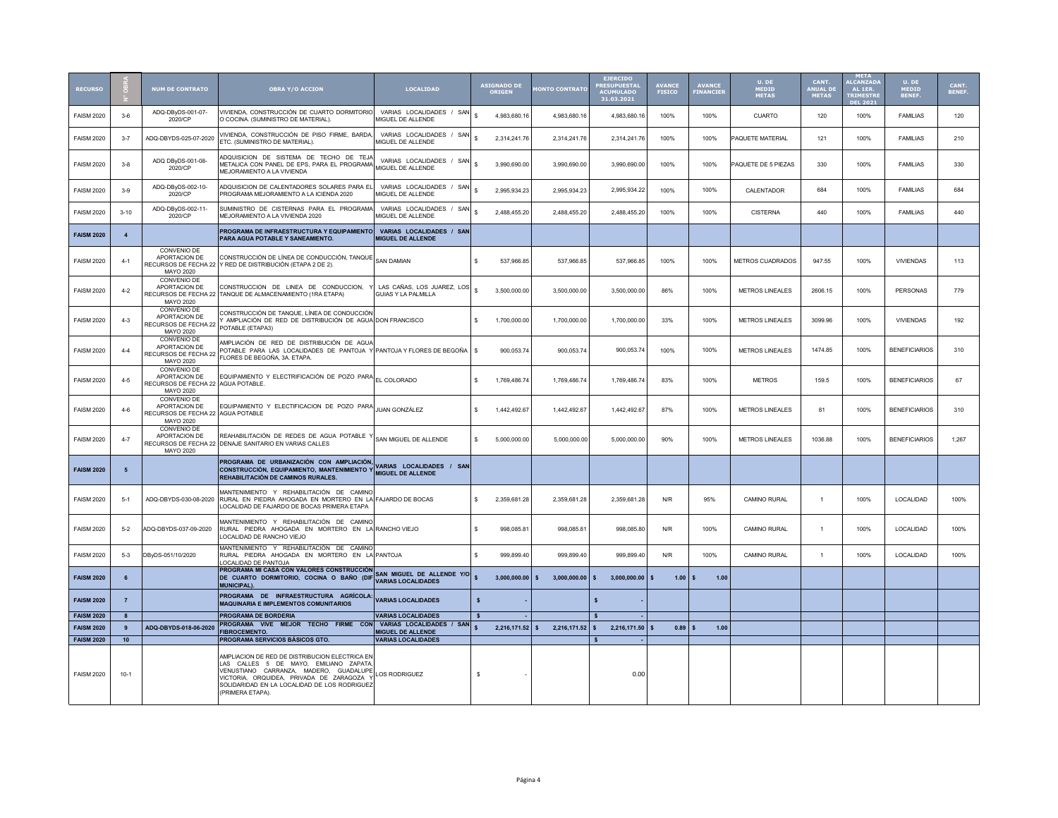| <b>RECURSO</b>                         |                  | <b>NUM DE CONTRATO</b>                                                                 | <b>OBRA Y/O ACCION</b>                                                                                                                                                                                                                             | <b>LOCALIDAD</b>                                       | <b>ASIGNADO DI</b><br><b>ORIGEN</b> | <b>IONTO CONTRATO</b>  | <b>EJERCIDO</b><br><b>RESUPLIESTA</b><br><b>ACUMULADO</b><br>31.03.2021 | <b>AVANCE</b><br><b>FISICO</b> | <b>AVANCE</b><br>FINANCIER | U. DE<br>MEDID<br><b>METAS</b> | CANT.<br>ANUAL DE<br><b>METAS</b> | <b>META</b><br><b>ALCANZAD</b><br>AL 1ER.<br><b>TRIMESTR</b><br><b>DEL 2021</b> | U. DE<br>MEDID<br><b>BENEF.</b> | CANT.<br><b>BENEF</b> |
|----------------------------------------|------------------|----------------------------------------------------------------------------------------|----------------------------------------------------------------------------------------------------------------------------------------------------------------------------------------------------------------------------------------------------|--------------------------------------------------------|-------------------------------------|------------------------|-------------------------------------------------------------------------|--------------------------------|----------------------------|--------------------------------|-----------------------------------|---------------------------------------------------------------------------------|---------------------------------|-----------------------|
| <b>FAISM 2020</b>                      | $3-6$            | ADQ-DBvDS-001-07-<br>2020/CP                                                           | VIVIENDA, CONSTRUCCIÓN DE CUARTO DORMITORIO<br>O COCINA. (SUMINISTRO DE MATERIAL).                                                                                                                                                                 | VARIAS LOCALIDADES / SAN<br>MIGUEL DE ALLENDE          | \$.<br>4,983,680.16                 | 4,983,680.16           | 4,983,680.16                                                            | 100%                           | 100%                       | <b>CUARTO</b>                  | 120                               | 100%                                                                            | <b>FAMILIAS</b>                 | 120                   |
| <b>FAISM 2020</b>                      | $3 - 7$          | ADQ-DBYDS-025-07-2020                                                                  | VIVIENDA, CONSTRUCCIÓN DE PISO FIRME, BARDA,<br>ETC. (SUMINISTRO DE MATERIAL).                                                                                                                                                                     | VARIAS LOCALIDADES / SAN<br>MIGUEL DE ALLENDE          | \$.<br>2,314,241.76                 | 2,314,241.76           | 2,314,241.76                                                            | 100%                           | 100%                       | PAQUETE MATERIAL               | 121                               | 100%                                                                            | <b>FAMILIAS</b>                 | 210                   |
| <b>FAISM 2020</b>                      | $3 - 8$          | ADQ DByDS-001-08-<br>2020/CP                                                           | ADQUISICION DE SISTEMA DE TECHO DE TEJA<br>METALICA CON PANEL DE EPS, PARA EL PROGRAMA<br>MEJORAMIENTO A LA VIVIENDA                                                                                                                               | VARIAS LOCALIDADES / SAN<br>MIGUEL DE ALLENDE          | \$.<br>3.990.690.00                 | 3,990,690.00           | 3,990,690.00                                                            | 100%                           | 100%                       | PAQUETE DE 5 PIEZAS            | 330                               | 100%                                                                            | <b>FAMILIAS</b>                 | 330                   |
| <b>FAISM 2020</b>                      | $3 - 9$          | ADQ-DByDS-002-10-<br>2020/CP                                                           | ADQUISICION DE CALENTADORES SOLARES PARA EL<br>PROGRAMA MEJORAMIENTO A LA ICIENDA 2020                                                                                                                                                             | VARIAS LOCALIDADES / SAN<br>MIGUEL DE ALLENDE          | 2,995,934.23                        | 2,995,934.23           | 2,995,934.22                                                            | 100%                           | 100%                       | CALENTADOR                     | 684                               | 100%                                                                            | <b>FAMILIAS</b>                 | 684                   |
| <b>FAISM 2020</b>                      | $3 - 10$         | ADQ-DByDS-002-11-<br>2020/CP                                                           | SUMINISTRO DE CISTERNAS PARA EL PROGRAMA<br>MEJORAMIENTO A LA VIVIENDA 2020                                                                                                                                                                        | VARIAS LOCALIDADES / SAN<br>MIGUEL DE ALLENDE          | \$<br>2.488.455.20                  | 2,488,455.20           | 2,488,455.20                                                            | 100%                           | 100%                       | <b>CISTERNA</b>                | 440                               | 100%                                                                            | <b>FAMILIAS</b>                 | 440                   |
| <b>FAISM 2020</b>                      | $\overline{4}$   |                                                                                        | PROGRAMA DE INFRAESTRUCTURA Y EQUIPAMIENTO<br>PARA AGUA POTABLE Y SANEAMIENTO.                                                                                                                                                                     | VARIAS LOCALIDADES / SAN<br><b>MIGUEL DE ALLENDE</b>   |                                     |                        |                                                                         |                                |                            |                                |                                   |                                                                                 |                                 |                       |
| <b>FAISM 2020</b>                      | $4-1$            | CONVENIO DE<br>APORTACION DE<br>RECURSOS DE FECHA 22<br>MAYO 2020                      | CONSTRUCCIÓN DE LÍNEA DE CONDUCCIÓN, TANQUE SAN DAMIAN<br>Y RED DE DISTRIBUCIÓN (ETAPA 2 DE 2).                                                                                                                                                    |                                                        | \$.<br>537.966.85                   | 537.966.85             | 537.966.85                                                              | 100%                           | 100%                       | METROS CUADRADOS               | 947.55                            | 100%                                                                            | <b>VIVIENDAS</b>                | 113                   |
| <b>FAISM 2020</b>                      | $4-2$            | CONVENIO DE<br>APORTACION DE<br>MAYO 2020                                              | CONSTRUCCION DE LINEA DE CONDUCCION,<br>RECURSOS DE FECHA 22 TANQUE DE ALMACENAMIENTO (1RA ETAPA)                                                                                                                                                  | LAS CAÑAS, LOS JUAREZ, LOS<br>GUIAS Y LA PALMILLA      | \$<br>3.500.000.00                  | 3.500.000.00           | 3.500.000.00                                                            | 86%                            | 100%                       | METROS LINEALES                | 2606.15                           | 100%                                                                            | PERSONAS                        | 779                   |
| <b>FAISM 2020</b>                      | $4 - 3$          | CONVENIO DE<br>APORTACION DE<br>RECURSOS DE FECHA 22<br>MAYO 2020                      | CONSTRUCCIÓN DE TANQUE, LÍNEA DE CONDUCCIÓN<br>AMPLIACIÓN DE RED DE DISTRIBUCIÓN DE AGUA DON FRANCISCO<br>POTABLE (ETAPA3)                                                                                                                         |                                                        | \$<br>1,700,000.00                  | 1,700,000.00           | 1,700,000.00                                                            | 33%                            | 100%                       | METROS LINEALES                | 3099.96                           | 100%                                                                            | <b>VIVIENDAS</b>                | 192                   |
| <b>FAISM 2020</b>                      | $4 - 4$          | CONVENIO DE<br>APORTACION DE<br>RECURSOS DE FECHA 22<br>MAYO 2020                      | AMPLIACIÓN DE RED DE DISTRIBUCIÓN DE AGUA<br>POTABLE PARA LAS LOCALIDADES DE PANTOJA Y PANTOJA Y FLORES DE BEGOÑA<br>FLORES DE BEGOÑA, 3A. ETAPA.                                                                                                  |                                                        | \$<br>900,053.74                    | 900,053.74             | 900,053.74                                                              | 100%                           | 100%                       | METROS LINEALES                | 1474.85                           | 100%                                                                            | <b>BENEFICIARIOS</b>            | 310                   |
| <b>FAISM 2020</b>                      | $4 - 5$          | <b>CONVENIO DE</b><br>APORTACION DE<br>RECURSOS DE FECHA 22 AGUA POTABLE.<br>MAYO 2020 | EQUIPAMIENTO Y ELECTRIFICACIÓN DE POZO PARA EL COLORADO                                                                                                                                                                                            |                                                        | \$<br>1.769.486.74                  | 1.769.486.74           | 1,769,486.74                                                            | 83%                            | 100%                       | <b>METROS</b>                  | 159.5                             | 100%                                                                            | <b>BENEFICIARIOS</b>            | 67                    |
| <b>FAISM 2020</b>                      | $4 - 6$          | CONVENIO DE<br>APORTACION DE<br>RECURSOS DE FECHA 22 AGUA POTABLE<br>MAYO 2020         | EQUIPAMIENTO Y ELECTIFICACION DE POZO PARA                                                                                                                                                                                                         | JUAN GONZÁLEZ                                          | \$<br>1.442.492.67                  | 1,442,492.67           | 1,442,492.67                                                            | 87%                            | 100%                       | <b>METROS LINEALES</b>         | 81                                | 100%                                                                            | <b>BENEFICIARIOS</b>            | 310                   |
| <b>FAISM 2020</b>                      | $4 - 7$          | CONVENIO DE<br>APORTACION DE<br>MAYO 2020                                              | REAHABILITACIÓN DE REDES DE AGUA POTABLE Y SAN MIGUEL DE ALLENDE<br>RECURSOS DE FECHA 22 DENAJE SANITARIO EN VARIAS CALLES                                                                                                                         |                                                        | \$.<br>5,000,000.00                 | 5,000,000.00           | 5,000,000.00                                                            | 90%                            | 100%                       | METROS LINEALES                | 1036.88                           | 100%                                                                            | <b>BENEFICIARIOS</b>            | 1,267                 |
| <b>FAISM 2020</b>                      | 5                |                                                                                        | PROGRAMA DE URBANIZACIÓN CON AMPLIACIÓN<br>CONSTRUCCIÓN, EQUIPAMIENTO, MANTENIMIENTO Y MIGUEL DE ALLENDE<br>REHABILITACIÓN DE CAMINOS RURALES.                                                                                                     | VARIAS LOCALIDADES / SAN                               |                                     |                        |                                                                         |                                |                            |                                |                                   |                                                                                 |                                 |                       |
| <b>FAISM 2020</b>                      | $5 - 1$          | ADQ-DBYDS-030-08-2020                                                                  | MANTENIMIENTO Y REHABILITACIÓN DE CAMINO<br>RURAL EN PIEDRA AHOGADA EN MORTERO EN LA FAJARDO DE BOCAS<br>LOCALIDAD DE FAJARDO DE BOCAS PRIMERA ETAPA                                                                                               |                                                        | 2,359,681.28<br>\$.                 | 2,359,681.28           | 2,359,681.28                                                            | N/R                            | 95%                        | CAMINO RURAL                   | $\overline{1}$                    | 100%                                                                            | LOCALIDAD                       | 100%                  |
| <b>FAISM 2020</b>                      | $5 - 2$          | ADQ-DBYDS-037-09-2020                                                                  | MANTENIMIENTO Y REHABILITACIÓN DE CAMINO<br>RURAL PIEDRA AHOGADA EN MORTERO EN LA RANCHO VIEJO<br>LOCALIDAD DE RANCHO VIEJO                                                                                                                        |                                                        | \$.<br>998,085.81                   | 998,085.81             | 998,085.80                                                              | N/R                            | 100%                       | CAMINO RURAL                   | $\overline{1}$                    | 100%                                                                            | LOCALIDAD                       | 100%                  |
| <b>FAISM 2020</b>                      | $5 - 3$          | DByDS-051/10/2020                                                                      | MANTENIMIENTO Y REHABILITACIÓN DE CAMINO<br>RURAL PIEDRA AHOGADA EN MORTERO EN LA PANTOJA<br>LOCALIDAD DE PANTOJA                                                                                                                                  |                                                        | \$.<br>999.899.40                   | 999.899.40             | 999.899.40                                                              | N/R                            | 100%                       | CAMINO RURAL                   | $\overline{1}$                    | 100%                                                                            | LOCALIDAD                       | 100%                  |
| <b>FAISM 2020</b>                      | 6                |                                                                                        | <b>PROGRAMA MI CASA CON VALORES CONSTRUCCIÓN</b><br>DE CUARTO DORMITORIO, COCINA O BAÑO (DIF<br><b>MUNICIPAL).</b>                                                                                                                                 | SAN MIGUEL DE ALLENDE Y/O<br><b>VARIAS LOCALIDADES</b> | 3,000,000.00                        | $3,000,000.00$ \$<br>s | 3,000,000.00                                                            | 1.00                           | 1.00                       |                                |                                   |                                                                                 |                                 |                       |
| <b>FAISM 2020</b>                      | $\overline{7}$   |                                                                                        | PROGRAMA DE INFRAESTRUCTURA AGRÍCOLA:<br><b>MAQUINARIA E IMPLEMENTOS COMUNITARIOS</b>                                                                                                                                                              | <b>VARIAS LOCALIDADES</b>                              | $\boldsymbol{s}$                    |                        | \$                                                                      |                                |                            |                                |                                   |                                                                                 |                                 |                       |
| <b>FAISM 2020</b>                      | $\boldsymbol{8}$ |                                                                                        | PROGRAMA DE BORDERIA<br>PROGRAMA VIVE MEJOR TECHO FIRME CON VARIAS LOCALIDADES / SAN                                                                                                                                                               | <b>VARIAS LOCALIDADES</b>                              |                                     |                        |                                                                         |                                |                            |                                |                                   |                                                                                 |                                 |                       |
| <b>FAISM 2020</b><br><b>FAISM 2020</b> | 9<br>10          | ADQ-DBYDS-018-06-2020                                                                  | <b>FIBROCEMENTO.</b><br><b>PROGRAMA SERVICIOS BÁSICOS GTO.</b>                                                                                                                                                                                     | MIGUEL DE ALLENDE<br><b>VARIAS LOCALIDADES</b>         | $2,216,171.52$ \$                   | 2,216,171.52           | $\sqrt{2}$<br>2,216,171.50                                              | 0.89                           | 1.00                       |                                |                                   |                                                                                 |                                 |                       |
|                                        |                  |                                                                                        |                                                                                                                                                                                                                                                    |                                                        |                                     |                        |                                                                         |                                |                            |                                |                                   |                                                                                 |                                 |                       |
| <b>FAISM 2020</b>                      | $10-1$           |                                                                                        | AMPLIACION DE RED DE DISTRIBUCION ELECTRICA EN<br>LAS CALLES 5 DE MAYO. EMILIANO ZAPATA<br>VENUSTIANO CARRANZA, MADERO, GUADALUPE<br>VICTORIA, ORQUIDEA, PRIVADA DE ZARAGOZA Y<br>SOLIDARIDAD EN LA LOCALIDAD DE LOS RODRIGUEZ<br>(PRIMERA ETAPA). | LOS RODRIGUEZ                                          | -S                                  |                        | 0.00                                                                    |                                |                            |                                |                                   |                                                                                 |                                 |                       |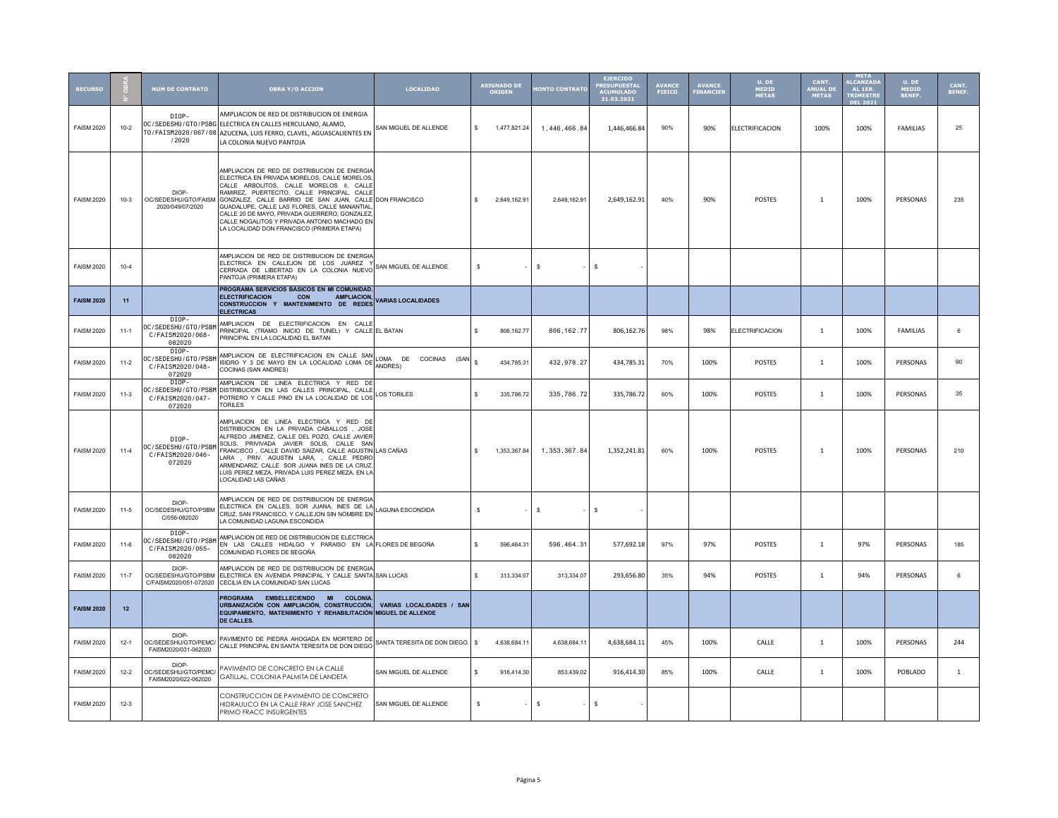| <b>RECURSO</b>    |          | <b>NUM DE CONTRATO</b>                                     | <b>OBRA Y/O ACCION</b>                                                                                                                                                                                                                                                                                                                                                                                                                          | <b>LOCALIDAD</b>                              | <b>ASIGNADO DE</b><br><b>ORIGEN</b> |              | <b>IONTO CONTRATO</b> | <b>EJERCIDO</b><br><b>RESUPUESTA</b><br><b>ACUMULADO</b><br>31.03.2021 | <b>AVANCE</b><br><b>FISICO</b> | <b>AVANCE</b><br><b>FINANCIER</b> | U. DE<br>MEDID<br><b>METAS</b> | CANT.<br>ANUAL DI<br><b>METAS</b> | META<br>ALCANZAD<br>AL 1ER.<br><b>TRIMESTE</b><br><b>DEL 202</b> | U. DE<br>MEDID<br><b>BENEF</b> | CANT.<br>BENEF. |
|-------------------|----------|------------------------------------------------------------|-------------------------------------------------------------------------------------------------------------------------------------------------------------------------------------------------------------------------------------------------------------------------------------------------------------------------------------------------------------------------------------------------------------------------------------------------|-----------------------------------------------|-------------------------------------|--------------|-----------------------|------------------------------------------------------------------------|--------------------------------|-----------------------------------|--------------------------------|-----------------------------------|------------------------------------------------------------------|--------------------------------|-----------------|
| <b>FAISM 2020</b> | $10 - 2$ | DIOP-<br>/2020                                             | AMPLIACION DE RED DE DISTRIBUCION DE ENERGIA<br>OC / SEDESHU / GTO / PSBG ELECTRICA EN CALLES HERCULANO, ALAMO,<br>TO / FAISM2020 / 067 / 08 AZUCENA, LUIS FERRO, CLAVEL, AGUASCALIENTES EN<br>LA COLONIA NUEVO PANTOJA                                                                                                                                                                                                                         | SAN MIGUEL DE ALLENDE                         | \$<br>1,477,821.24                  |              | 1,446,466.84          | 1,446,466.84                                                           | 90%                            | 90%                               | ELECTRIFICACION                | 100%                              | 100%                                                             | FAMILIAS                       | 25              |
| <b>FAISM 2020</b> | $10-3$   | DIOP-<br>OC/SEDESHU/GTO/FAISM<br>2020/049/07/2020          | AMPLIACION DE RED DE DISTRIBUCION DE ENFRGIA<br>ELECTRICA EN PRIVADA MORELOS, CALLE MORELOS<br>CALLE ARBOLITOS, CALLE MORELOS II, CALLE<br>RAMIREZ, PUERTECITO, CALLE PRINCIPAL, CALLE<br>GONZALEZ, CALLE BARRIO DE SAN JUAN, CALLE DON FRANCISCO<br>GUADALUPE, CALLE LAS FLORES, CALLE MANANTIAL<br>CALLE 20 DE MAYO, PRIVADA GUERRERO, GONZALEZ<br>CALLE NOGALITOS Y PRIVADA ANTONIO MACHADO EN<br>LA LOCALIDAD DON FRANCISCO (PRIMERA ETAPA) |                                               | $\mathbf{s}$<br>2,649,162.91        |              | 2,649,162.91          | 2,649,162.91                                                           | 40%                            | 90%                               | POSTES                         | $\mathbf{1}$                      | 100%                                                             | PERSONAS                       | 235             |
| <b>FAISM 2020</b> | $10 - 4$ |                                                            | AMPLIACION DE RED DE DISTRIBUCION DE ENERGIA<br>ELECTRICA EN CALLEJON DE LOS JUAREZ Y<br>CERRADA DE LIBERTAD EN LA COLONIA NUEVO<br>PANTOJA (PRIMERA ETAPA)                                                                                                                                                                                                                                                                                     | SAN MIGUEL DE ALLENDE                         | s                                   | \$           |                       | - S                                                                    |                                |                                   |                                |                                   |                                                                  |                                |                 |
| <b>FAISM 2020</b> | 11       |                                                            | PROGRAMA SERVICIOS BÁSICOS EN MI COMUNIDAD.<br><b>ELECTRIFICACION</b><br><b>AMPLIACION.</b><br>CON<br>CONSTRUCCION Y MANTENIMIENTO DE REDES<br><b>ELECTRICAS</b>                                                                                                                                                                                                                                                                                | <b>VARIAS LOCALIDADES</b>                     |                                     |              |                       |                                                                        |                                |                                   |                                |                                   |                                                                  |                                |                 |
| <b>FAISM 2020</b> | $11-1$   | DIOP-<br>OC/SEDESHU/GTO/PSBM<br>C/FAISM2020/068-<br>082020 | AMPLIACION DE ELECTRIFICACION EN CALLE<br>PRINCIPAL (TRAMO INICIO DE TUNEL) Y CALLE EL BATAN<br>PRINCIPAL EN LA LOCALIDAD EL BATAN                                                                                                                                                                                                                                                                                                              |                                               | 806, 162.77<br>\$.                  |              | 806, 162.77           | 806,162.76                                                             | 98%                            | 98%                               | <b>ELECTRIFICACION</b>         | $\mathbf{1}$                      | 100%                                                             | FAMILIAS                       | 6               |
| <b>FAISM 2020</b> | $11-2$   | DIOP-<br>OC/SEDESHU/GTO/PSBM<br>C/FAISM2020/048-<br>072020 | AMPLIACION DE ELECTRIFICACION EN CALLE SAN<br>ISIDRO Y 3 DE MAYO EN LA LOCALIDAD LOMA DE<br>COCINAS (SAN ANDRES)                                                                                                                                                                                                                                                                                                                                | LOMA DE<br>COCINAS (SAN<br><b>ANDRES)</b>     | \$.<br>434,785.31                   |              | 432, 978.27           | 434,785.31                                                             | 70%                            | 100%                              | POSTES                         | $\mathbf{1}$                      | 100%                                                             | PERSONAS                       | 90              |
| <b>FAISM 2020</b> | $11-3$   | DIOP-<br>OC/SEDESHU/GTO/PSBM<br>C/FAISM2020/047-<br>072020 | AMPLIACION DE LINEA ELECTRICA Y RED DE<br>DISTRIBUCION EN LAS CALLES PRINCIPAL, CALLE<br>POTRERO Y CALLE PINO EN LA LOCALIDAD DE LOS<br><b>TORILES</b>                                                                                                                                                                                                                                                                                          | <b>LOS TORILES</b>                            | $\mathbb{S}$<br>335 786 72          |              | 335,786.72            | 335.786.72                                                             | 60%                            | 100%                              | <b>POSTES</b>                  | $\mathbf{1}$                      | 100%                                                             | PERSONAS                       | 35              |
| <b>FAISM 2020</b> | $11-4$   | DTOP-<br>OC/SEDESHU/GTO/PSBM<br>C/FAISM2020/046-<br>072020 | AMPLIACION DE LINEA ELECTRICA Y RED DE<br>DISTRIBUCION EN LA PRIVADA CABALLOS . JOSE<br>ALFREDO JIMENEZ, CALLE DEL POZO, CALLE JAVIER<br>SOLIS, PRIVIVADA JAVIER SOLIS, CALLE SAN<br>FRANCISCO, CALLE DAVIID SAIZAR, CALLE AGUSTIN LAS CAÑAS<br>LARA, PRIV. AGUSTIN LARA, , CALLE PEDRO<br>ARMENDARIZ, CALLE SOR JUANA INES DE LA CRUZ<br>LUIS PEREZ MEZA, PRIVADA LUIS PEREZ MEZA, EN LA<br>LOCALIDAD LAS CAÑAS                                |                                               | $\mathbf{s}$<br>1.353.367.84        |              | 1,353,367.84          | 1,352,241.81                                                           | 60%                            | 100%                              | <b>POSTES</b>                  | $\overline{1}$                    | 100%                                                             | PERSONAS                       | 210             |
| <b>FAISM 2020</b> | $11-5$   | DIOP-<br>OC/SEDESHU/GTO/PSBM<br>C/056-082020               | AMPLIACION DE RED DE DISTRIBUCION DE ENERGIA<br>ELECTRICA EN CALLES, SOR JUANA, INES DE LA<br>CRUZ, SAN FRANCISCO, Y CALLEJON SIN NOMBRE EN<br>LA COMUNIDAD LAGUNA ESCONDIDA                                                                                                                                                                                                                                                                    | LAGUNA ESCONDIDA                              | s                                   | $\mathbb{S}$ |                       | $\mathsf{s}$                                                           |                                |                                   |                                |                                   |                                                                  |                                |                 |
| <b>FAISM 2020</b> | $11 - 6$ | DIOP-<br>OC/SEDESHU/GTO/PSBM<br>C/FAISM2020/055-<br>082020 | AMPLIACION DE RED DE DISTRIBUCION DE ELECTRICA<br>EN LAS CALLES HIDALGO Y PARAISO EN LA FLORES DE BEGOÑA<br>COMUNIDAD FLORES DE BEGOÑA                                                                                                                                                                                                                                                                                                          |                                               | \$<br>596.464.31                    |              | 596, 464.31           | 577,692.18                                                             | 97%                            | 97%                               | <b>POSTES</b>                  | $\mathbf{1}$                      | 97%                                                              | PERSONAS                       | 185             |
| <b>FAISM 2020</b> | $11 - 7$ | DIOP-<br>OC/SEDESHU/GTO/PSBM<br>C/FAISM2020/051-072020     | AMPLIACION DE RED DE DISTRIBUCION DE ENERGIA<br>ELECTRICA EN AVENIDA PRINCIPAL Y CALLE SANTA SAN LUCAS<br>CECILIA EN LA COMUNIDAD SAN LUCAS                                                                                                                                                                                                                                                                                                     |                                               | \$.<br>313.334.07                   |              | 313,334.07            | 293,656.80                                                             | 35%                            | 94%                               | POSTES                         | $\mathbf{1}$                      | 94%                                                              | PERSONAS                       | 6               |
| <b>FAISM 2020</b> | 12       |                                                            | PROGRAMA EMBELLECIENDO MI COLONIA<br>URBANIZACIÓN CON AMPLIACIÓN, CONSTRUCCIÓN,<br>EQUIPAMIENTO, MATENIMIENTO Y REHABILITACIÓN<br><b>DE CALLES.</b>                                                                                                                                                                                                                                                                                             | VARIAS LOCALIDADES / SAN<br>MIGUEL DE ALLENDE |                                     |              |                       |                                                                        |                                |                                   |                                |                                   |                                                                  |                                |                 |
| <b>FAISM 2020</b> | $12 - 1$ | DIOP-<br>OC/SEDESHU/GTO/PEMC<br>FAISM2020/031-062020       | PAVIMENTO DE PIEDRA AHOGADA EN MORTERO DE<br>CALLE PRINCIPAL EN SANTA TERESITA DE DON DIEGO                                                                                                                                                                                                                                                                                                                                                     | SANTA TERESITA DE DON DIEGO.                  | 4.638.684.11<br>$\hat{\mathbf{x}}$  |              | 4.638.684.1           | 4,638,684.11                                                           | 45%                            | 100%                              | CALLE                          | 1                                 | 100%                                                             | PERSONAS                       | 244             |
| <b>FAISM 2020</b> | $12 - 2$ | DIOP-<br>OC/SEDESHU/GTO/PEMC/<br>FAISM2020/022-062020      | PAVIMENTO DE CONCRETO EN LA CALLE<br>GATILLAL, COLONIA PALMITA DE LANDETA                                                                                                                                                                                                                                                                                                                                                                       | SAN MIGUEL DE ALLENDE                         | \$.<br>916,414.30                   |              | 853.439.02            | 916,414.30                                                             | 85%                            | 100%                              | CALLE                          | $\overline{1}$                    | 100%                                                             | POBLADO                        | $\overline{1}$  |
| <b>FAISM 2020</b> | $12-3$   |                                                            | CONSTRUCCION DE PAVIMENTO DE CONCRETO<br>HIDRAULICO EN LA CALLE FRAY JOSE SANCHEZ<br>PRIMO FRACC INSURGENTES                                                                                                                                                                                                                                                                                                                                    | SAN MIGUEL DE ALLENDE                         | s                                   | $\mathbb{S}$ |                       | -S                                                                     |                                |                                   |                                |                                   |                                                                  |                                |                 |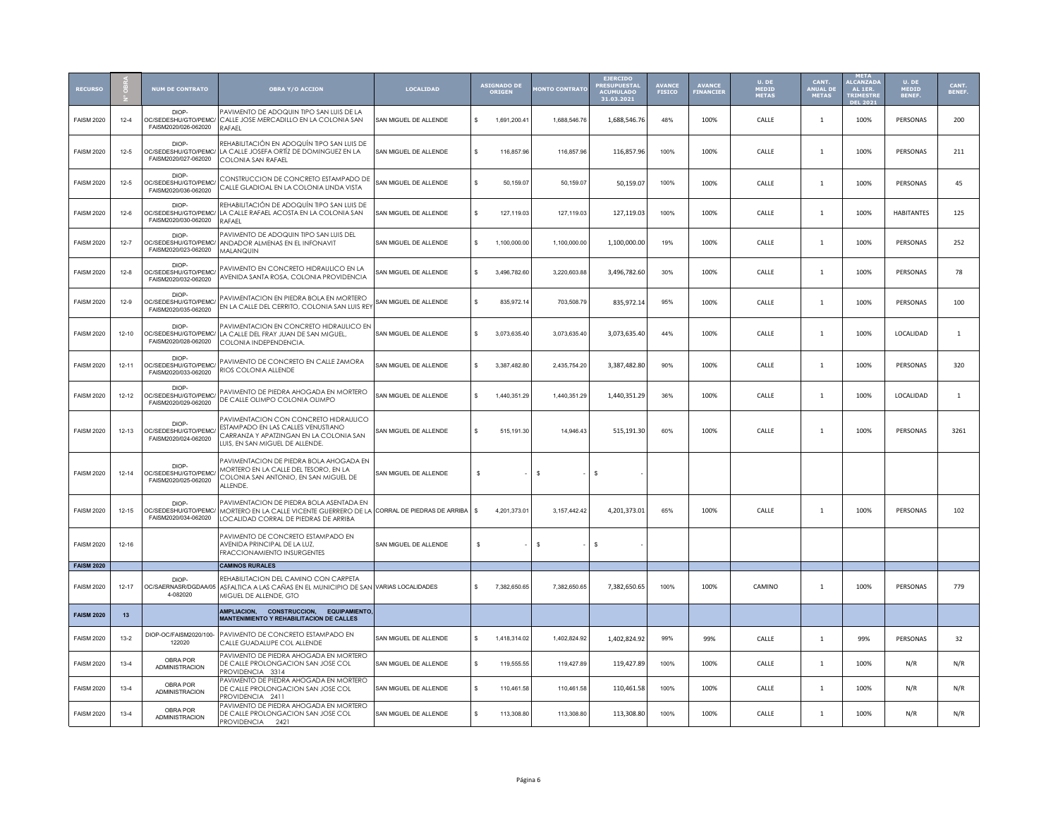| <b>RECURSO</b>    |           | <b>NUM DE CONTRATO</b>                                | <b>OBRA Y/O ACCION</b>                                                                                                                                       | <b>LOCALIDAD</b>      |     | ASIGNADO DE<br><b>ORIGEN</b> | <b>IONTO CONTRATO</b> | <b>EJERCIDO</b><br><b>RESUPUESTA</b><br><b>ACUMULADO</b><br>31.03.2021 | <b>AVANCE</b><br><b>FISICO</b> | AVANCE<br>FINANCIEI | U. DE<br><b>MEDID<br/>METAS</b> | CANT.<br><b>ANUAL DI</b><br><b>METAS</b> | META<br>ALCANZAD<br>AL 1ER.<br><b>TRIMESTE</b><br><b>DEL 202</b> | U. DE<br>MEDID<br>BENEF. | CANT.<br>BENEF. |
|-------------------|-----------|-------------------------------------------------------|--------------------------------------------------------------------------------------------------------------------------------------------------------------|-----------------------|-----|------------------------------|-----------------------|------------------------------------------------------------------------|--------------------------------|---------------------|---------------------------------|------------------------------------------|------------------------------------------------------------------|--------------------------|-----------------|
| <b>FAISM 2020</b> | $12 - 4$  | DIOP-<br>OC/SEDESHU/GTO/PEMC/<br>FAISM2020/026-062020 | PAVIMENTO DE ADOQUIN TIPO SAN LUIS DE LA<br>CALLE JOSE MERCADILLO EN LA COLONIA SAN<br><b>RAFAEL</b>                                                         | SAN MIGUEL DE ALLENDE | \$  | 1,691,200.41                 | 1.688.546.76          | 1,688,546.76                                                           | 48%                            | 100%                | CALLE                           | 1                                        | 100%                                                             | PERSONAS                 | 200             |
| <b>FAISM 2020</b> | $12 - 5$  | DIOP-<br>OC/SEDESHU/GTO/PEMC/<br>FAISM2020/027-062020 | REHABILITACIÓN EN ADOQUÍN TIPO SAN LUIS DE<br>LA CALLE JOSEFA ORTÍZ DE DOMINGUEZ EN LA<br>COLONIA SAN RAFAEL                                                 | SAN MIGUEL DE ALLENDE | s.  | 116,857.96                   | 116,857.96            | 116,857.96                                                             | 100%                           | 100%                | CALLE                           | 1                                        | 100%                                                             | PERSONAS                 | 211             |
| <b>FAISM 2020</b> | $12 - 5$  | DIOP-<br>OC/SEDESHU/GTO/PEMC<br>FAISM2020/036-062020  | CONSTRUCCION DE CONCRETO ESTAMPADO DE<br>CALLE GLADIOAL EN LA COLONIA LINDA VISTA                                                                            | SAN MIGUEL DE ALLENDE | \$. | 50.159.07                    | 50.159.07             | 50,159.07                                                              | 100%                           | 100%                | CALLE                           | $\overline{1}$                           | 100%                                                             | PERSONAS                 | 45              |
| <b>FAISM 2020</b> | $12-6$    | DIOP-<br>OC/SEDESHU/GTO/PEMC/<br>FAISM2020/030-062020 | REHABILITACIÓN DE ADOQUÍN TIPO SAN LUIS DE<br>LA CALLE RAFAEL ACOSTA EN LA COLONIA SAN<br>RAFAFI                                                             | SAN MIGUEL DE ALLENDE | \$. | 127,119.03                   | 127,119.03            | 127,119.03                                                             | 100%                           | 100%                | CALLE                           | $\mathbf{1}$                             | 100%                                                             | <b>HABITANTES</b>        | 125             |
| <b>FAISM 2020</b> | $12 - 7$  | DIOP-<br>OC/SEDESHU/GTO/PEMC/<br>FAISM2020/023-062020 | PAVIMENTO DE ADOQUIN TIPO SAN LUIS DEL<br>ANDADOR ALMENAS EN EL INFONAVIT<br><b>MAI ANQUIN</b>                                                               | SAN MIGUEL DE ALLENDE | \$  | 1,100,000.00                 | 1,100,000.00          | 1,100,000.00                                                           | 19%                            | 100%                | CALLE                           | $\mathbf{1}$                             | 100%                                                             | PERSONAS                 | 252             |
| <b>FAISM 2020</b> | $12 - 8$  | DIOP-<br>OC/SEDESHU/GTO/PEMC<br>FAISM2020/032-062020  | PAVIMENTO EN CONCRETO HIDRAULICO EN LA<br>AVENIDA SANTA ROSA, COLONIA PROVIDENCIA                                                                            | SAN MIGUEL DE ALLENDE | \$. | 3.496.782.60                 | 3,220,603.88          | 3,496,782.60                                                           | 30%                            | 100%                | CALLE                           | $\mathbf{1}$                             | 100%                                                             | PERSONAS                 | 78              |
| <b>FAISM 2020</b> | $12-9$    | DIOP-<br>OC/SEDESHU/GTO/PEMC<br>FAISM2020/035-062020  | PAVIMENTACION EN PIEDRA BOLA EN MORTERO<br>EN LA CALLE DEL CERRITO, COLONIA SAN LUIS REY                                                                     | SAN MIGUEL DE ALLENDE | \$  | 835,972.14                   | 703,508.79            | 835,972.14                                                             | 95%                            | 100%                | CALLE                           | $\mathbf{1}$                             | 100%                                                             | PERSONAS                 | 100             |
| <b>FAISM 2020</b> | $12 - 10$ | DIOP-<br>OC/SEDESHU/GTO/PEMC/<br>FAISM2020/028-062020 | PAVIMENTACION EN CONCRETO HIDRAULICO EN<br>LA CALLE DEL FRAY JUAN DE SAN MIGUEL,<br>COLONIA INDEPENDENCIA.                                                   | SAN MIGUEL DE ALLENDE | \$. | 3,073,635.40                 | 3,073,635.40          | 3,073,635.40                                                           | 44%                            | 100%                | CALLE                           | 1                                        | 100%                                                             | LOCALIDAD                | $\mathbf{1}$    |
| <b>FAISM 2020</b> | $12 - 11$ | DIOP.<br>OC/SEDESHU/GTO/PEMC/<br>FAISM2020/033-062020 | PAVIMENTO DE CONCRETO EN CALLE ZAMORA<br>RIOS COLONIA ALLENDE                                                                                                | SAN MIGUEL DE ALLENDE | \$  | 3,387,482.80                 | 2,435,754.20          | 3,387,482.80                                                           | 90%                            | 100%                | CALLE                           | $\mathbf{1}$                             | 100%                                                             | PERSONAS                 | 320             |
| <b>FAISM 2020</b> | $12 - 12$ | DIOP-<br>OC/SEDESHU/GTO/PEMC<br>FAISM2020/029-062020  | PAVIMENTO DE PIEDRA AHOGADA EN MORTERO<br>DE CALLE OLIMPO COLONIA OLIMPO                                                                                     | SAN MIGUEL DE ALLENDE | \$  | 1,440,351.29                 | 1,440,351.29          | 1,440,351.29                                                           | 36%                            | 100%                | CALLE                           | 1                                        | 100%                                                             | LOCALIDAD                | 1               |
| <b>FAISM 2020</b> | $12 - 13$ | DIOP-<br>OC/SEDESHU/GTO/PEMC<br>FAISM2020/024-062020  | PAVIMENTACION CON CONCRETO HIDRAULICO<br>ESTAMPADO EN LAS CALLES VENUSTIANO<br>CARRANZA Y APATZINGAN EN LA COLONIA SAN<br>LUIS, EN SAN MIGUEL DE ALLENDE.    | SAN MIGUEL DE ALLENDE | \$  | 515.191.30                   | 14,946.43             | 515,191.30                                                             | 60%                            | 100%                | CALLE                           | 1                                        | 100%                                                             | PERSONAS                 | 3261            |
| <b>FAISM 2020</b> | $12 - 14$ | DIOP-<br>OC/SEDESHU/GTO/PEMC<br>FAISM2020/025-062020  | PAVIMENTACION DE PIEDRA BOLA AHOGADA EN<br>MORTERO EN LA CALLE DEL TESORO, EN LA<br>COLONIA SAN ANTONIO, EN SAN MIGUEL DE<br>ALLENDE.                        | SAN MIGUEL DE ALLENDE | s   |                              | $\mathbb{S}$          | $\mathbf{s}$                                                           |                                |                     |                                 |                                          |                                                                  |                          |                 |
| <b>FAISM 2020</b> | $12 - 15$ | DIOP-<br>OC/SEDESHU/GTO/PEMC/<br>FAISM2020/034-062020 | PAVIMENTACION DE PIEDRA BOLA ASENTADA EN<br>MORTERO EN LA CALLE VICENTE GUERRERO DE LA CORRAL DE PIEDRAS DE ARRIBA.<br>LOCALIDAD CORRAL DE PIEDRAS DE ARRIBA |                       | \$. | 4 201 373 01                 | 3 157 442 42          | 4,201,373.01                                                           | 65%                            | 100%                | CALLE                           | $\overline{1}$                           | 100%                                                             | PERSONAS                 | 102             |
| <b>FAISM 2020</b> | $12 - 16$ |                                                       | PAVIMENTO DE CONCRETO ESTAMPADO EN<br>AVENIDA PRINCIPAL DE LA LUZ,<br>FRACCIONAMIENTO INSURGENTES                                                            | SAN MIGUEL DE ALLENDE | s   |                              | s.                    | $\mathbf{s}$                                                           |                                |                     |                                 |                                          |                                                                  |                          |                 |
| <b>FAISM 2020</b> |           |                                                       | <b>CAMINOS RURALES</b>                                                                                                                                       |                       |     |                              |                       |                                                                        |                                |                     |                                 |                                          |                                                                  |                          |                 |
| <b>FAISM 2020</b> | $12 - 17$ | DIOP-<br>OC/SAERNASR/DGDAA/05<br>4-082020             | REHABILITACION DEL CAMINO CON CARPETA<br>ASFALTICA A LAS CAÑAS EN EL MUNICIPIO DE SAN VARIAS LOCALIDADES<br>MIGUEL DE ALLENDE, GTO                           |                       | \$. | 7,382,650.65                 | 7,382,650.65          | 7,382,650.65                                                           | 100%                           | 100%                | CAMINO                          | $\mathbf{1}$                             | 100%                                                             | PERSONAS                 | 779             |
| <b>FAISM 2020</b> | 13        |                                                       | AMPLIACION, CONSTRUCCION, EQUIPAMIENTO,<br><b>MANTENIMIENTO Y REHABILITACION DE CALLES</b>                                                                   |                       |     |                              |                       |                                                                        |                                |                     |                                 |                                          |                                                                  |                          |                 |
| <b>FAISM 2020</b> | $13-2$    | DIOP-OC/FAISM2020/100-<br>122020                      | PAVIMENTO DE CONCRETO ESTAMPADO EN<br>CALLE GUADALUPE COL ALLENDE                                                                                            | SAN MIGUEL DE ALLENDE | \$. | 1,418,314.02                 | 1,402,824.92          | 1,402,824.92                                                           | 99%                            | 99%                 | CALLE                           | $\mathbf{1}$                             | 99%                                                              | PERSONAS                 | 32              |
| <b>FAISM 2020</b> | $13 - 4$  | OBRA POR<br><b>ADMINISTRACION</b>                     | PAVIMENTO DE PIEDRA AHOGADA EN MORTERO<br>DE CALLE PROLONGACION SAN JOSE COL<br>PROVIDENCIA 3314                                                             | SAN MIGUEL DE ALLENDE | \$  | 119,555.55                   | 119,427.89            | 119,427.89                                                             | 100%                           | 100%                | CALLE                           | $\overline{1}$                           | 100%                                                             | N/R                      | N/R             |
| <b>FAISM 2020</b> | $13-4$    | OBRA POR<br><b>ADMINISTRACION</b>                     | PAVIMENTO DE PIEDRA AHOGADA EN MORTERO<br>DE CALLE PROLONGACION SAN JOSE COL<br>PROVIDENCIA 2411                                                             | SAN MIGUEL DE ALLENDE | \$. | 110 461 58                   | 110 461 58            | 110,461.58                                                             | 100%                           | 100%                | CALLE                           | $\mathbf{1}$                             | 100%                                                             | N/R                      | N/R             |
| <b>FAISM 2020</b> | $13-4$    | OBRA POR<br><b>ADMINISTRACION</b>                     | PAVIMENTO DE PIEDRA AHOGADA EN MORTERO<br>DE CALLE PROLONGACION SAN JOSE COL<br>PROVIDENCIA 2421                                                             | SAN MIGUEL DE ALLENDE | \$  | 113,308.80                   | 113,308.80            | 113,308.80                                                             | 100%                           | 100%                | CALLE                           | $\mathbf{1}$                             | 100%                                                             | N/R                      | N/R             |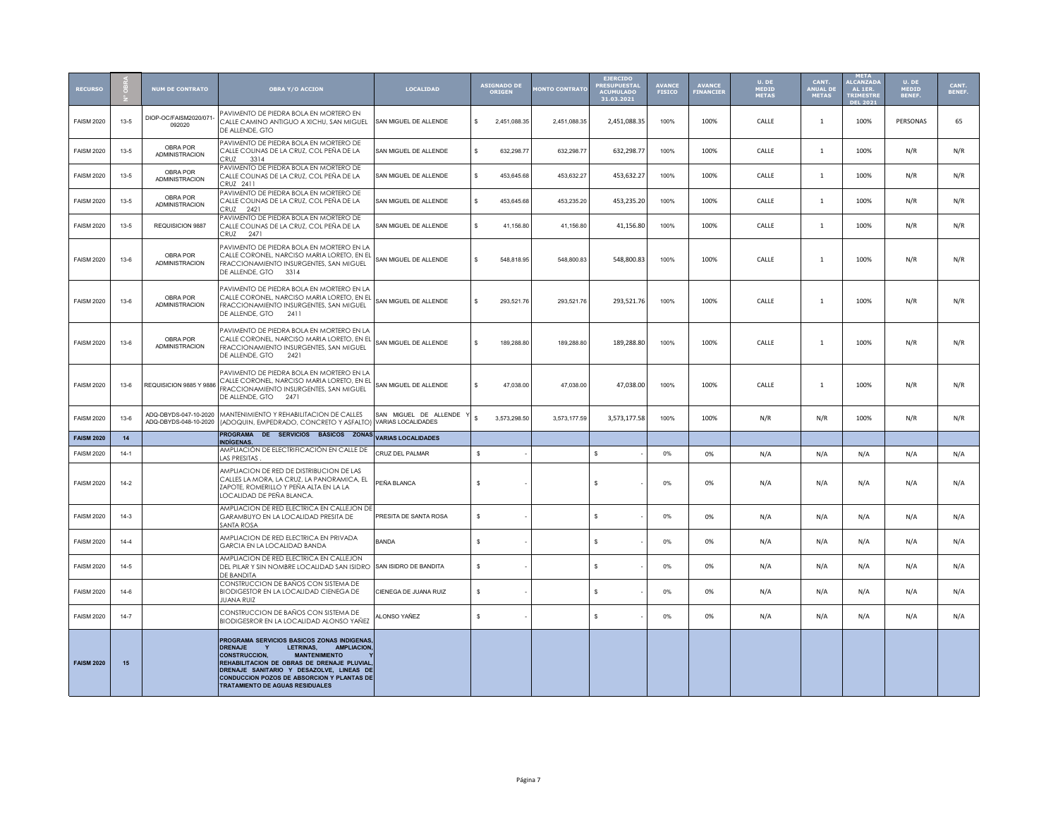| <b>RECURSO</b>    |          | <b>NUM DE CONTRATO</b>                         | <b>OBRA Y/O ACCION</b>                                                                                                                                                                                                                                                                                                                      | <b>LOCALIDAD</b>                              |              | ASIGNADO DE<br><b>ORIGEN</b> | <b>MONTO CONTRATO</b> | <b>EJERCIDO</b><br><b>ACUMULADO</b><br>31.03.2021 | <b>AVANCE</b><br><b>FISICO</b> | <b>AVANCE</b><br>FINANCIER | U. DE<br>MEDID<br><b>METAS</b> | CANT.<br>ANUAL DE<br><b>METAS</b> | <b>META</b><br><b>ALCANZAD</b><br>AL 1ER.<br><b>TRIMESTR</b><br><b>DEL 2021</b> | U. DE<br><b>MEDID</b><br>BENEF. | CANT.<br>BENEF. |
|-------------------|----------|------------------------------------------------|---------------------------------------------------------------------------------------------------------------------------------------------------------------------------------------------------------------------------------------------------------------------------------------------------------------------------------------------|-----------------------------------------------|--------------|------------------------------|-----------------------|---------------------------------------------------|--------------------------------|----------------------------|--------------------------------|-----------------------------------|---------------------------------------------------------------------------------|---------------------------------|-----------------|
| <b>FAISM 2020</b> | $13 - 5$ | DIOP-OC/FAISM2020/071-<br>092020               | PAVIMENTO DE PIEDRA BOLA EN MORTERO EN<br>CALLE CAMINO ANTIGUO A XICHU, SAN MIGUEL<br>DE ALLENDE, GTO                                                                                                                                                                                                                                       | SAN MIGUEL DE ALLENDE                         | \$           | 2,451,088.35                 | 2,451,088.35          | 2,451,088.35                                      | 100%                           | 100%                       | CALLE                          | $\mathbf{1}$                      | 100%                                                                            | PERSONAS                        | 65              |
| <b>FAISM 2020</b> | $13 - 5$ | OBRA POR<br><b>ADMINISTRACION</b>              | PAVIMENTO DE PIEDRA BOLA EN MORTERO DE<br>CALLE COLINAS DE LA CRUZ, COL PEÑA DE LA<br>∩RUZ<br>3314                                                                                                                                                                                                                                          | SAN MIGUEL DE ALLENDE                         | s.           | 632,298.77                   | 632,298.77            | 632,298.77                                        | 100%                           | 100%                       | CALLE                          | $\mathbf{1}$                      | 100%                                                                            | N/R                             | N/R             |
| <b>FAISM 2020</b> | $13 - 5$ | OBRA POR<br><b>ADMINISTRACION</b>              | PAVIMENTO DE PIEDRA BOLA EN MORTERO DE<br>CALLE COLINAS DE LA CRUZ, COL PEÑA DE LA<br>CRU7 2411                                                                                                                                                                                                                                             | SAN MIGUEL DE ALLENDE                         | s.           | 453,645.68                   | 453,632.27            | 453,632.27                                        | 100%                           | 100%                       | CALLE                          | $\mathbf{1}$                      | 100%                                                                            | N/R                             | N/R             |
| <b>FAISM 2020</b> | $13 - 5$ | OBRA POR<br><b>ADMINISTRACION</b>              | PAVIMENTO DE PIEDRA BOLA EN MORTERO DE<br>CALLE COLINAS DE LA CRUZ, COL PEÑA DE LA<br>CRUZ 2421                                                                                                                                                                                                                                             | SAN MIGUEL DE ALLENDE                         | s.           | 453,645.68                   | 453,235.20            | 453,235.20                                        | 100%                           | 100%                       | CALLE                          | $\overline{1}$                    | 100%                                                                            | N/R                             | N/R             |
| <b>FAISM 2020</b> | $13 - 5$ | REQUISICION 9887                               | PAVIMENTO DE PIEDRA BOLA EN MORTERO DE<br>CALLE COLINAS DE LA CRUZ, COL PEÑA DE LA<br>CRUZ<br>2471                                                                                                                                                                                                                                          | SAN MIGUEL DE ALLENDE                         | s.           | 41,156.80                    | 41,156.80             | 41,156.80                                         | 100%                           | 100%                       | CALLE                          | $\mathbf{1}$                      | 100%                                                                            | N/R                             | N/R             |
| <b>FAISM 2020</b> | $13-6$   | OBRA POR<br><b>ADMINISTRACION</b>              | PAVIMENTO DE PIEDRA BOLA EN MORTERO EN LA<br>CALLE CORONEL, NARCISO MARIA LORETO, EN EL<br>FRACCIONAMIENTO INSURGENTES, SAN MIGUEL<br>DE ALLENDE, GTO 3314                                                                                                                                                                                  | SAN MIGUEL DE ALLENDE                         | \$.          | 548,818.95                   | 548,800.83            | 548,800.83                                        | 100%                           | 100%                       | CALLE                          | $\overline{1}$                    | 100%                                                                            | N/R                             | N/R             |
| <b>FAISM 2020</b> | $13 - 6$ | <b>OBRA POR</b><br>ADMINISTRACION              | PAVIMENTO DE PIEDRA BOLA EN MORTERO EN LA<br>CALLE CORONEL, NARCISO MARIA LORETO, EN EL<br>FRACCIONAMIENTO INSURGENTES, SAN MIGUEL<br>DE ALLENDE, GTO 2411                                                                                                                                                                                  | SAN MIGUEL DE ALLENDE                         | $\mathbb{S}$ | 293,521.76                   | 293,521.76            | 293,521.76                                        | 100%                           | 100%                       | CALLE                          | $\overline{1}$                    | 100%                                                                            | N/R                             | N/R             |
| <b>FAISM 2020</b> | $13 - 6$ | OBRA POR<br><b>ADMINISTRACION</b>              | PAVIMENTO DE PIEDRA BOLA EN MORTERO EN LA<br>CALLE CORONEL, NARCISO MARIA LORETO, EN EL<br>FRACCIONAMIENTO INSURGENTES, SAN MIGUEL<br>DE ALLENDE, GTO 2421                                                                                                                                                                                  | SAN MIGUEL DE ALLENDE                         | s.           | 189,288.80                   | 189,288.80            | 189,288.80                                        | 100%                           | 100%                       | CALLE                          | $\mathbf{1}$                      | 100%                                                                            | N/R                             | N/R             |
| <b>FAISM 2020</b> | $13-6$   | REQUISICION 9885 Y 9886                        | PAVIMENTO DE PIEDRA BOLA EN MORTERO EN LA<br>CALLE CORONEL, NARCISO MARIA LORETO, EN EL<br>FRACCIONAMIENTO INSURGENTES, SAN MIGUEL<br>DE ALLENDE, GTO 2471                                                                                                                                                                                  | SAN MIGUEL DE ALLENDE                         | \$.          | 47,038.00                    | 47,038.00             | 47,038.00                                         | 100%                           | 100%                       | CALLE                          | 1                                 | 100%                                                                            | N/R                             | N/R             |
| <b>FAISM 2020</b> | $13-6$   | ADQ-DBYDS-047-10-2020<br>ADQ-DBYDS-048-10-2020 | MANTENIMIENTO Y REHABILITACION DE CALLES<br>(ADOQUIN, EMPEDRADO, CONCRETO Y ASFALTO)                                                                                                                                                                                                                                                        | SAN MIGUEL DE ALLENDE Y<br>VARIAS LOCALIDADES | \$.          | 3,573,298.50                 | 3,573,177.59          | 3,573,177.58                                      | 100%                           | 100%                       | N/R                            | N/R                               | 100%                                                                            | N/R                             | N/R             |
| <b>FAISM 2020</b> | 14       |                                                | PROGRAMA DE SERVICIOS BÁSICOS ZONAS<br><b>INDÍGENAS.</b>                                                                                                                                                                                                                                                                                    | <b>VARIAS LOCALIDADES</b>                     |              |                              |                       |                                                   |                                |                            |                                |                                   |                                                                                 |                                 |                 |
| <b>FAISM 2020</b> | $14-1$   |                                                | AMPLIACIÓN DE ELECTRIFICACIÓN EN CALLE DE<br>LAS PRESITAS                                                                                                                                                                                                                                                                                   | CRUZ DEL PALMAR                               | -S           |                              |                       | s.                                                | 0%                             | 0%                         | N/A                            | N/A                               | N/A                                                                             | N/A                             | N/A             |
| <b>FAISM 2020</b> | $14-2$   |                                                | AMPLIACION DE RED DE DISTRIBUCION DE LAS<br>CALLES LA MORA, LA CRUZ, LA PANORAMICA, EL<br>ZAPOTE, ROMERILLO Y PEÑA ALTA EN LA LA<br>LOCALIDAD DE PEÑA BLANCA.                                                                                                                                                                               | PEÑA BLANCA                                   | $\mathbb{S}$ |                              |                       | s.                                                | 0%                             | 0%                         | N/A                            | N/A                               | N/A                                                                             | N/A                             | N/A             |
| <b>FAISM 2020</b> | $14-3$   |                                                | AMPLIACION DE RED ELECTRICA EN CALLEJON DE<br>GARAMBUYO EN LA LOCALIDAD PRESITA DE<br>SANTA ROSA                                                                                                                                                                                                                                            | PRESITA DE SANTA ROSA                         | \$           |                              |                       | s                                                 | 0%                             | 0%                         | N/A                            | N/A                               | N/A                                                                             | N/A                             | N/A             |
| <b>FAISM 2020</b> | $14 - 4$ |                                                | AMPLIACION DE RED ELECTRICA EN PRIVADA<br>GARCIA EN LA LOCALIDAD BANDA                                                                                                                                                                                                                                                                      | <b>BANDA</b>                                  | -S           |                              |                       | s                                                 | 0%                             | 0%                         | N/A                            | N/A                               | N/A                                                                             | N/A                             | N/A             |
| <b>FAISM 2020</b> | $14-5$   |                                                | AMPLIACION DE RED ELECTRICA EN CALLEJON<br>DEL PILAR Y SIN NOMBRE LOCALIDAD SAN ISIDRO<br>DE BANDITA                                                                                                                                                                                                                                        | SAN ISIDRO DE BANDITA                         | -S           |                              |                       | s                                                 | 0%                             | 0%                         | N/A                            | N/A                               | N/A                                                                             | N/A                             | N/A             |
| <b>FAISM 2020</b> | $14-6$   |                                                | CONSTRUCCION DE BAÑOS CON SISTEMA DE<br>BIODIGESTOR EN LA LOCALIDAD CIENEGA DE<br>JUANA RUIZ                                                                                                                                                                                                                                                | CIENEGA DE JUANA RUIZ                         | \$           |                              |                       | s                                                 | $0\%$                          | 0%                         | N/A                            | N/A                               | N/A                                                                             | N/A                             | N/A             |
| <b>FAISM 2020</b> | $14 - 7$ |                                                | CONSTRUCCION DE BAÑOS CON SISTEMA DE<br>BIODIGESROR EN LA LOCALIDAD ALONSO YAÑEZ                                                                                                                                                                                                                                                            | <b>ALONSO YAÑEZ</b>                           | $\mathbb{S}$ |                              |                       | s                                                 | $0\%$                          | 0%                         | N/A                            | N/A                               | N/A                                                                             | N/A                             | N/A             |
| <b>FAISM 2020</b> | 15       |                                                | PROGRAMA SERVICIOS BASICOS ZONAS INDIGENAS,<br><b>DRENAJE</b><br>LETRINAS.<br><b>AMPLIACION</b><br>$\mathbf{Y}$<br><b>CONSTRUCCION,</b><br><b>MANTENIMIENTO</b><br>REHABILITACION DE OBRAS DE DRENAJE PLUVIAL,<br>DRENAJE SANITARIO Y DESAZOLVE, LINEAS DE<br>CONDUCCION POZOS DE ABSORCION Y PLANTAS DE<br>TRATAMIENTO DE AGUAS RESIDUALES |                                               |              |                              |                       |                                                   |                                |                            |                                |                                   |                                                                                 |                                 |                 |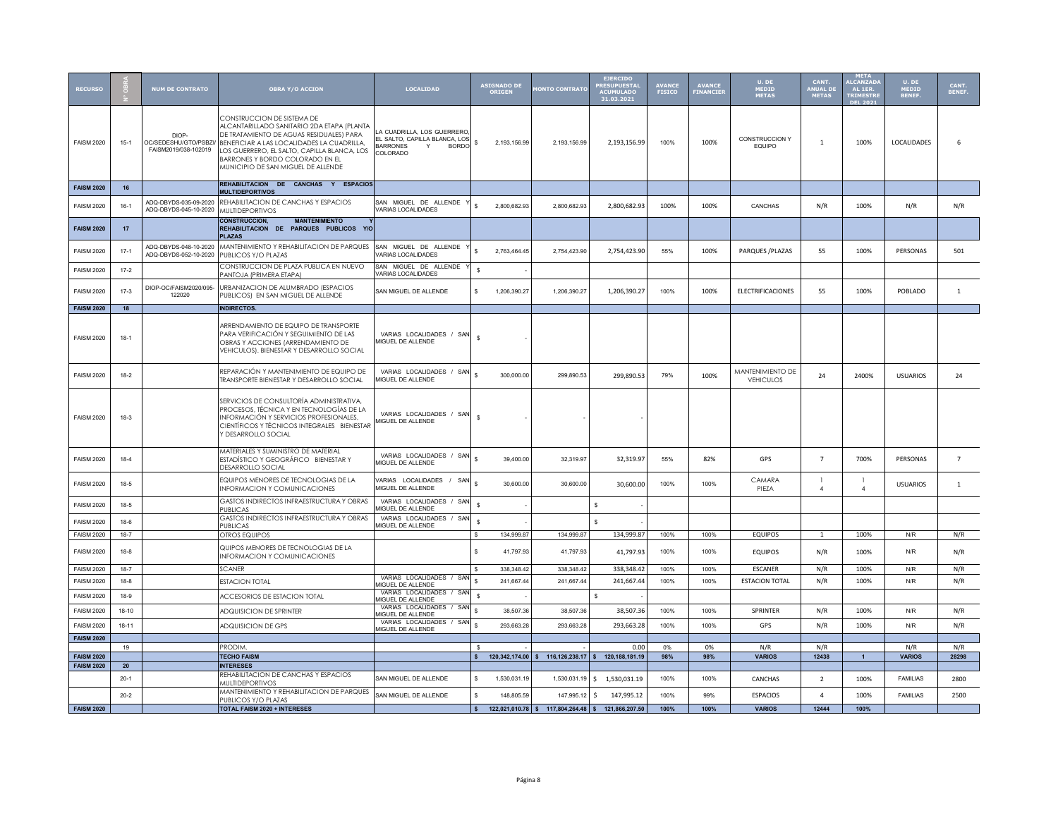| <b>RECURSO</b>    |           | <b>NUM DE CONTRATO</b>                                 | <b>OBRA Y/O ACCION</b>                                                                                                                                                                                                                                                                     | LOCALIDAD                                                                                                      |              | <b>ASIGNADO DI</b><br><b>ORIGEN</b> | <b>ONTO CONTRATO</b>                               | <b>EJERCIDO</b><br><b>RESUPUESTA</b><br><b>ACUMULADO</b><br>31.03.2021 | <b>AVANCE</b><br><b>FISICO</b> | <b>AVANCE</b><br><b>FINANCIER</b> | U. DE<br>MEDID<br>METAS              | CANT.<br>ANUAL D<br><b>METAS</b> | META<br><b>ALCANZAI</b><br>AL 1ER.<br><b>TRIMESTR</b><br><b>DEL 202</b> | U. DE<br>MEDID  | CANT.<br>BENEF. |
|-------------------|-----------|--------------------------------------------------------|--------------------------------------------------------------------------------------------------------------------------------------------------------------------------------------------------------------------------------------------------------------------------------------------|----------------------------------------------------------------------------------------------------------------|--------------|-------------------------------------|----------------------------------------------------|------------------------------------------------------------------------|--------------------------------|-----------------------------------|--------------------------------------|----------------------------------|-------------------------------------------------------------------------|-----------------|-----------------|
| <b>FAISM 2020</b> | $15-1$    | DIOP-<br>OC/SEDESHU/GTO/PSBZI/<br>FAISM2019/038-102019 | CONSTRUCCION DE SISTEMA DE<br>ALCANTARILLADO SANITARIO 2DA ETAPA (PLANTA<br>DE TRATAMIENTO DE AGUAS RESIDUALES) PARA<br>BENEFICIAR A LAS LOCALIDADES LA CUADRILLA,<br>LOS GUERRERO, EL SALTO, CAPILLA BLANCA, LOS<br>BARRONES Y BORDO COLORADO EN EL<br>MUNICIPIO DE SAN MIGUEL DE ALLENDE | A CUADRILLA, LOS GUERRERC<br>EL SALTO, CAPILLA BLANCA, LOS<br><b>RARRONES</b><br>Y<br><b>BORDO</b><br>COLORADO | \$           | 2,193,156.99                        | 2,193,156.99                                       | 2,193,156.99                                                           | 100%                           | 100%                              | CONSTRUCCION Y<br><b>EQUIPO</b>      | $\mathbf{1}$                     | 100%                                                                    | LOCALIDADES     | 6               |
| <b>FAISM 2020</b> | 16        |                                                        | REHABILITACION DE CANCHAS Y ESPACIOS<br><b>MULTIDEPORTIVOS</b>                                                                                                                                                                                                                             |                                                                                                                |              |                                     |                                                    |                                                                        |                                |                                   |                                      |                                  |                                                                         |                 |                 |
| <b>FAISM 2020</b> | $16-1$    | ADQ-DBYDS-035-09-2020<br>ADQ-DBYDS-045-10-2020         | REHABILITACION DE CANCHAS Y ESPACIOS<br><b>MULTIDEPORTIVOS</b>                                                                                                                                                                                                                             | SAN MIGUEL DE ALLENDE<br><b>VARIAS LOCALIDADES</b>                                                             | \$.          | 2.800.682.93                        | 2.800.682.93                                       | 2,800,682.93                                                           | 100%                           | 100%                              | CANCHAS                              | N/R                              | 100%                                                                    | N/R             | N/R             |
| <b>FAISM 2020</b> | 17        |                                                        | <b>CONSTRUCCION.</b><br><b>MANTENIMIENTO</b><br>REHABILITACION DE PARQUES PUBLICOS<br><b>Y/O</b><br><b>PLAZAS</b>                                                                                                                                                                          |                                                                                                                |              |                                     |                                                    |                                                                        |                                |                                   |                                      |                                  |                                                                         |                 |                 |
| <b>FAISM 2020</b> | $17-1$    | ADQ-DBYDS-048-10-2020<br>ADQ-DBYDS-052-10-2020         | MANTENIMIENTO Y REHABILITACION DE PARQUES<br>PUBLICOS Y/O PLAZAS                                                                                                                                                                                                                           | SAN MIGUEL DE ALLENDE<br>VARIAS LOCALIDADES                                                                    |              | 2,763,464.45                        | 2,754,423.90                                       | 2,754,423.90                                                           | 55%                            | 100%                              | PARQUES / PLAZAS                     | 55                               | 100%                                                                    | PERSONAS        | 501             |
| <b>FAISM 2020</b> | $17 - 2$  |                                                        | CONSTRUCCION DE PLAZA PUBLICA EN NUEVO<br>PANTOJA (PRIMERA ETAPA)                                                                                                                                                                                                                          | SAN MIGUEL DE ALLENDE<br><b>VARIAS LOCALIDADES</b>                                                             | s.           |                                     |                                                    |                                                                        |                                |                                   |                                      |                                  |                                                                         |                 |                 |
| <b>FAISM 2020</b> | $17-3$    | DIOP-OC/FAISM2020/095-<br>122020                       | URBANIZACION DE ALUMBRADO (ESPACIOS<br>PUBLICOS) EN SAN MIGUEL DE ALLENDE                                                                                                                                                                                                                  | SAN MIGUEL DE ALLENDE                                                                                          | \$           | 1,206,390.27                        | 1,206,390.27                                       | 1,206,390.27                                                           | 100%                           | 100%                              | ELECTRIFICACIONES                    | 55                               | 100%                                                                    | POBLADO         | $\mathbf{1}$    |
| <b>FAISM 2020</b> | 18        |                                                        | <b>INDIRECTOS.</b>                                                                                                                                                                                                                                                                         |                                                                                                                |              |                                     |                                                    |                                                                        |                                |                                   |                                      |                                  |                                                                         |                 |                 |
| <b>FAISM 2020</b> | $18-1$    |                                                        | ARRENDAMIENTO DE EQUIPO DE TRANSPORTE<br>PARA VERIFICACIÓN Y SEGUIMIENTO DE LAS<br>OBRAS Y ACCIONES (ARRENDAMIENTO DE<br>VEHICULOS). BIENESTAR Y DESARROLLO SOCIAL                                                                                                                         | VARIAS LOCALIDADES / SAN<br>MIGUEL DE ALLENDE                                                                  | <b>s</b>     |                                     |                                                    |                                                                        |                                |                                   |                                      |                                  |                                                                         |                 |                 |
| <b>FAISM 2020</b> | $18-2$    |                                                        | REPARACIÓN Y MANTENIMIENTO DE EQUIPO DE<br><b>TRANSPORTE BIENESTAR Y DESARROLLO SOCIAL</b>                                                                                                                                                                                                 | VARIAS LOCALIDADES / SAN<br>MIGUEL DE ALLENDE                                                                  | \$           | 300,000.00                          | 299,890.53                                         | 299,890.53                                                             | 79%                            | 100%                              | MANTENIMIENTO DE<br><b>VEHICULOS</b> | 24                               | 2400%                                                                   | <b>USUARIOS</b> | 24              |
| <b>FAISM 2020</b> | $18-3$    |                                                        | SERVICIOS DE CONSULTORÍA ADMINISTRATIVA,<br>PROCESOS, TÉCNICA Y EN TECNOLOGÍAS DE LA<br>INFORMACIÓN Y SERVICIOS PROFESIONALES,<br>CIENTÍFICOS Y TÉCNICOS INTEGRALES - BIENESTAR<br>Y DESARROLLO SOCIAL                                                                                     | VARIAS LOCALIDADES / SAN<br>MIGUEL DE ALLENDE                                                                  | <b>s</b>     |                                     |                                                    |                                                                        |                                |                                   |                                      |                                  |                                                                         |                 |                 |
| <b>FAISM 2020</b> | $18 - 4$  |                                                        | MATERIALES Y SUMINISTRO DE MATERIAL<br>ESTADÍSTICO Y GEOGRÁFICO BIENESTAR Y<br><b>DESARROLLO SOCIAL</b>                                                                                                                                                                                    | VARIAS LOCALIDADES / SAN<br>MIGUEL DE ALLENDE                                                                  | \$.          | 39,400.00                           | 32,319.97                                          | 32,319.97                                                              | 55%                            | 82%                               | GPS                                  | $\overline{7}$                   | 700%                                                                    | PERSONAS        | $\overline{7}$  |
| <b>FAISM 2020</b> | $18-5$    |                                                        | EQUIPOS MENORES DE TECNOLOGIAS DE LA<br><b>INFORMACION Y COMUNICACIONES</b>                                                                                                                                                                                                                | VARIAS LOCALIDADES /<br>SAN<br>MIGUEL DE ALLENDE                                                               | \$           | 30,600.00                           | 30,600.00                                          | 30,600.00                                                              | 100%                           | 100%                              | CAMARA<br>PIEZA                      | $\overline{4}$                   | $\overline{4}$                                                          | <b>USUARIOS</b> | 1               |
| <b>FAISM 2020</b> | 18-5      |                                                        | GASTOS INDIRECTOS INFRAESTRUCTURA Y OBRAS<br><b>PUBLICAS</b>                                                                                                                                                                                                                               | VARIAS LOCALIDADES / SAN<br><b>IIGUEL DE ALLENDE</b>                                                           | s.           |                                     |                                                    | s                                                                      |                                |                                   |                                      |                                  |                                                                         |                 |                 |
| <b>FAISM 2020</b> | $18-6$    |                                                        | GASTOS INDIRECTOS INFRAESTRUCTURA Y OBRAS<br>PUBLICAS                                                                                                                                                                                                                                      | VARIAS LOCALIDADES / SAN<br>MIGUEL DE ALLENDE                                                                  | <b>s</b>     |                                     |                                                    | s                                                                      |                                |                                   |                                      |                                  |                                                                         |                 |                 |
| <b>FAISM 2020</b> | $18 - 7$  |                                                        | OTROS EQUIPOS                                                                                                                                                                                                                                                                              |                                                                                                                | \$           | 134,999.87                          | 134,999.87                                         | 134,999.87                                                             | 100%                           | 100%                              | <b>EQUIPOS</b>                       | 1                                | 100%                                                                    | N/R             | N/R             |
| <b>FAISM 2020</b> | $18-8$    |                                                        | QUIPOS MENORES DE TECNOLOGIAS DE LA<br><b>INFORMACION Y COMUNICACIONES</b>                                                                                                                                                                                                                 |                                                                                                                |              | 41,797.93                           | 41,797.93                                          | 41,797.93                                                              | 100%                           | 100%                              | <b>EQUIPOS</b>                       | N/R                              | 100%                                                                    | N/R             | N/R             |
| <b>FAISM 2020</b> | $18 - 7$  |                                                        | SCANER                                                                                                                                                                                                                                                                                     | VARIAS LOCALIDADES / SAN                                                                                       |              | 338,348.42                          | 338,348.42                                         | 338,348.42                                                             | 100%                           | 100%                              | ESCANER                              | N/R                              | 100%                                                                    | N/R             | N/R             |
| <b>FAISM 2020</b> | $18-8$    |                                                        | <b>ESTACION TOTAL</b>                                                                                                                                                                                                                                                                      | MIGUEL DE ALLENDE<br>VARIAS LOCALIDADES / SAN                                                                  | ¢            | 241,667.44                          | 241,667.44                                         | 241,667.44                                                             | 100%                           | 100%                              | <b>ESTACION TOTAL</b>                | N/R                              | 100%                                                                    | N/R             | N/R             |
| <b>FAISM 2020</b> | 18-9      |                                                        | <b>ACCESORIOS DE ESTACION TOTAL</b>                                                                                                                                                                                                                                                        | <b>MIGUEL DE ALLENDE</b>                                                                                       | <b>s</b>     |                                     |                                                    | s                                                                      |                                |                                   |                                      |                                  |                                                                         |                 |                 |
| <b>FAISM 2020</b> | $18 - 10$ |                                                        | ADQUISICION DE SPRINTER                                                                                                                                                                                                                                                                    | VARIAS LOCALIDADES / SAN<br><b>MIGUEL DE ALLENDE</b>                                                           |              | 38,507.36                           | 38,507.36                                          | 38,507.36                                                              | 100%                           | 100%                              | SPRINTER                             | N/R                              | 100%                                                                    | N/R             | N/R             |
| <b>FAISM 2020</b> | 18-11     |                                                        | ADQUISICION DE GPS                                                                                                                                                                                                                                                                         | VARIAS LOCALIDADES / SAN<br>MIGUEL DE ALLENDE                                                                  | $\mathbf{s}$ | 293.663.28                          | 293.663.28                                         | 293,663.28                                                             | 100%                           | 100%                              | GPS                                  | N/R                              | 100%                                                                    | N/R             | N/R             |
| <b>FAISM 2020</b> | 19        |                                                        | PRODIM.                                                                                                                                                                                                                                                                                    |                                                                                                                |              |                                     |                                                    | 0.00                                                                   | 0%                             | 0%                                | N/R                                  | N/R                              |                                                                         | N/R             | N/R             |
| <b>FAISM 2020</b> |           |                                                        | <b>TECHO FAISM</b>                                                                                                                                                                                                                                                                         |                                                                                                                | $\mathsf{s}$ |                                     | 120,342,174.00 \$ 116,126,238.17 \$ 120,188,181.19 |                                                                        | 98%                            | 98%                               | <b>VARIOS</b>                        | 12438                            | $\mathbf{1}$                                                            | <b>VARIOS</b>   | 28298           |
| <b>FAISM 2020</b> | 20        |                                                        | <b>INTERESES</b><br>REHABILITACION DE CANCHAS Y ESPACIOS                                                                                                                                                                                                                                   |                                                                                                                |              |                                     |                                                    |                                                                        |                                |                                   |                                      |                                  |                                                                         |                 |                 |
|                   | $20 - 1$  |                                                        | <b>MULTIDEPORTIVOS</b>                                                                                                                                                                                                                                                                     | SAN MIGUEL DE ALLENDE                                                                                          | \$.          | 1,530,031.19                        |                                                    | 1,530,031.19 \$ 1,530,031.19                                           | 100%                           | 100%                              | CANCHAS                              | $\overline{2}$                   | 100%                                                                    | <b>FAMILIAS</b> | 2800            |
|                   | $20 - 2$  |                                                        | MANTENIMIENTO Y REHABILITACION DE PARQUES<br>PUBLICOS Y/O PLAZAS                                                                                                                                                                                                                           | SAN MIGUEL DE ALLENDE                                                                                          | \$           | 148,805.59                          | 147,995.12                                         | 147,995.12<br>- Ś                                                      | 100%                           | 99%                               | <b>ESPACIOS</b>                      | $\Delta$                         | 100%                                                                    | <b>FAMILIAS</b> | 2500            |
| <b>FAISM 2020</b> |           |                                                        | TOTAL FAISM 2020 + INTERESES                                                                                                                                                                                                                                                               |                                                                                                                | $\mathsf{s}$ |                                     | 122,021,010.78 \$117,804,264.48 \$121,866,207.50   |                                                                        | 100%                           | 100%                              | <b>VARIOS</b>                        | 12444                            | 100%                                                                    |                 |                 |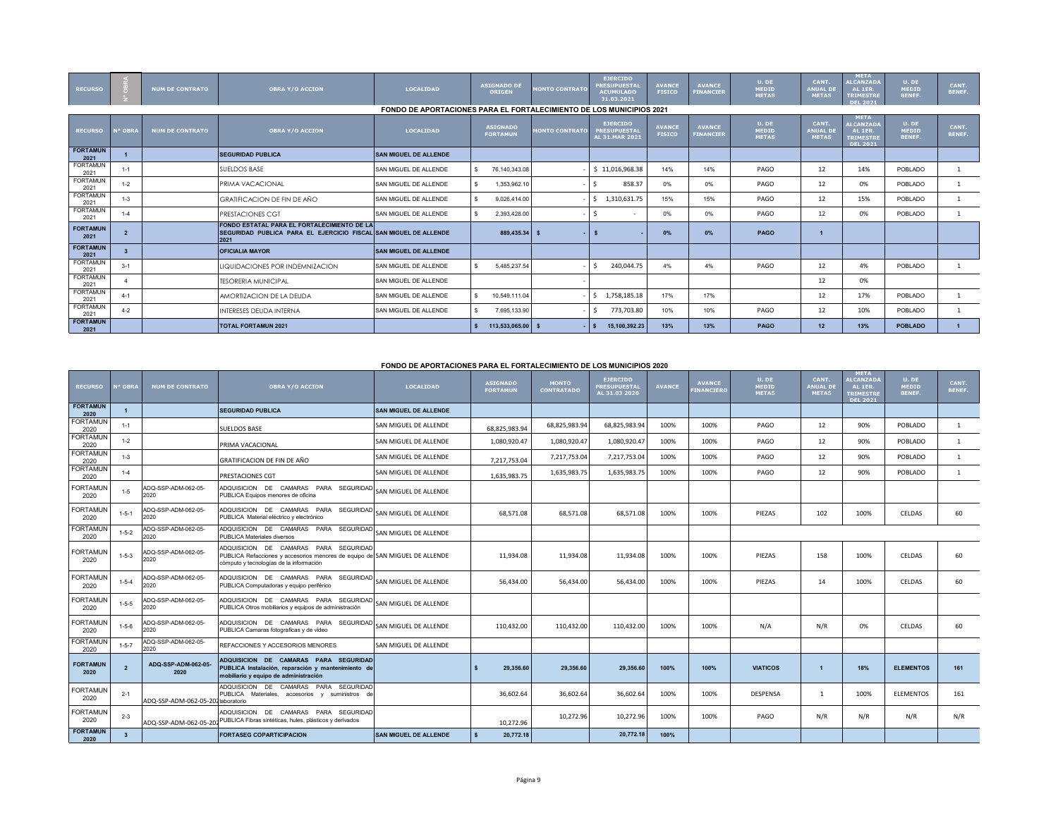| <b>RECURSO</b>          |                | <b>NUM DE CONTRATO</b> | <b>OBRA Y/O ACCION</b>                                                                                                  | <b>LOCALIDAD</b>                                                            | <b>ASIGNADO DI</b><br><b>ORIGEN</b> | <b>MONTO CONTRATO</b> | <b>EJERCIDO</b><br><b>PRESUPUESTAL</b><br><b>ACUMULADO</b><br>31.03.2021 | <b>AVANCE</b><br><b>FISICO</b> | <b>AVANCE</b><br><b>FINANCIER</b> | U. DE<br><b>MEDID</b><br><b>METAS</b> | CANT.<br><b>ANUAL DE</b><br><b>METAS</b> | <b>META</b><br><b>ALCANZADA</b><br>AL 1ER.<br><b>TRIMESTRE</b><br><b>DEL 2021</b> | U. DE<br><b>MEDID</b><br>BENEF. | CANT.<br>BENEF.        |
|-------------------------|----------------|------------------------|-------------------------------------------------------------------------------------------------------------------------|-----------------------------------------------------------------------------|-------------------------------------|-----------------------|--------------------------------------------------------------------------|--------------------------------|-----------------------------------|---------------------------------------|------------------------------------------|-----------------------------------------------------------------------------------|---------------------------------|------------------------|
|                         |                |                        |                                                                                                                         | <b>FONDO DE APORTACIONES PARA EL FORTALECIMIENTO DE LOS MUNICIPIOS 2021</b> |                                     |                       |                                                                          |                                |                                   |                                       |                                          |                                                                                   |                                 |                        |
| <b>RECURSO</b>          | <b>N° OBRA</b> | <b>NUM DE CONTRATO</b> | <b>OBRA Y/O ACCION</b>                                                                                                  | <b>LOCALIDAD</b>                                                            | <b>ASIGNADO</b><br><b>FORTAMUN</b>  | <b>MONTO CONTRATO</b> | <b>EJERCIDO</b><br><b>PRESUPUESTAL</b><br>AL 31.MAR 2021                 | <b>AVANCE</b><br><b>FISICO</b> | <b>AVANCE</b><br><b>FINANCIER</b> | U. DE<br><b>MEDID</b><br><b>METAS</b> | CANT.<br><b>ANUAL DE</b><br><b>METAS</b> | META<br><b>ALCANZADA</b><br>AL 1ER.<br><b>TRIMESTRE</b><br><b>DEL 2021</b>        | U. DE<br><b>MEDID</b><br>BENEF. | CANT.<br><b>BENEF.</b> |
| <b>FORTAMUN</b><br>2021 |                |                        | <b>SEGURIDAD PUBLICA</b>                                                                                                | <b>SAN MIGUEL DE ALLENDE</b>                                                |                                     |                       |                                                                          |                                |                                   |                                       |                                          |                                                                                   |                                 |                        |
| <b>FORTAMUN</b><br>2021 | $1 - 1$        |                        | <b>SUELDOS BASE</b>                                                                                                     | SAN MIGUEL DE ALLENDE                                                       | 76.140.343.08                       |                       | \$11,016,968.38                                                          | 14%                            | 14%                               | PAGO                                  | 12                                       | 14%                                                                               | POBLADO                         | -1                     |
| <b>FORTAMUN</b><br>2021 | $1 - 2$        |                        | PRIMA VACACIONAL                                                                                                        | SAN MIGUEL DE ALLENDE                                                       | 1,353,962.10                        |                       | 858.37                                                                   | 0%                             | 0%                                | PAGO                                  | 12                                       | 0%                                                                                | POBLADO                         |                        |
| <b>FORTAMUN</b><br>2021 | $1 - 3$        |                        | <b>GRATIFICACION DE FIN DE AÑO</b>                                                                                      | SAN MIGUEL DE ALLENDE                                                       | 9.026.414.00                        |                       | \$1,310,631.75                                                           | 15%                            | 15%                               | PAGO                                  | 12                                       | 15%                                                                               | POBLADO                         | -1                     |
| <b>FORTAMUN</b><br>2021 | $1 - 4$        |                        | PRESTACIONES CGT                                                                                                        | SAN MIGUEL DE ALLENDE                                                       | 2.393.428.00                        |                       | $\sim$                                                                   | 0%                             | 0%                                | PAGO                                  | 12                                       | 0%                                                                                | POBLADO                         |                        |
| <b>FORTAMUN</b><br>2021 |                |                        | FONDO ESTATAL PARA EL FORTALECIMIENTO DE LA<br>SEGURIDAD PUBLICA PARA EL EJERCICIO FISCAL SAN MIGUEL DE ALLENDE<br>2021 |                                                                             | 889.435.34 \$                       | ×.                    |                                                                          | 0%                             | 0%                                | PAGO                                  | $\mathbf{1}$                             |                                                                                   |                                 |                        |
| <b>FORTAMUN</b><br>2021 |                |                        | <b>OFICIALIA MAYOR</b>                                                                                                  | <b>SAN MIGUEL DE ALLENDE</b>                                                |                                     |                       |                                                                          |                                |                                   |                                       |                                          |                                                                                   |                                 |                        |
| <b>FORTAMUN</b><br>2021 | $3-1$          |                        | LIQUIDACIONES POR INDEMNIZACION                                                                                         | SAN MIGUEL DE ALLENDE                                                       | 5.485.237.54                        |                       | 240.044.75<br>-S                                                         | 4%                             | 4%                                | PAGO                                  | 12                                       | 4%                                                                                | POBLADO                         | 1                      |
| <b>FORTAMUN</b><br>2021 |                |                        | <b>TESORERIA MUNICIPAL</b>                                                                                              | SAN MIGUEL DE ALLENDE                                                       |                                     |                       |                                                                          |                                |                                   |                                       | 12                                       | 0%                                                                                |                                 |                        |
| <b>FORTAMUN</b><br>2021 | $4 - 1$        |                        | AMORTIZACION DE LA DEUDA                                                                                                | SAN MIGUEL DE ALLENDE                                                       | 10.549.111.04                       |                       | \$1,758,185.18                                                           | 17%                            | 17%                               |                                       | 12                                       | 17%                                                                               | POBLADO                         | 1                      |
| <b>FORTAMUN</b><br>2021 | $4 - 2$        |                        | <b>INTERESES DEUDA INTERNA</b>                                                                                          | SAN MIGUEL DE ALLENDE                                                       | 7,695,133.90                        |                       | 773,703.80                                                               | 10%                            | 10%                               | PAGO                                  | 12                                       | 10%                                                                               | POBLADO                         |                        |
| <b>FORTAMUN</b><br>2021 |                |                        | <b>TOTAL FORTAMUN 2021</b>                                                                                              |                                                                             | 113.533.065.00 \$                   |                       | 15,100,392.23<br>$-1$ s                                                  | 13%                            | 13%                               | PAGO                                  | 12 <sup>2</sup>                          | 13%                                                                               | <b>POBLADO</b>                  |                        |

## **FONDO DE APORTACIONES PARA EL FORTALECIMIENTO DE LOS MUNICIPIOS 2020**

| <b>RECURSO</b>          | <b>I<sup>o</sup> OBRA</b> | <b>NUM DE CONTRATO</b>             | <b>OBRA Y/O ACCION</b>                                                                                                                                          | <b>LOCALIDAD</b>             | <b>ASIGNADO</b><br><b>FORTAMUN</b> | <b>MONTO</b><br><b>CONTRATADO</b> | <b>EJERCIDO</b><br><b>PRESUPUESTAL</b><br>AL 31.03 2020 | <b>AVANCE</b> | <b>AVANCE</b><br><b>INANCIER</b> | U. DE<br>MEDID<br><b>METAS</b> | CANT.<br><b>ANUAL DE</b><br><b>METAS</b> | <b>META</b><br><b>LCANZADA</b><br>AL 1ER.<br><b>TRIMESTRE</b><br><b>DEL 2021</b> | $U.$ DE<br><b>MEDID</b><br><b>BENEF.</b> | CANT.<br><b>BENEF.</b> |
|-------------------------|---------------------------|------------------------------------|-----------------------------------------------------------------------------------------------------------------------------------------------------------------|------------------------------|------------------------------------|-----------------------------------|---------------------------------------------------------|---------------|----------------------------------|--------------------------------|------------------------------------------|----------------------------------------------------------------------------------|------------------------------------------|------------------------|
| <b>FORTAMUN</b><br>2020 |                           |                                    | <b>SEGURIDAD PUBLICA</b>                                                                                                                                        | <b>SAN MIGUEL DE ALLENDE</b> |                                    |                                   |                                                         |               |                                  |                                |                                          |                                                                                  |                                          |                        |
| <b>FORTAMUN</b><br>2020 | $1 - 1$                   |                                    | <b>SUELDOS BASE</b>                                                                                                                                             | SAN MIGUEL DE ALLENDE        | 68,825,983.94                      | 68,825,983.94                     | 68.825.983.94                                           | 100%          | 100%                             | PAGO                           | 12                                       | 90%                                                                              | POBLADO                                  | 1                      |
| <b>FORTAMUN</b><br>2020 | $1 - 2$                   |                                    | PRIMA VACACIONAL                                                                                                                                                | SAN MIGUEL DE ALLENDE        | 1.080.920.47                       | 1,080,920.47                      | 1,080,920.47                                            | 100%          | 100%                             | PAGO                           | 12                                       | 90%                                                                              | POBLADO                                  | $\mathbf{1}$           |
| <b>FORTAMUN</b><br>2020 | $1 - 3$                   |                                    | <b>GRATIFICACION DE FIN DE AÑO</b>                                                                                                                              | SAN MIGUEL DE ALLENDE        | 7,217,753.04                       | 7,217,753.04                      | 7,217,753.04                                            | 100%          | 100%                             | PAGO                           | 12                                       | 90%                                                                              | POBLADO                                  | $\mathbf{1}$           |
| <b>FORTAMUN</b><br>2020 | $1 - 4$                   |                                    | <b>PRESTACIONES CGT</b>                                                                                                                                         | SAN MIGUEL DE ALLENDE        | 1,635,983.75                       | 1,635,983.75                      | 1,635,983.75                                            | 100%          | 100%                             | PAGO                           | 12                                       | 90%                                                                              | POBLADO                                  | $\mathbf{1}$           |
| <b>FORTAMUN</b><br>2020 | $1 - 5$                   | ADQ-SSP-ADM-062-05-<br>2020        | ADQUISICION DE CAMARAS PARA SEGURIDAD<br>PUBLICA Equipos menores de oficina                                                                                     | SAN MIGUEL DE ALLENDE        |                                    |                                   |                                                         |               |                                  |                                |                                          |                                                                                  |                                          |                        |
| <b>FORTAMUN</b><br>2020 | $1 - 5 - 1$               | ADQ-SSP-ADM-062-05-<br>2020        | ADQUISICION DE CAMARAS PARA SEGURIDAD<br>PUBLICA Material eléctrico y electrónico                                                                               | SAN MIGUEL DE ALLENDE        | 68,571.08                          | 68.571.08                         | 68.571.08                                               | 100%          | 100%                             | PIEZAS                         | 102                                      | 100%                                                                             | CELDAS                                   | 60                     |
| <b>FORTAMUN</b><br>2020 | $1 - 5 - 2$               | ADQ-SSP-ADM-062-05-<br>2020        | ADQUISICION DE CAMARAS PARA SEGURIDAD<br>PUBLICA Materiales diversos                                                                                            | SAN MIGUEL DE ALLENDE        |                                    |                                   |                                                         |               |                                  |                                |                                          |                                                                                  |                                          |                        |
| <b>FORTAMUN</b><br>2020 | $1 - 5 - 3$               | ADQ-SSP-ADM-062-05-<br>2020        | ADQUISICION DE CAMARAS PARA SEGURIDAD<br>PUBLICA Refacciones y accesorios menores de equipo de SAN MIGUEL DE ALLENDE<br>cómputo y tecnologías de la información |                              | 11.934.08                          | 11.934.08                         | 11.934.08                                               | 100%          | 100%                             | PIEZAS                         | 158                                      | 100%                                                                             | CELDAS                                   | 60                     |
| <b>FORTAMUN</b><br>2020 | $1 - 5 - 4$               | ADQ-SSP-ADM-062-05-<br>2020        | ADQUISICION DE CAMARAS PARA SEGURIDAD SAN MIGUEL DE ALLENDE<br>PUBLICA Computadoras y equipo periférico                                                         |                              | 56.434.00                          | 56.434.00                         | 56.434.00                                               | 100%          | 100%                             | PIEZAS                         | 14                                       | 100%                                                                             | CELDAS                                   | 60                     |
| <b>FORTAMUN</b><br>2020 | $1 - 5 - 5$               | ADQ-SSP-ADM-062-05-<br>2020        | ADQUISICION DE CAMARAS PARA SEGURIDAD SAN MIGUEL DE ALLENDE<br>PUBLICA Otros mobiliarios y equipos de administración                                            |                              |                                    |                                   |                                                         |               |                                  |                                |                                          |                                                                                  |                                          |                        |
| <b>FORTAMUN</b><br>2020 | $1 - 5 - 6$               | ADQ-SSP-ADM-062-05-<br>2020        | ADQUISICION DE CAMARAS PARA SEGURIDAD<br>PUBLICA Camaras fotograficas y de video                                                                                | SAN MIGUEL DE ALLENDE        | 110.432.00                         | 110,432.00                        | 110,432.00                                              | 100%          | 100%                             | N/A                            | N/R                                      | 0%                                                                               | CELDAS                                   | 60                     |
| <b>FORTAMUN</b><br>2020 | $1 - 5 - 7$               | ADQ-SSP-ADM-062-05-<br>2020        | REFACCIONES Y ACCESORIOS MENORES                                                                                                                                | SAN MIGUEL DE ALLENDE        |                                    |                                   |                                                         |               |                                  |                                |                                          |                                                                                  |                                          |                        |
| <b>FORTAMUN</b><br>2020 | $\overline{2}$            | ADQ-SSP-ADM-062-05-<br>2020        | ADQUISICION DE CAMARAS PARA SEGURIDAD<br>PUBLICA Instalación, reparación y mantenimiento de<br>mobiliario y equipo de administración                            |                              | 29,356.60                          | 29.356.60                         | 29,356.60                                               | 100%          | 100%                             | <b>VIATICOS</b>                | $\blacktriangleleft$                     | 18%                                                                              | <b>ELEMENTOS</b>                         | 161                    |
| <b>FORTAMUN</b><br>2020 | $2 - 1$                   | ADQ-SSP-ADM-062-05-202 laboratorio | ADQUISICION DE CAMARAS PARA SEGURIDAD<br>PUBLICA Materiales, accesorios y suministros de                                                                        |                              | 36,602.64                          | 36,602.64                         | 36,602.64                                               | 100%          | 100%                             | DESPENSA                       |                                          | 100%                                                                             | <b>ELEMENTOS</b>                         | 161                    |
| <b>FORTAMUN</b><br>2020 | $2 - 3$                   | ADQ-SSP-ADM-062-05-20              | ADQUISICION DE CAMARAS PARA SEGURIDAD<br>PUBLICA Fibras sintéticas, hules, plásticos y derivados                                                                |                              | 10.272.96                          | 10,272.96                         | 10,272.96                                               | 100%          | 100%                             | PAGO                           | N/R                                      | N/R                                                                              | N/R                                      | N/R                    |
| <b>FORTAMUN</b><br>2020 | $\overline{\mathbf{3}}$   |                                    | <b>FORTASEG COPARTICIPACION</b>                                                                                                                                 | <b>SAN MIGUEL DE ALLENDE</b> | 20,772.18                          |                                   | 20.772.18                                               | 100%          |                                  |                                |                                          |                                                                                  |                                          |                        |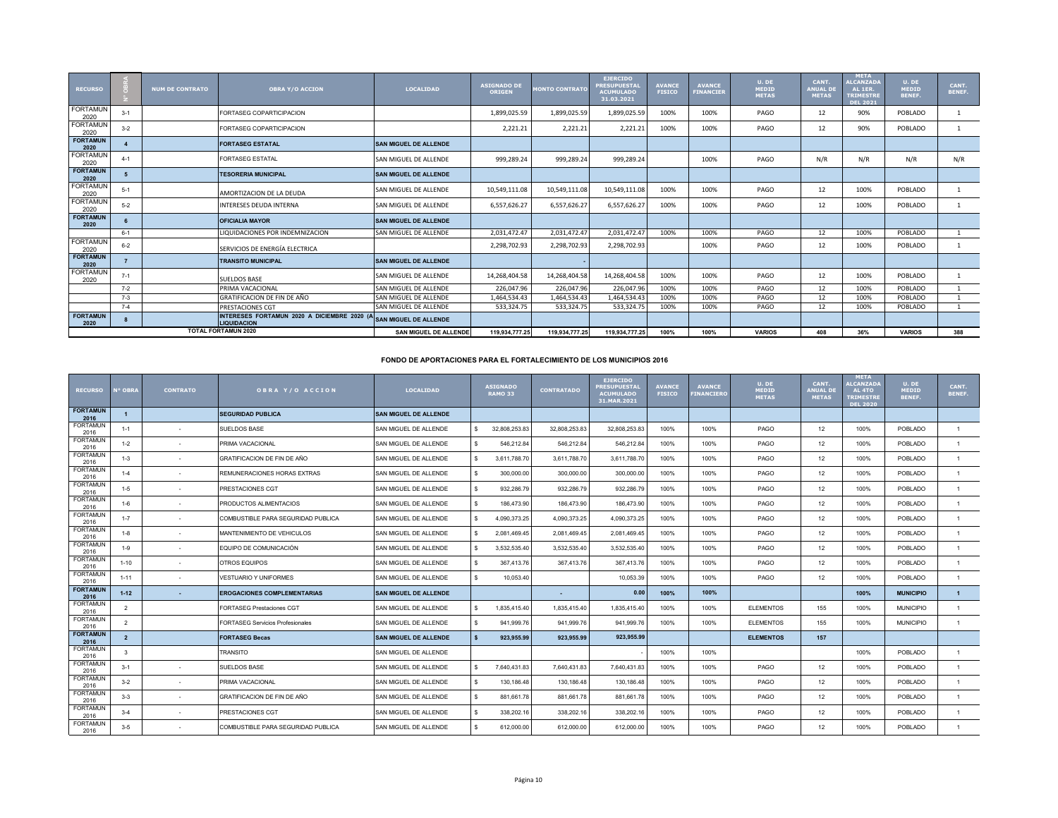| <b>RECURSO</b>          |         | <b>NUM DE CONTRATO</b> | <b>OBRA Y/O ACCION</b>                                            | <b>LOCALIDAD</b>             | <b>ASIGNADO DE</b><br><b>ORIGEN</b> | <b>MONTO CONTRATO</b> | <b>EJERCIDO</b><br><b>PRESUPUESTAL</b><br><b>ACUMULADO</b><br>31.03.2021 | <b>AVANCE</b><br><b>FISICO</b> | <b>AVANCE</b><br><b>FINANCIER</b> | U. DE<br><b>MEDID</b><br><b>METAS</b> | CANT.<br><b>ANUAL DI</b><br><b>METAS</b> | <b>META</b><br><b>ALCANZADA</b><br>AL 1ER.<br><b>TRIMESTRE</b><br><b>DEL 2021</b> | U. DE<br><b>MEDID</b><br><b>BENEF.</b> | CANT.<br><b>BENEF.</b> |
|-------------------------|---------|------------------------|-------------------------------------------------------------------|------------------------------|-------------------------------------|-----------------------|--------------------------------------------------------------------------|--------------------------------|-----------------------------------|---------------------------------------|------------------------------------------|-----------------------------------------------------------------------------------|----------------------------------------|------------------------|
| <b>FORTAMUN</b><br>2020 | $3 - 1$ |                        | FORTASEG COPARTICIPACION                                          |                              | 1,899,025.59                        | 1,899,025.59          | 1,899,025.59                                                             | 100%                           | 100%                              | PAGO                                  | 12                                       | 90%                                                                               | POBLADO                                |                        |
| <b>FORTAMUN</b><br>2020 | $3 - 2$ |                        | FORTASEG COPARTICIPACION                                          |                              | 2,221.21                            | 2,221.21              | 2,221.21                                                                 | 100%                           | 100%                              | PAGO                                  | 12                                       | 90%                                                                               | POBLADO                                |                        |
| <b>FORTAMUN</b><br>2020 |         |                        | <b>FORTASEG ESTATAL</b>                                           | <b>SAN MIGUEL DE ALLENDE</b> |                                     |                       |                                                                          |                                |                                   |                                       |                                          |                                                                                   |                                        |                        |
| <b>FORTAMUN</b><br>2020 | $4 - 1$ |                        | <b>FORTASEG ESTATAL</b>                                           | SAN MIGUEL DE ALLENDE        | 999,289.24                          | 999,289.24            | 999,289.24                                                               |                                | 100%                              | PAGO                                  | N/R                                      | N/R                                                                               | N/R                                    | N/R                    |
| <b>FORTAMUN</b><br>2020 |         |                        | <b>TESORERIA MUNICIPAL</b>                                        | <b>SAN MIGUEL DE ALLENDE</b> |                                     |                       |                                                                          |                                |                                   |                                       |                                          |                                                                                   |                                        |                        |
| <b>FORTAMUN</b><br>2020 | $5 - 1$ |                        | AMORTIZACION DE LA DEUDA                                          | SAN MIGUEL DE ALLENDE        | 10,549,111.08                       | 10,549,111.08         | 10,549,111.08                                                            | 100%                           | 100%                              | PAGO                                  | 12                                       | 100%                                                                              | POBLADO                                |                        |
| <b>FORTAMUN</b><br>2020 | $5 - 2$ |                        | <b>INTERESES DEUDA INTERNA</b>                                    | SAN MIGUEL DE ALLENDE        | 6,557,626.27                        | 6,557,626.27          | 6,557,626.27                                                             | 100%                           | 100%                              | PAGO                                  | 12                                       | 100%                                                                              | POBLADO                                |                        |
| <b>FORTAMUN</b><br>2020 |         |                        | <b>OFICIALIA MAYOR</b>                                            | <b>SAN MIGUEL DE ALLENDE</b> |                                     |                       |                                                                          |                                |                                   |                                       |                                          |                                                                                   |                                        |                        |
|                         | $6 - 1$ |                        | LIQUIDACIONES POR INDEMNIZACION                                   | SAN MIGUEL DE ALLENDE        | 2,031,472.47                        | 2.031.472.47          | 2.031.472.47                                                             | 100%                           | 100%                              | PAGO                                  | 12                                       | 100%                                                                              | POBLADO                                |                        |
| <b>FORTAMUN</b><br>2020 | $6 - 2$ |                        | SERVICIOS DE ENERGÍA ELECTRICA                                    |                              | 2,298,702.93                        | 2,298,702.93          | 2,298,702.93                                                             |                                | 100%                              | PAGO                                  | 12                                       | 100%                                                                              | POBLADO                                |                        |
| <b>FORTAMUN</b><br>2020 |         |                        | <b>TRANSITO MUNICIPAL</b>                                         | <b>SAN MIGUEL DE ALLENDE</b> |                                     |                       |                                                                          |                                |                                   |                                       |                                          |                                                                                   |                                        |                        |
| <b>FORTAMUN</b><br>2020 | $7 - 1$ |                        | SUELDOS BASE                                                      | SAN MIGUEL DE ALLENDE        | 14,268,404.58                       | 14,268,404.58         | 14,268,404.58                                                            | 100%                           | 100%                              | PAGO                                  | 12                                       | 100%                                                                              | POBLADO                                |                        |
|                         | $7 - 2$ |                        | PRIMA VACACIONAL                                                  | SAN MIGUEL DE ALLENDE        | 226,047.96                          | 226,047.96            | 226,047.96                                                               | 100%                           | 100%                              | PAGO                                  | 12                                       | 100%                                                                              | POBLADO                                |                        |
|                         | $7 - 3$ |                        | GRATIFICACION DE FIN DE AÑO                                       | SAN MIGUEL DE ALLENDE        | 1.464.534.43                        | 1.464.534.43          | 1.464.534.43                                                             | 100%                           | 100%                              | PAGO                                  | 12                                       | 100%                                                                              | POBLADO                                |                        |
|                         | $7 - 4$ |                        | <b>PRESTACIONES CGT</b>                                           | SAN MIGUEL DE ALLENDE        | 533,324.75                          | 533,324.75            | 533,324.75                                                               | 100%                           | 100%                              | PAGO                                  | 12                                       | 100%                                                                              | POBLADO                                |                        |
| <b>FORTAMUN</b><br>2020 |         |                        | INTERESES FORTAMUN 2020 A DICIEMBRE 2020 (A<br><b>LIQUIDACION</b> | <b>SAN MIGUEL DE ALLENDE</b> |                                     |                       |                                                                          |                                |                                   |                                       |                                          |                                                                                   |                                        |                        |
|                         |         |                        | <b>TOTAL FORTAMUN 2020</b>                                        | <b>SAN MIGUEL DE ALLENDE</b> | 119.934.777.25                      | 119.934.777.25        | 119.934.777.25                                                           | 100%                           | 100%                              | <b>VARIOS</b>                         | 408                                      | 36%                                                                               | <b>VARIOS</b>                          | 388                    |

## **FONDO DE APORTACIONES PARA EL FORTALECIMIENTO DE LOS MUNICIPIOS 2016**

| <b>RECURSO</b>          | <b>N° OBRA</b> | <b>CONTRATO</b> | OBRA Y/O ACCION                         | <b>LOCALIDAD</b>             |     | <b>ASIGNADO</b><br><b>RAMO 33</b> | <b>CONTRATADO</b> | <b>EJERCIDO</b><br><b>PRESUPUESTA</b><br><b>ACUMULADO</b><br>31.MAR.2021 | <b>AVANCE</b><br><b>FISICO</b> | <b>AVANCE</b><br><b>INANCIERO</b> | U. DE<br><b>MEDID</b><br><b>METAS</b> | CANT.<br><b>ANUAL DE</b><br><b>METAS</b> | <b>META</b><br><b>LCANZADA</b><br>AL <sub>4</sub> TO<br><b>TRIMESTRI</b><br><b>DEL 2020</b> | U. DE<br><b>MEDID</b><br><b>BENEF.</b> | CANT.<br><b>BENEF.</b> |
|-------------------------|----------------|-----------------|-----------------------------------------|------------------------------|-----|-----------------------------------|-------------------|--------------------------------------------------------------------------|--------------------------------|-----------------------------------|---------------------------------------|------------------------------------------|---------------------------------------------------------------------------------------------|----------------------------------------|------------------------|
| <b>FORTAMUN</b><br>2016 |                |                 | <b>SEGURIDAD PUBLICA</b>                | <b>SAN MIGUEL DE ALLENDE</b> |     |                                   |                   |                                                                          |                                |                                   |                                       |                                          |                                                                                             |                                        |                        |
| <b>FORTAMUN</b><br>2016 | $1 - 1$        |                 | <b>SUELDOS BASE</b>                     | SAN MIGUEL DE ALLENDE        | \$. | 32.808.253.83                     | 32.808.253.83     | 32,808,253.83                                                            | 100%                           | 100%                              | PAGO                                  | 12                                       | 100%                                                                                        | <b>POBLADO</b>                         |                        |
| <b>FORTAMUN</b><br>2016 | $1 - 2$        | $\sim$          | PRIMA VACACIONAL                        | SAN MIGUEL DE ALLENDE        | \$. | 546,212.84                        | 546,212.84        | 546,212.84                                                               | 100%                           | 100%                              | PAGO                                  | 12                                       | 100%                                                                                        | POBLADO                                |                        |
| <b>FORTAMUN</b><br>2016 | $1 - 3$        |                 | <b>GRATIFICACION DE FIN DE AÑO</b>      | SAN MIGUEL DE ALLENDE        | \$. | 3,611,788.70                      | 3.611.788.70      | 3,611,788.70                                                             | 100%                           | 100%                              | PAGO                                  | 12                                       | 100%                                                                                        | <b>POBLADO</b>                         |                        |
| <b>FORTAMUN</b><br>2016 | $1 - 4$        |                 | REMUNERACIONES HORAS EXTRAS             | SAN MIGUEL DE ALLENDE        | \$. | 300,000.00                        | 300,000.00        | 300,000.00                                                               | 100%                           | 100%                              | PAGO                                  | 12                                       | 100%                                                                                        | <b>POBLADO</b>                         | $\mathbf{1}$           |
| <b>FORTAMUN</b><br>2016 | $1 - 5$        |                 | PRESTACIONES CGT                        | SAN MIGUEL DE ALLENDE        | \$  | 932,286.79                        | 932,286.79        | 932,286.79                                                               | 100%                           | 100%                              | PAGO                                  | 12                                       | 100%                                                                                        | POBLADO                                |                        |
| <b>FORTAMUN</b><br>2016 | $1 - 6$        |                 | PRODUCTOS ALIMENTACIOS                  | SAN MIGUEL DE ALLENDE        | \$. | 186,473.90                        | 186,473.90        | 186,473.90                                                               | 100%                           | 100%                              | PAGO                                  | 12                                       | 100%                                                                                        | <b>POBLADO</b>                         |                        |
| <b>FORTAMUN</b><br>2016 | $1 - 7$        |                 | COMBUSTIBLE PARA SEGURIDAD PUBLICA      | SAN MIGUEL DE ALLENDE        | \$. | 4,090,373.25                      | 4,090,373.25      | 4,090,373.25                                                             | 100%                           | 100%                              | PAGO                                  | 12                                       | 100%                                                                                        | POBLADO                                |                        |
| <b>FORTAMUN</b><br>2016 | $1 - 8$        |                 | MANTENIMIENTO DE VEHICULOS              | SAN MIGUEL DE ALLENDE        | \$  | 2,081,469.45                      | 2,081,469.45      | 2,081,469.45                                                             | 100%                           | 100%                              | PAGO                                  | 12                                       | 100%                                                                                        | POBLADO                                |                        |
| <b>FORTAMUN</b><br>2016 | $1 - 9$        |                 | EQUIPO DE COMUNICACIÓN                  | SAN MIGUEL DE ALLENDE        | \$. | 3,532,535.40                      | 3,532,535.40      | 3,532,535.40                                                             | 100%                           | 100%                              | PAGO                                  | 12                                       | 100%                                                                                        | <b>POBLADO</b>                         | $\mathbf{1}$           |
| <b>FORTAMUN</b><br>2016 | $1 - 10$       |                 | OTROS EQUIPOS                           | SAN MIGUEL DE ALLENDE        | \$  | 367.413.76                        | 367,413.76        | 367,413.76                                                               | 100%                           | 100%                              | PAGO                                  | 12                                       | 100%                                                                                        | <b>POBLADO</b>                         | $\mathbf{1}$           |
| <b>FORTAMUN</b><br>2016 | $1 - 11$       | $\sim$          | VESTUARIO Y UNIFORMES                   | SAN MIGUEL DE ALLENDE        | \$  | 10.053.40                         |                   | 10,053.39                                                                | 100%                           | 100%                              | PAGO                                  | 12                                       | 100%                                                                                        | <b>POBLADO</b>                         |                        |
| <b>FORTAMUN</b><br>2016 | $1 - 12$       | ٠               | <b>EROGACIONES COMPLEMENTARIAS</b>      | <b>SAN MIGUEL DE ALLENDE</b> |     |                                   | ۰.                | 0.00                                                                     | 100%                           | 100%                              |                                       |                                          | 100%                                                                                        | <b>MUNICIPIO</b>                       | $\mathbf{1}$           |
| <b>FORTAMUN</b><br>2016 | $\overline{2}$ |                 | <b>FORTASEG Prestaciones CGT</b>        | SAN MIGUEL DE ALLENDE        | \$  | 1,835,415.40                      | 1,835,415.40      | 1,835,415.40                                                             | 100%                           | 100%                              | <b>ELEMENTOS</b>                      | 155                                      | 100%                                                                                        | <b>MUNICIPIO</b>                       |                        |
| <b>FORTAMUN</b><br>2016 | $\overline{2}$ |                 | <b>FORTASEG Servicios Profesionales</b> | SAN MIGUEL DE ALLENDE        | \$  | 941,999.76                        | 941.999.76        | 941,999.76                                                               | 100%                           | 100%                              | <b>ELEMENTOS</b>                      | 155                                      | 100%                                                                                        | <b>MUNICIPIO</b>                       |                        |
| <b>FORTAMUN</b><br>2016 | $\overline{2}$ |                 | <b>FORTASEG Becas</b>                   | <b>SAN MIGUEL DE ALLENDE</b> |     | 923,955.99                        | 923,955.99        | 923,955.99                                                               |                                |                                   | <b>ELEMENTOS</b>                      | 157                                      |                                                                                             |                                        |                        |
| <b>FORTAMUN</b><br>2016 | 3              |                 | <b>TRANSITO</b>                         | SAN MIGUEL DE ALLENDE        |     |                                   |                   |                                                                          | 100%                           | 100%                              |                                       |                                          | 100%                                                                                        | POBLADO                                |                        |
| FORTAMUN<br>2016        | $3 - 1$        |                 | SUELDOS BASE                            | SAN MIGUEL DE ALLENDE        | \$  | 7,640,431.83                      | 7,640,431.83      | 7,640,431.83                                                             | 100%                           | 100%                              | PAGO                                  | 12                                       | 100%                                                                                        | <b>POBLADO</b>                         |                        |
| <b>FORTAMUN</b><br>2016 | $3 - 2$        | ۰.              | PRIMA VACACIONAL                        | SAN MIGUEL DE ALLENDE        | \$. | 130, 186.48                       | 130,186.48        | 130,186.48                                                               | 100%                           | 100%                              | PAGO                                  | 12                                       | 100%                                                                                        | POBLADO                                |                        |
| <b>FORTAMUN</b><br>2016 | $3-3$          |                 | GRATIFICACION DE FIN DE AÑO             | SAN MIGUEL DE ALLENDE        | \$  | 881,661.78                        | 881,661.78        | 881,661.78                                                               | 100%                           | 100%                              | PAGO                                  | 12                                       | 100%                                                                                        | <b>POBLADO</b>                         | $\mathbf{1}$           |
| <b>FORTAMUN</b><br>2016 | $3 - 4$        |                 | PRESTACIONES CGT                        | SAN MIGUEL DE ALLENDE        | \$. | 338,202.16                        | 338,202.16        | 338,202.16                                                               | 100%                           | 100%                              | PAGO                                  | 12                                       | 100%                                                                                        | POBLADO                                | $\mathbf{1}$           |
| <b>FORTAMUN</b><br>2016 | $3-5$          |                 | COMBUSTIBLE PARA SEGURIDAD PUBLICA      | SAN MIGUEL DE ALLENDE        |     | 612,000.00                        | 612,000.00        | 612,000.00                                                               | 100%                           | 100%                              | PAGO                                  | 12 <sup>1</sup>                          | 100%                                                                                        | <b>POBLADO</b>                         |                        |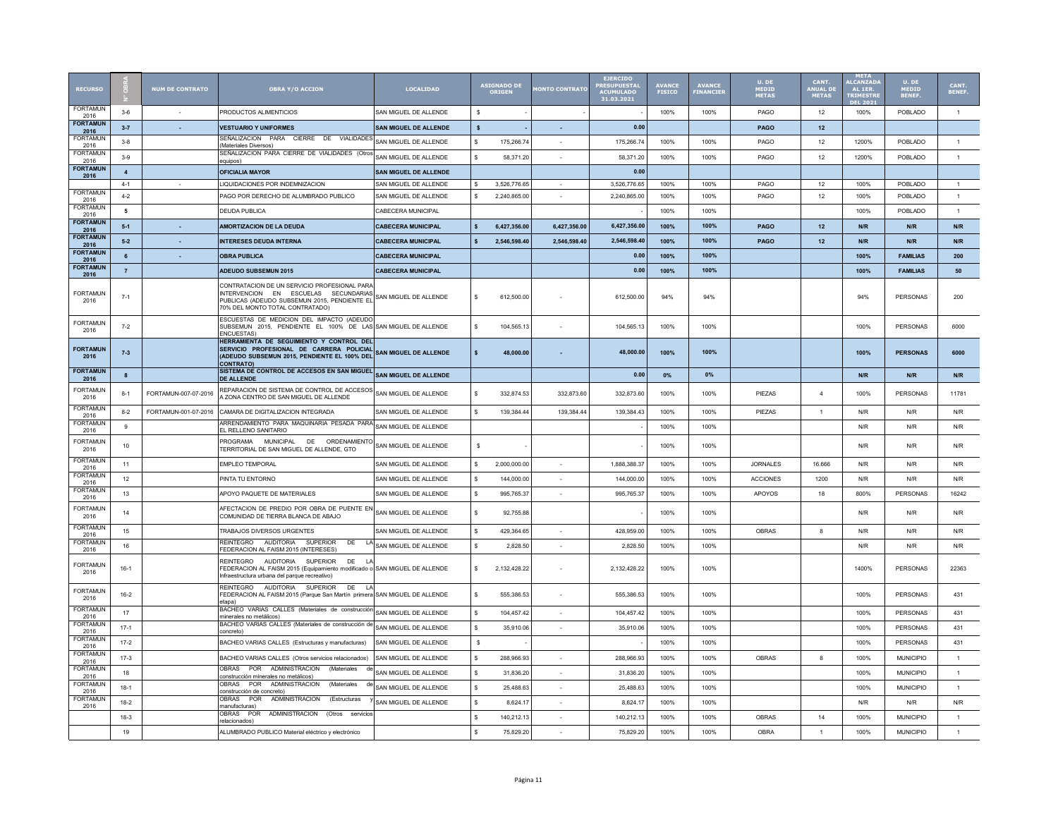| <b>RECURSO</b>          |                         | <b>NUM DE CONTRATO</b> | <b>OBRA Y/O ACCION</b>                                                                                                                                                    | <b>LOCALIDAD</b>             |                    | <b>ASIGNADO DE</b><br>ORIGEN | <b>IONTO CONTRATO</b>    | <b>EJERCIDO</b><br><b><i>PRESUPUESTA</i></b><br><b>ACUMULADO</b><br>31.03.2021 | <b>AVANCE</b> | AVANCE<br>FINANCIE | U, DE<br><b>MEDID<br/>METAS</b> | CANT.<br>ANUAL DI<br><b>METAS</b> | <b>META</b><br><b>ALCANZA</b><br>AL 1ER<br><b>TRIMEST</b><br><b>EL 203</b> | <b>U. DE</b><br>MEDID<br>BENEF. | CANT.<br>BENEF. |
|-------------------------|-------------------------|------------------------|---------------------------------------------------------------------------------------------------------------------------------------------------------------------------|------------------------------|--------------------|------------------------------|--------------------------|--------------------------------------------------------------------------------|---------------|--------------------|---------------------------------|-----------------------------------|----------------------------------------------------------------------------|---------------------------------|-----------------|
| <b>FORTAMUN</b><br>2016 | $3 - 6$                 |                        | PRODUCTOS ALIMENTICIOS                                                                                                                                                    | SAN MIGUEL DE ALLENDE        | <b>s</b>           |                              |                          |                                                                                | 100%          | 100%               | PAGO                            | 12                                | 100%                                                                       | POBLADO                         | 1               |
| <b>FORTAMUN</b><br>2016 | $3 - 7$                 | $\sim$                 | <b>VESTUARIO Y UNIFORMES</b>                                                                                                                                              | SAN MIGUEL DE ALLENDE        | $\mathbf{s}$       |                              | ×.                       | 0.00                                                                           |               |                    | <b>PAGO</b>                     | 12                                |                                                                            |                                 |                 |
| <b>FORTAMUN</b><br>2016 | $3 - 8$                 |                        | SEÑALIZACION PARA CIERRE DE VIALIDADES<br>Materiales Diversos)                                                                                                            | SAN MIGUEL DE ALLENDE        | \$.                | 175.266.74                   |                          | 175.266.74                                                                     | 100%          | 100%               | PAGO                            | 12                                | 1200%                                                                      | POBLADO                         | $\mathbf{1}$    |
| <b>FORTAMUN</b><br>2016 | $3-9$                   |                        | SEÑALIZACION PARA CIERRE DE VIALIDADES (Otros<br>equipos)                                                                                                                 | SAN MIGUEL DE ALLENDE        | \$                 | 58.371.20                    |                          | 58,371.20                                                                      | 100%          | 100%               | PAGO                            | 12                                | 1200%                                                                      | POBLADO                         | $\mathbf{1}$    |
| <b>FORTAMUN</b><br>2016 | $\overline{\mathbf{4}}$ |                        | <b>OFICIALIA MAYOR</b>                                                                                                                                                    | <b>SAN MIGUEL DE ALLENDE</b> |                    |                              |                          | 0.00                                                                           |               |                    |                                 |                                   |                                                                            |                                 |                 |
|                         | $4 - 1$                 |                        | LIQUIDACIONES POR INDEMNIZACION                                                                                                                                           | SAN MIGUEL DE ALLENDE        | \$                 | 3,526,776.65                 |                          | 3,526,776.65                                                                   | 100%          | 100%               | PAGO                            | 12                                | 100%                                                                       | POBLADO                         | $\mathbf{1}$    |
| <b>FORTAMUN</b><br>2016 | $4-2$                   |                        | PAGO POR DERECHO DE ALUMBRADO PUBLICO                                                                                                                                     | SAN MIGUEL DE ALLENDE        | \$.                | 2.240.865.00                 |                          | 2.240.865.00                                                                   | 100%          | 100%               | PAGO                            | 12                                | 100%                                                                       | POBLADO                         | 1               |
| <b>FORTAMUN</b><br>2016 | 5                       |                        | <b>DEUDA PUBLICA</b>                                                                                                                                                      | CABECERA MUNICIPAL           |                    |                              |                          |                                                                                | 100%          | 100%               |                                 |                                   | 100%                                                                       | POBLADO                         | $\mathbf{1}$    |
| <b>FORTAMUN</b><br>2016 | $5-1$                   |                        | AMORTIZACION DE LA DEUDA                                                                                                                                                  | <b>CABECERA MUNICIPAL</b>    | Ś                  | 6.427.356.00                 | 6,427,356.00             | 6.427.356.0                                                                    | 100%          | 100%               | PAGO                            | 12                                | N/R                                                                        | N/R                             | N/R             |
| <b>FORTAMUN</b><br>2016 | $5 - 2$                 |                        | <b>INTERESES DEUDA INTERNA</b>                                                                                                                                            | <b>CABECERA MUNICIPAL</b>    |                    | 2.546.598.40                 | 2.546.598.40             | 2.546.598.40                                                                   | 100%          | 100%               | PAGO                            | 12                                | N/R                                                                        | N/R                             | N/R             |
| <b>FORTAMUN</b><br>2016 | 6                       |                        | <b>OBRA PUBLICA</b>                                                                                                                                                       | <b>CABECERA MUNICIPAL</b>    |                    |                              |                          | 0.00                                                                           | 100%          | 100%               |                                 |                                   | 100%                                                                       | <b>FAMILIAS</b>                 | 200             |
| <b>FORTAMUN</b><br>2016 | $\overline{7}$          |                        | ADEUDO SUBSEMUN 2015                                                                                                                                                      | <b>CABECERA MUNICIPAL</b>    |                    |                              |                          | 0.00                                                                           | 100%          | 100%               |                                 |                                   | 100%                                                                       | <b>FAMILIAS</b>                 | 50              |
| <b>FORTAMUN</b><br>2016 | $7 - 1$                 |                        | CONTRATACION DE UN SERVICIO PROFESIONAL PARA<br>INTERVENCION EN ESCUELAS SECUNDARIAS<br>PUBLICAS (ADEUDO SUBSEMUN 2015, PENDIENTE EL<br>70% DEL MONTO TOTAL CONTRATADO    | SAN MIGUEL DE ALLENDE        | \$.                | 612,500.00                   |                          | 612,500.00                                                                     | 94%           | 94%                |                                 |                                   | 94%                                                                        | <b>PERSONAS</b>                 | 200             |
| <b>FORTAMUN</b><br>2016 | $7 - 2$                 |                        | ESCUESTAS DE MEDICION DEL IMPACTO (ADEUDO<br>SUBSEMUN 2015, PENDIENTE EL 100% DE LAS SAN MIGUEL DE ALLENDE<br><b>INCUESTAS</b>                                            |                              | \$                 | 104,565.13                   |                          | 104,565.13                                                                     | 100%          | 100%               |                                 |                                   | 100%                                                                       | <b>PERSONAS</b>                 | 6000            |
| <b>FORTAMUN</b><br>2016 | $7 - 3$                 |                        | HERRAMIENTA DE SEGUIMIENTO Y CONTROL DEL<br>SERVICIO PROFESIONAL DE CARRERA POLICIAL<br>(ADEUDO SUBSEMUN 2015, PENDIENTE EL 100% DEL<br><b>CONTRATO)</b>                  | <b>SAN MIGUEL DE ALLENDE</b> | \$                 | 48.000.00                    |                          | 48.000.00                                                                      | 100%          | 100%               |                                 |                                   | 100%                                                                       | <b>PERSONAS</b>                 | 6000            |
| <b>FORTAMUN</b><br>2016 | $\mathbf{8}$            |                        | SISTEMA DE CONTROL DE ACCESOS EN SAN MIGUEL<br><b>DE ALLENDE</b>                                                                                                          | <b>SAN MIGUEL DE ALLENDE</b> |                    |                              |                          | 0.00                                                                           | 0%            | 0%                 |                                 |                                   | N/R                                                                        | N/R                             | N/R             |
| <b>FORTAMUN</b><br>2016 | $8 - 1$                 | FORTAMUN-007-07-2016   | REPARACION DE SISTEMA DE CONTROL DE ACCESOS<br>A ZONA CENTRO DE SAN MIGUEL DE ALLENDE                                                                                     | SAN MIGUEL DE ALLENDE        | \$.                | 332,874.53                   | 332.873.60               | 332,873.60                                                                     | 100%          | 100%               | PIEZAS                          | $\Delta$                          | 100%                                                                       | PERSONAS                        | 11781           |
| <b>FORTAMUN</b><br>2016 | $8 - 2$                 | FORTAMUN-001-07-2016   | CAMARA DE DIGITALIZACION INTEGRADA                                                                                                                                        | SAN MIGUEL DE ALLENDE        | \$                 | 139,384.44                   | 139,384.44               | 139,384.43                                                                     | 100%          | 100%               | PIEZAS                          | $\overline{1}$                    | N/R                                                                        | N/R                             | N/R             |
| FORTAMUN<br>2016        | 9                       |                        | ARRENDAMIENTO PARA MAQUINARIA PESADA PARA<br>EL RELLENO SANITARIO                                                                                                         | SAN MIGUEL DE ALLENDE        |                    |                              |                          |                                                                                | 100%          | 100%               |                                 |                                   | N/R                                                                        | N/R                             | N/R             |
| <b>FORTAMUN</b><br>2016 | 10                      |                        | MUNICIPAI DE<br>PROGRAMA<br>ORDENAMIENTO<br>TERRITORIAL DE SAN MIGUEL DE ALLENDE, GTO                                                                                     | SAN MIGUEL DE ALLENDE        | s                  |                              |                          |                                                                                | 100%          | 100%               |                                 |                                   | N/R                                                                        | N/R                             | N/R             |
| <b>FORTAMUN</b><br>2016 | 11                      |                        | <b>EMPLEO TEMPORAL</b>                                                                                                                                                    | SAN MIGUEL DE ALLENDE        | s.                 | 2.000.000.00                 |                          | 1.888.388.37                                                                   | 100%          | 100%               | <b>JORNALES</b>                 | 16.666                            | N/R                                                                        | N/R                             | N/R             |
| <b>FORTAMUN</b><br>2016 | 12                      |                        | PINTA TU ENTORNO                                                                                                                                                          | SAN MIGUEL DE ALLENDE        | \$                 | 144,000.00                   |                          | 144,000.00                                                                     | 100%          | 100%               | <b>ACCIONES</b>                 | 1200                              | N/R                                                                        | N/R                             | N/R             |
| <b>FORTAMUN</b><br>2016 | 13                      |                        | APOYO PAQUETE DE MATERIALES                                                                                                                                               | SAN MIGUEL DE ALLENDE        | \$                 | 995,765.37                   | ×.                       | 995,765.3                                                                      | 100%          | 100%               | APOYOS                          | 18                                | 800%                                                                       | PERSONAS                        | 16242           |
| <b>FORTAMUN</b><br>2016 | 14                      |                        | AFECTACION DE PREDIO POR OBRA DE PUENTE EN<br>COMUNIDAD DE TIERRA BLANCA DE ABAJO                                                                                         | SAN MIGUEL DE ALLENDE        | \$                 | 92,755.88                    |                          |                                                                                | 100%          | 100%               |                                 |                                   | N/R                                                                        | N/R                             | N/R             |
| <b>FORTAMUN</b><br>2016 | 15                      |                        | TRABAJOS DIVERSOS URGENTES                                                                                                                                                | SAN MIGUEL DE ALLENDE        | \$                 | 429.364.65                   | $\overline{\phantom{a}}$ | 428.959.00                                                                     | 100%          | 100%               | <b>OBRAS</b>                    | 8                                 | N/R                                                                        | N/R                             | N/R             |
| <b>FORTAMUN</b><br>2016 | 16                      |                        | <b>REINTEGRO</b><br><b>AUDITORIA</b><br><b>SUPERIOR</b><br>DE<br>FEDERACION AL FAISM 2015 (INTERESES)                                                                     | LA SAN MIGUEL DE ALLENDE     | \$                 | 2,828.50                     |                          | 2,828.50                                                                       | 100%          | 100%               |                                 |                                   | N/R                                                                        | N/R                             | N/R             |
| <b>FORTAMUN</b><br>2016 | $16-1$                  |                        | REINTEGRO<br>AUDITORIA<br>DE LA<br>SUPERIOR<br>FEDERACION AL FAISM 2015 (Equipamiento modificado o SAN MIGUEL DE ALLENDE<br>Infraestructura urbana del parque recreativo) |                              | \$                 | 2,132,428.22                 |                          | 2.132.428.22                                                                   | 100%          | 100%               |                                 |                                   | 1400%                                                                      | <b>PERSONAS</b>                 | 22363           |
| <b>FORTAMUN</b><br>2016 | $16 - 2$                |                        | REINTEGRO AUDITORIA SUPERIOR DE LA<br>FEDERACION AL FAISM 2015 (Parque San Martín primera SAN MIGUEL DE ALLENDE<br>etapa)                                                 |                              | \$                 | 555,386.53                   |                          | 555,386.53                                                                     | 100%          | 100%               |                                 |                                   | 100%                                                                       | PERSONAS                        | 431             |
| <b>FORTAMUN</b><br>2016 | 17                      |                        | BACHEO VARIAS CALLES (Materiales de construcción<br>minerales no metálicos)                                                                                               | SAN MIGUEL DE ALLENDE        | \$                 | 104,457.42                   |                          | 104,457.42                                                                     | 100%          | 100%               |                                 |                                   | 100%                                                                       | PERSONAS                        | 431             |
| FORTAMUN<br>2016        | $17-1$                  |                        | BACHEO VARIAS CALLES (Materiales de construcción de<br>concreto)                                                                                                          | SAN MIGUEL DE ALLENDE        | $\hat{\mathbf{x}}$ | 35,910.06                    | $\mathbf{r}$             | 35,910.06                                                                      | 100%          | 100%               |                                 |                                   | 100%                                                                       | PERSONAS                        | 431             |
| <b>FORTAMUN</b><br>2016 | $17 - 2$                |                        | BACHEO VARIAS CALLES (Estructuras y manufacturas)                                                                                                                         | SAN MIGUEL DE ALLENDE        | -S                 |                              |                          |                                                                                | 100%          | 100%               |                                 |                                   | 100%                                                                       | <b>PERSONAS</b>                 | 431             |
| <b>FORTAMUN</b><br>2016 | $17-3$                  |                        | BACHEO VARIAS CALLES (Otros servicios relacionados)                                                                                                                       | SAN MIGUEL DE ALLENDE        | \$                 | 288.966.93                   |                          | 288.966.93                                                                     | 100%          | 100%               | OBRAS                           | 8                                 | 100%                                                                       | <b>MUNICIPIO</b>                | $\mathbf{1}$    |
| <b>FORTAMUN</b><br>2016 | 18                      |                        | <b>OBRAS</b><br><b>POR</b><br><b>ADMINISTRACION</b><br>(Materiales<br>de<br>construcción minerales no metálicos)                                                          | SAN MIGUEL DE ALLENDE        | \$.                | 31,836.20                    |                          | 31,836.20                                                                      | 100%          | 100%               |                                 |                                   | 100%                                                                       | <b>MUNICIPIO</b>                | $\mathbf{1}$    |
| <b>FORTAMUN</b><br>2016 | $18-1$                  |                        | <b>OBRAS</b><br>POR ADMINISTRACION<br>(Materiales<br>de<br>construcción de concreto)                                                                                      | SAN MIGUEL DE ALLENDE        | \$.                | 25,488.63                    | ٠                        | 25,488.63                                                                      | 100%          | 100%               |                                 |                                   | 100%                                                                       | <b>MUNICIPIO</b>                | $\mathbf{1}$    |
| <b>FORTAMUN</b><br>2016 | $18-2$                  |                        | ADMINISTRACION<br>OBRAS POR<br>(Estructuras<br>manufacturas)                                                                                                              | SAN MIGUEL DE ALLENDE        | \$                 | 8.624.17                     |                          | 8.624.1                                                                        | 100%          | 100%               |                                 |                                   | N/R                                                                        | N/R                             | N/R             |
|                         | $18-3$                  |                        | OBRAS<br>POR<br>ADMINISTRACION<br>(Otros<br>servicios<br>relacionados)                                                                                                    |                              | \$.                | 140,212.13                   |                          | 140,212.13                                                                     | 100%          | 100%               | <b>OBRAS</b>                    | 14                                | 100%                                                                       | <b>MUNICIPIO</b>                | $\mathbf{1}$    |
|                         | 19                      |                        | ALUMBRADO PUBLICO Material eléctrico y electrónico                                                                                                                        |                              | \$.                | 75 829 20                    |                          | 7582920                                                                        | 100%          | 100%               | <b>OBRA</b>                     | $\overline{1}$                    | 100%                                                                       | <b>MUNICIPIO</b>                | 1               |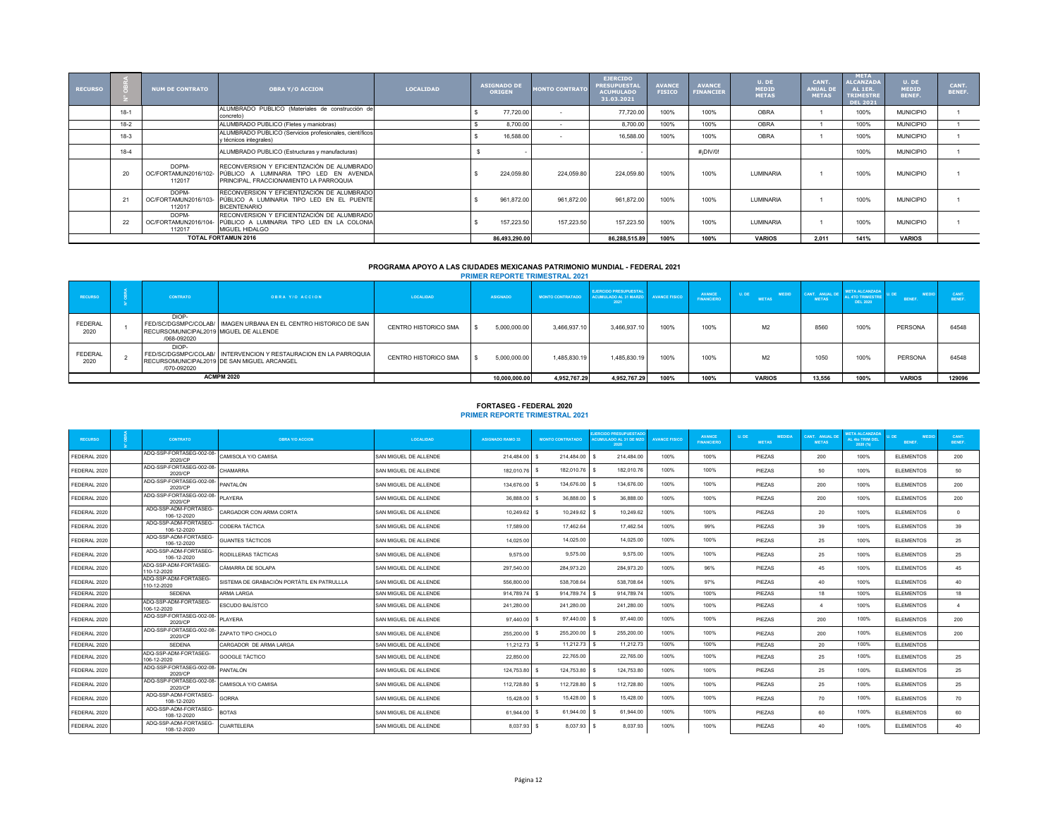| <b>RECURSO</b> |        | <b>NUM DE CONTRATO</b>                  | <b>OBRA Y/O ACCION</b>                                                                                                            | <b>LOCALIDAD</b> | <b>ASIGNADO DE</b><br><b>ORIGEN</b> | <b>MONTO CONTRATO</b> | <b>EJERCIDO</b><br><b>PRESUPUESTAL</b><br><b>ACUMULADO</b><br>31.03.2021 | <b>AVANCE</b><br><b>FISICO</b> | <b>AVANCE</b><br><b>FINANCIER</b> | U. DE<br><b>MEDID</b><br><b>METAS</b> | CANT.<br><b>ANUAL DE</b><br><b>METAS</b> | <b>META</b><br><b>ALCANZADA</b><br>AL 1ER.<br><b>TRIMESTRE</b><br><b>DEL 2021</b> | U. DE<br><b>MEDID</b><br>BENEF. | CANT.<br><b>BENEF.</b> |
|----------------|--------|-----------------------------------------|-----------------------------------------------------------------------------------------------------------------------------------|------------------|-------------------------------------|-----------------------|--------------------------------------------------------------------------|--------------------------------|-----------------------------------|---------------------------------------|------------------------------------------|-----------------------------------------------------------------------------------|---------------------------------|------------------------|
|                | $18-1$ |                                         | ALUMBRADO PUBLICO (Materiales de construcción de<br>concreto)                                                                     |                  | 77,720.00                           |                       | 77,720.00                                                                | 100%                           | 100%                              | OBRA                                  |                                          | 100%                                                                              | <b>MUNICIPIO</b>                |                        |
|                | $18-2$ |                                         | ALUMBRADO PUBLICO (Fletes y maniobras)                                                                                            |                  | 8.700.00                            |                       | 8,700.00                                                                 | 100%                           | 100%                              | <b>OBRA</b>                           |                                          | 100%                                                                              | <b>MUNICIPIO</b>                |                        |
|                | $18-3$ |                                         | ALUMBRADO PUBLICO (Servicios profesionales, científicos<br>y técnicos integrales)                                                 |                  | 16,588.00                           |                       | 16,588.00                                                                | 100%                           | 100%                              | <b>OBRA</b>                           |                                          | 100%                                                                              | <b>MUNICIPIO</b>                |                        |
|                | $18-4$ |                                         | ALUMBRADO PUBLICO (Estructuras y manufacturas)                                                                                    |                  |                                     |                       |                                                                          |                                | #¡DIV/0!                          |                                       |                                          | 100%                                                                              | <b>MUNICIPIO</b>                |                        |
|                |        | DOPM-<br>OC/FORTAMUN2016/102-<br>112017 | RECONVERSION Y EFICIENTIZACIÓN DE ALUMBRADO<br>PÚBLICO A LUMINARIA TIPO LED EN AVENIDA<br>PRINCIPAL, FRACCIONAMIENTO LA PARROQUIA |                  | 224,059.80                          | 224.059.80            | 224.059.80                                                               | 100%                           | 100%                              | <b>I UMINARIA</b>                     |                                          | 100%                                                                              | <b>MUNICIPIO</b>                |                        |
|                |        | DOPM-<br>OC/FORTAMUN2016/103-<br>112017 | RECONVERSION Y EFICIENTIZACIÓN DE ALUMBRADO<br>PÚBLICO A LUMINARIA TIPO LED EN EL PUENTE<br><b>BICENTENARIO</b>                   |                  | 961.872.00                          | 961.872.00            | 961.872.00                                                               | 100%                           | 100%                              | <b>I UMINARIA</b>                     |                                          | 100%                                                                              | <b>MUNICIPIO</b>                |                        |
|                | 22     | DOPM-<br>OC/FORTAMUN2016/104-<br>112017 | RECONVERSION Y EFICIENTIZACIÓN DE ALUMBRADO<br>PÚBLICO A LUMINARIA TIPO LED EN LA COLONIA<br>MIGUEL HIDALGO                       |                  | 157.223.50                          | 157.223.50            | 157.223.50                                                               | 100%                           | 100%                              | LUMINARIA                             |                                          | 100%                                                                              | <b>MUNICIPIO</b>                |                        |
|                |        |                                         | <b>TOTAL FORTAMUN 2016</b>                                                                                                        |                  | 86,493,290.00                       |                       | 86,288,515.89                                                            | 100%                           | 100%                              | <b>VARIOS</b>                         | 2.011                                    | 141%                                                                              | <b>VARIOS</b>                   |                        |

# **PROGRAMA APOYO A LAS CIUDADES MEXICANAS PATRIMONIO MUNDIAL - FEDERAL 2021 PRIMER REPORTE TRIMESTRAL 2021**

| <b>RECURSO</b>         | <b>CONTRATO</b>                                                | <b>OBRA Y/O ACCION</b>                                                                                          | LOCALIDAD            | <b>ASIGNADO</b> |               | <b>MONTO CONTRATADO</b> | <b>EJERCIDO PRESUPUESTAL</b><br>ACUMULADO AL 31 MARZO AVANCE FISICO<br>2021 |      | AVANCE<br><b>FINANCIERO</b> | U. DE<br><b>MEDID</b><br><b>METAS</b> | CANT. ANUAL DE<br><b>METAS</b> | <b>ETA ALCANZADA</b><br><b>LL 4TO TRIMESTR</b><br>DEL 2020 | <b>RENEE</b>  | <b>RENEE</b> |
|------------------------|----------------------------------------------------------------|-----------------------------------------------------------------------------------------------------------------|----------------------|-----------------|---------------|-------------------------|-----------------------------------------------------------------------------|------|-----------------------------|---------------------------------------|--------------------------------|------------------------------------------------------------|---------------|--------------|
| <b>FEDERAL</b><br>2020 | DIOP-<br>RECURSOMUNICIPAL2019 MIGUEL DE ALLENDE<br>/068-092020 | FED/SC/DGSMPC/COLAB/ I IMAGEN URBANA EN EL CENTRO HISTORICO DE SAN                                              | CENTRO HISTORICO SMA |                 | 5.000.000.00  | 3.466.937.10            | 3.466.937.10                                                                | 100% | 100%                        | M <sub>2</sub>                        | 8560                           | 100%                                                       | PERSONA       | 64548        |
| <b>FEDERAL</b><br>2020 | DIOP-<br>/070-092020                                           | FED/SC/DGSMPC/COLAB/ INTERVENCION Y RESTAURACION EN LA PARROQUIA<br>RECURSOMUNICIPAL2019 DE SAN MIGUEL ARCANGEL | CENTRO HISTORICO SMA |                 | 5.000.000.00  | 1,485,830.19            | 1,485,830.19                                                                | 100% | 100%                        | M <sub>2</sub>                        | 1050                           | 100%                                                       | PERSONA       | 64548        |
|                        |                                                                | <b>ACMPM 2020</b>                                                                                               |                      |                 | 10.000.000.00 | 4,952,767.29            | 4,952,767.29                                                                | 100% | 100%                        | <b>VARIOS</b>                         | 13.556                         | 100%                                                       | <b>VARIOS</b> | 129096       |

# **FORTASEG - FEDERAL 2020 PRIMER REPORTE TRIMESTRAL 2021**

| <b>RECURSO</b> | <b>CONTRATO</b>                      | <b>OBRA Y/O ACCION</b>                     | <b>LOCALIDAD</b>      | <b>ASIGNADO RAMO 33</b> | <b>MONTO CONTRATADO</b> | <b>JERCIDO PRESUPUESTADO</b><br><b>ACUMULADO AL 31 DE MZO</b><br>2020 | <b>AVANCE FISICO</b> | <b>AVANCE</b><br><b>FINANCIERO</b> | <b>MEDIDA</b><br>U. DE<br><b>METAS</b> | CANT. ANUAL DE<br><b>METAS</b> | <b>IETA ALCANZADA</b><br>AL 4to TRIM DEL<br>2020 (%) | <b>MEDIC</b><br>BENEF. | CANT.<br>BENEF. |
|----------------|--------------------------------------|--------------------------------------------|-----------------------|-------------------------|-------------------------|-----------------------------------------------------------------------|----------------------|------------------------------------|----------------------------------------|--------------------------------|------------------------------------------------------|------------------------|-----------------|
| FEDERAL 2020   | ADQ-SSP-FORTASEG-002-08-<br>2020/CP  | CAMISOLA Y/O CAMISA                        | SAN MIGUEL DE ALLENDE | 214.484.00              | 214.484.00              | 214.484.00                                                            | 100%                 | 100%                               | PIEZAS                                 | 200                            | 100%                                                 | <b>ELEMENTOS</b>       | 200             |
| FEDERAL 2020   | ADQ-SSP-FORTASEG-002-08-<br>2020/CP  | CHAMARRA                                   | SAN MIGUEL DE ALLENDE | 182.010.76 \$           | 182.010.76              | 182.010.76                                                            | 100%                 | 100%                               | PIEZAS                                 | 50                             | 100%                                                 | <b>ELEMENTOS</b>       | 50              |
| FEDERAL 2020   | ADQ-SSP-FORTASEG-002-08-<br>2020/CP  | <b>PANTALÓN</b>                            | SAN MIGUEL DE ALLENDE | 134,676.00              | 134,676.00              | 134,676.00                                                            | 100%                 | 100%                               | PIEZAS                                 | 200                            | 100%                                                 | <b>ELEMENTOS</b>       | 200             |
| FEDERAL 2020   | ADQ-SSP-FORTASEG-002-08-<br>2020/CP  | PLAYERA                                    | SAN MIGUEL DE ALLENDE | 36,888,00 \$            | 36,888.00               | 36,888.00                                                             | 100%                 | 100%                               | PIEZAS                                 | 200                            | 100%                                                 | <b>ELEMENTOS</b>       | 200             |
| FEDERAL 2020   | ADQ-SSP-ADM-FORTASEG-<br>106-12-2020 | CARGADOR CON ARMA CORTA                    | SAN MIGUEL DE ALLENDE | 10.249.62               | 10.249.62               | 10.249.62                                                             | 100%                 | 100%                               | PIEZAS                                 | 20                             | 100%                                                 | <b>ELEMENTOS</b>       | $\sim$          |
| FEDERAL 2020   | ADQ-SSP-ADM-FORTASEG-<br>106-12-2020 | CODERA TÁCTICA                             | SAN MIGUEL DE ALLENDE | 17,589.00               | 17.462.64               | 17,462.54                                                             | 100%                 | 99%                                | PIEZAS                                 | 39                             | 100%                                                 | <b>ELEMENTOS</b>       | 39              |
| FEDERAL 2020   | ADQ-SSP-ADM-FORTASEG-<br>106-12-2020 | GUANTES TÁCTICOS                           | SAN MIGUEL DE ALLENDE | 14.025.00               | 14.025.00               | 14.025.00                                                             | 100%                 | 100%                               | PIEZAS                                 | 25                             | 100%                                                 | <b>ELEMENTOS</b>       | 25              |
| FEDERAL 2020   | ADQ-SSP-ADM-FORTASEG-<br>106-12-2020 | RODILLERAS TÁCTICAS                        | SAN MIGUEL DE ALLENDE | 9.575.00                | 9,575.00                | 9,575.00                                                              | 100%                 | 100%                               | PIEZAS                                 | 25                             | 100%                                                 | <b>ELEMENTOS</b>       | 25              |
| FEDERAL 2020   | ADQ-SSP-ADM-FORTASEG-<br>110-12-2020 | CÁMARRA DE SOLAPA                          | SAN MIGUEL DE ALLENDE | 297.540.00              | 284.973.20              | 284,973.20                                                            | 100%                 | 96%                                | PIEZAS                                 | 45                             | 100%                                                 | <b>ELEMENTOS</b>       | 45              |
| FEDERAL 2020   | ADQ-SSP-ADM-FORTASEG-<br>110-12-2020 | SISTEMA DE GRABACIÓN PORTÁTIL EN PATRULLLA | SAN MIGUEL DE ALLENDE | 556,800.00              | 538,708.64              | 538,708.64                                                            | 100%                 | 97%                                | PIEZAS                                 | 40                             | 100%                                                 | <b>ELEMENTOS</b>       | 40              |
| FEDERAL 2020   | <b>SEDENA</b>                        | ARMA LARGA                                 | SAN MIGUEL DE ALLENDE | 914.789.74              | 914.789.74              | 914,789.74                                                            | 100%                 | 100%                               | PIEZAS                                 | 18                             | 100%                                                 | <b>ELEMENTOS</b>       | 18              |
| FEDERAL 2020   | ADQ-SSP-ADM-FORTASEG-<br>106-12-2020 | ESCUDO BALÍSTCO                            | SAN MIGUEL DE ALLENDE | 241.280.00              | 241.280.00              | 241.280.00                                                            | 100%                 | 100%                               | PIEZAS                                 |                                | 100%                                                 | <b>ELEMENTOS</b>       |                 |
| FEDERAL 2020   | ADQ-SSP-FORTASEG-002-08-<br>2020/CP  | PLAYERA                                    | SAN MIGUEL DE ALLENDE | 97.440.00 \$            | 97,440.00               | 97.440.00                                                             | 100%                 | 100%                               | PIEZAS                                 | 200                            | 100%                                                 | <b>ELEMENTOS</b>       | 200             |
| FEDERAL 2020   | ADQ-SSP-FORTASEG-002-08-<br>2020/CP  | ZAPATO TIPO CHOCLO                         | SAN MIGUEL DE ALLENDE | 255,200.00              | 255,200.00              | 255,200.00                                                            | 100%                 | 100%                               | PIEZAS                                 | 200                            | 100%                                                 | <b>ELEMENTOS</b>       | 200             |
| FEDERAL 2020   | <b>SEDENA</b>                        | CARGADOR DE ARMA LARGA                     | SAN MIGUEL DE ALLENDE | $11.212.73$ \$          | 11,212.73               | 11.212.73                                                             | 100%                 | 100%                               | PIEZAS                                 | 20                             | 100%                                                 | <b>ELEMENTOS</b>       |                 |
| FEDERAL 2020   | ADQ-SSP-ADM-FORTASEG-<br>106-12-2020 | GOOGLE TÁCTICO                             | SAN MIGUEL DE ALLENDE | 22,850.00               | 22,765.00               | 22.765.00                                                             | 100%                 | 100%                               | PIEZAS                                 | 25                             | 100%                                                 | <b>ELEMENTOS</b>       | 25              |
| FEDERAL 2020   | ADQ-SSP-FORTASEG-002-08-<br>2020/CP  | <b>PANTALÓN</b>                            | SAN MIGUEL DE ALLENDE | 124,753.80              | 124,753.80              | 124,753.80                                                            | 100%                 | 100%                               | PIEZAS                                 | 25                             | 100%                                                 | <b>ELEMENTOS</b>       | 25              |
| FEDERAL 2020   | ADQ-SSP-FORTASEG-002-08-<br>2020/CP  | CAMISOLA Y/O CAMISA                        | SAN MIGUEL DE ALLENDE | 112,728.80 \$           | 112,728.80              | 112,728.80                                                            | 100%                 | 100%                               | PIEZAS                                 | 25                             | 100%                                                 | <b>ELEMENTOS</b>       | 25              |
| FEDERAL 2020   | ADQ-SSP-ADM-FORTASEG-<br>108-12-2020 | <b>GORRA</b>                               | SAN MIGUEL DE ALLENDE | 15,428.00               | 15.428.00               | 15,428.00                                                             | 100%                 | 100%                               | PIEZAS                                 | 70                             | 100%                                                 | <b>ELEMENTOS</b>       | 70              |
| FEDERAL 2020   | ADQ-SSP-ADM-FORTASEG-<br>108-12-2020 | <b>BOTAS</b>                               | SAN MIGUEL DE ALLENDE | 61.944.00 S             | 61.944.00               | 61.944.00                                                             | 100%                 | 100%                               | PIEZAS                                 | 60                             | 100%                                                 | <b>ELEMENTOS</b>       | 60              |
| FEDERAL 2020   | ADQ-SSP-ADM-FORTASEG-<br>108-12-2020 | CUARTELERA                                 | SAN MIGUEL DE ALLENDE | 8.037.93 \$             | 8.037.93                | 8.037.93                                                              | 100%                 | 100%                               | PIEZAS                                 | 40                             | 100%                                                 | <b>ELEMENTOS</b>       | 40              |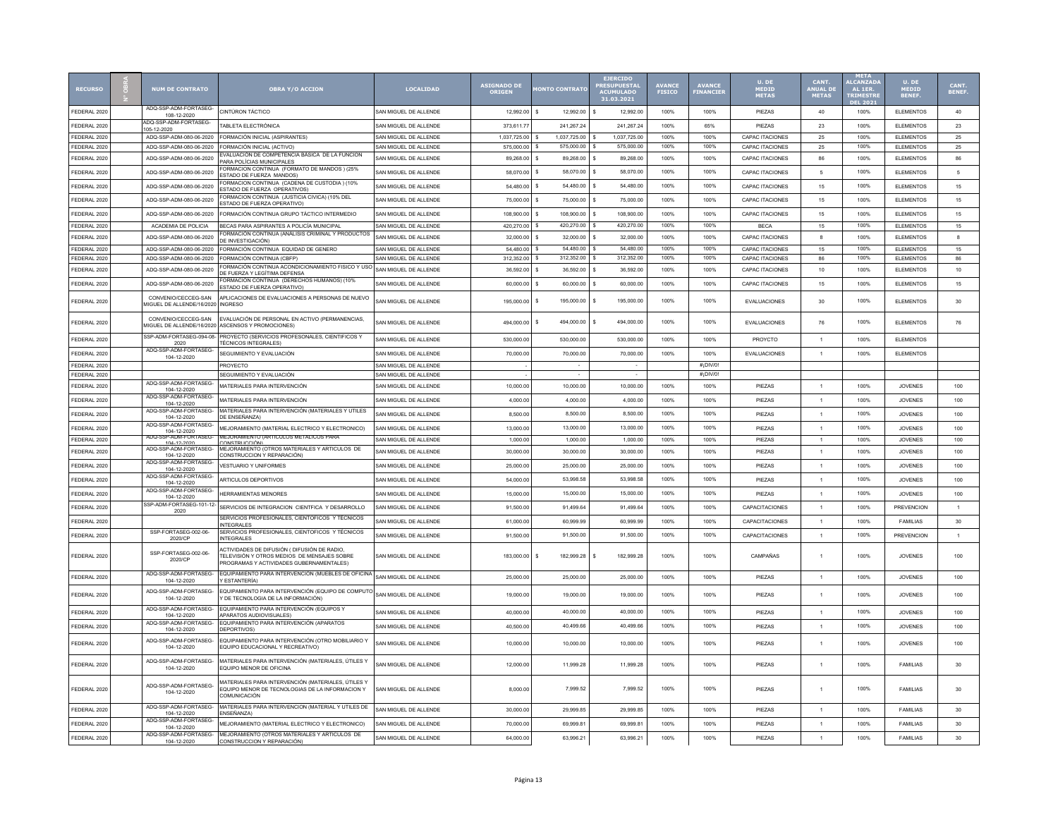| <b>RECURSO</b> | <b>NUM DE CONTRATO</b>                                  | <b>OBRA Y/O ACCION</b>                                                                                                                 | <b>LOCALTDAD</b>      | ASIGNADO DE<br><b>DRIGEN</b> | <b>ONTO CONTRATO</b>      | <b>EJERCIDO</b><br><b>PRESUPUESTA</b><br><b>ACUMULADO</b><br>31.03.2021 | <b>AVANCE</b><br>FISICO | AVANCE<br>FINANCIE | U. DE<br><b>MEDID<br/>METAS</b> | CANT.<br><b>ANUAL DI</b><br><b>METAS</b> | <b>ALCANZAD</b><br>AL 1ER<br><b>TRIMEST</b> | U. DE<br>MEDID<br>BENEF | CANT.<br>BENEF |
|----------------|---------------------------------------------------------|----------------------------------------------------------------------------------------------------------------------------------------|-----------------------|------------------------------|---------------------------|-------------------------------------------------------------------------|-------------------------|--------------------|---------------------------------|------------------------------------------|---------------------------------------------|-------------------------|----------------|
| FEDERAL 2020   | ADQ-SSP-ADM-FORTASEG-<br>108-12-2020                    | <b>CINTÚRON TÁCTICO</b>                                                                                                                | SAN MIGUEL DE ALLENDE | 12.992.00                    | 12.992.00<br>\$.          | 12.992.00                                                               | 100%                    | 100%               | PIEZAS                          | 40                                       | 100%                                        | <b>ELEMENTOS</b>        | 40             |
| FEDERAL 2020   | ADQ-SSP-ADM-FORTASEG-<br>105-12-2020                    | TABLETA ELECTRÓNICA                                                                                                                    | SAN MIGUEL DE ALLENDE | 373,611.77                   | 241.267.24                | 241,267.24                                                              | 100%                    | 65%                | PIEZAS                          | $23\,$                                   | 100%                                        | <b>ELEMENTOS</b>        | $23\,$         |
| FEDERAL 2020   | ADQ-SSP-ADM-080-06-2020                                 | FORMACIÓN INICIAL (ASPIRANTES)                                                                                                         | SAN MIGUEL DE ALLENDE | 1,037,725.00                 | 1,037,725.00              | 1,037,725.00                                                            | 100%                    | 100%               | CAPAC ITACIONES                 | 25                                       | 100%                                        | <b>ELEMENTOS</b>        | $25\,$         |
| FEDERAL 2020   | ADQ-SSP-ADM-080-06-2020                                 | FORMACIÓN INICIAL (ACTIVO)                                                                                                             | SAN MIGUEL DE ALLENDE | 575,000.00                   | 575,000.00<br>s           | 575,000.00                                                              | 100%                    | 100%               | <b>CAPAC ITACIONES</b>          | 25                                       | 100%                                        | <b>ELEMENTOS</b>        | $25\,$         |
| FEDERAL 2020   | ADQ-SSP-ADM-080-06-2020                                 | EVALUACIÓN DE COMPETENCIA BÁSICA DE LA FUNCION<br>PARA POLÍCIAS MUNICIPALES                                                            | SAN MIGUEL DE ALLENDE | 89.268.00                    | 89,268.00<br>s            | 89,268.00                                                               | 100%                    | 100%               | <b>CAPAC ITACIONES</b>          | 86                                       | 100%                                        | <b>ELEMENTOS</b>        | 86             |
| FEDERAL 202    | ADQ-SSP-ADM-080-06-2020                                 | ORMACION CONTINUA (FORMATO DE MANDOS) (25%<br><b>ESTADO DE FUERZA MANDOS</b>                                                           | SAN MIGUEL DE ALLENDE | 58.070.00                    | s<br>58.070.00            | - \$<br>58.070.00                                                       | 100%                    | 100%               | <b>CAPAC ITACIONES</b>          | 5                                        | 100%                                        | <b>ELEMENTOS</b>        | 5              |
| FEDERAL 202    | ADQ-SSP-ADM-080-06-2020                                 | ORMACION CONTINUA (CADENA DE CUSTODIA) (10%<br><b>ESTADO DE FUERZA OPERATIVOS)</b>                                                     | SAN MIGUEL DE ALLENDE | 54,480.00                    | \$<br>54,480.00           | 54,480.00                                                               | 100%                    | 100%               | <b>CAPAC ITACIONES</b>          | 15                                       | 100%                                        | <b>ELEMENTOS</b>        | 15             |
| FEDERAL 202    | ADQ-SSP-ADM-080-06-2020                                 | ORMACION CONTINUA (JUSTICIA CIVICA) (10% DEL<br>ESTADO DE FUERZA OPERATIVO)                                                            | SAN MIGUEL DE ALLENDE | 75,000.00                    | 75,000.00<br>s            | 75,000.00                                                               | 100%                    | 100%               | CAPAC ITACIONES                 | 15                                       | 100%                                        | <b>ELEMENTOS</b>        | 15             |
| FEDERAL 202    | ADQ-SSP-ADM-080-06-2020                                 | FORMACIÓN CONTINUA GRUPO TÁCTICO INTERMEDIO                                                                                            | SAN MIGUEL DE ALLENDE | 108.900.00                   | 108,900.00<br>s           | 108,900.00                                                              | 100%                    | 100%               | CAPAC ITACIONES                 | 15                                       | 100%                                        | <b>ELEMENTOS</b>        | 15             |
| FEDERAL 202    | ACADEMIA DE POLICIA                                     | BECAS PARA ASPIRANTES A POLICÍA MUNICIPAL                                                                                              | SAN MIGUEL DE ALLENDE | 420,270.00                   | s<br>420,270.00           | l s<br>420,270.00                                                       | 100%                    | 100%               | <b>BECA</b>                     | 15                                       | 100%                                        | <b>ELEMENTOS</b>        | 15             |
| FEDERAL 2020   | ADQ-SSP-ADM-080-06-2020                                 | FORMACIÓN CONTINUA (ANÁLISIS CRIMINAL Y PRODUCTOS<br>DE INVESTIGACIÓN)                                                                 | SAN MIGUEL DE ALLENDE | 32,000.00                    | $\mathbf{s}$<br>32,000.00 | 32,000.00<br>- \$                                                       | 100%                    | 100%               | CAPAC ITACIONES                 | $\mathbf{a}$                             | 100%                                        | <b>ELEMENTOS</b>        | 8              |
| FEDERAL 202    | ADQ-SSP-ADM-080-06-2020                                 | FORMACIÓN CONTINUA EQUIDAD DE GENERO                                                                                                   | SAN MIGUEL DE ALLENDE | 54,480.00                    | 54.480.00<br>\$.          | 54,480.00                                                               | 100%                    | 100%               | <b>CAPAC ITACIONES</b>          | 15                                       | 100%                                        | <b>ELEMENTOS</b>        | 15             |
| FEDERAL 202    | ADQ-SSP-ADM-080-06-2020                                 | FORMACIÓN CONTINUA (CBFP)                                                                                                              | SAN MIGUEL DE ALLENDE | 312.352.00                   | 312.352.00<br>s           | 312.352.00                                                              | 100%                    | 100%               | <b>CAPAC ITACIONES</b>          | 86                                       | 100%                                        | <b>ELEMENTOS</b>        | 86             |
| FEDERAL 2020   | ADQ-SSP-ADM-080-06-2020                                 | FORMACIÓN CONTINUA ACONDICIONAMIENTO FISICO Y USO<br>DE FUERZA Y LEGÍTIMA DEFENSA                                                      | SAN MIGUEL DE ALLENDE | 36,592.00                    | 36,592.00<br>s            | 36,592.00<br>l s                                                        | 100%                    | 100%               | <b>CAPAC ITACIONES</b>          | 10                                       | 100%                                        | <b>ELEMENTOS</b>        | 10             |
| FEDERAL 202    | ADQ-SSP-ADM-080-06-2020                                 | FORMACIÓN CONTINUA (DERECHOS HUMANOS) (10%<br>ESTADO DE FUERZA OPERATIVO)                                                              | SAN MIGUEL DE ALLENDE | 60,000.00                    | 60.000.00                 | 60,000.00                                                               | 100%                    | 100%               | CAPAC ITACIONES                 | 15                                       | 100%                                        | <b>ELEMENTOS</b>        | 15             |
| FEDERAL 2020   | CONVENIO/CECCEG-SAN<br><b>IIGUEL DE ALLENDE/16/2020</b> | APLICACIONES DE EVALUACIONES A PERSONAS DE NUEVO<br><b>INGRESO</b>                                                                     | SAN MIGUEL DE ALLENDE | 195,000.00                   | \$<br>195,000.00          | 195,000.00                                                              | 100%                    | 100%               | EVALUACIONES                    | 30                                       | 100%                                        | <b>ELEMENTOS</b>        | 30             |
| FEDERAL 202    | CONVENIO/CECCEG-SAN                                     | EVALUACIÓN DE PERSONAL EN ACTIVO (PERMANENCIAS,<br>MIGUEL DE ALLENDE/16/2020 ASCENSOS Y PROMOCIONES)                                   | SAN MIGUEL DE ALLENDE | 494.000.00                   | 494,000.00<br>s           | 494,000.00                                                              | 100%                    | 100%               | EVALUACIONES                    | 76                                       | 100%                                        | <b>ELEMENTOS</b>        | 76             |
| FEDERAL 202    | SSP-ADM-FORTASEG-094-08-<br>2020                        | PROYECTO (SERVICIOS PROFESONALES, CIENTIFICOS Y<br><b>TÉCNICOS INTEGRALES)</b>                                                         | SAN MIGUEL DE ALLENDE | 530,000.00                   | 530,000.00                | 530,000.00                                                              | 100%                    | 100%               | PROYCTO                         |                                          | 100%                                        | <b>ELEMENTOS</b>        |                |
| FEDERAL 202    | ADQ-SSP-ADM-FORTASEG-<br>104-12-2020                    | SEGUIMIENTO Y EVALUACIÓN                                                                                                               | SAN MIGUEL DE ALLENDE | 70,000.00                    | 70,000.00                 | 70,000.00                                                               | 100%                    | 100%               | <b>EVALUACIONES</b>             |                                          | 100%                                        | <b>ELEMENTOS</b>        |                |
| FEDERAL 202    |                                                         | PROYECTO                                                                                                                               | SAN MIGUEL DE ALLENDE |                              |                           |                                                                         |                         | #¡DIV/0!           |                                 |                                          |                                             |                         |                |
| FEDERAL 2020   |                                                         | SEGUIMIENTO Y EVALUACIÓN                                                                                                               | SAN MIGUEL DE ALLENDE |                              |                           |                                                                         |                         | #¡DIV/0!           |                                 |                                          |                                             |                         |                |
| FEDERAL 2020   | ADQ-SSP-ADM-FORTASEG-<br>104-12-2020                    | MATERIALES PARA INTERVENCIÓN                                                                                                           | SAN MIGUEL DE ALLENDE | 10,000.00                    | 10.000.00                 | 10.000.00                                                               | 100%                    | 100%               | <b>PIFZAS</b>                   | $\overline{1}$                           | 100%                                        | <b>JOVENES</b>          | 100            |
| FEDERAL 2020   | ADQ-SSP-ADM-FORTASEG-<br>104-12-2020                    | MATERIALES PARA INTERVENCIÓN                                                                                                           | SAN MIGUEL DE ALLENDE | 4.000.00                     | 4.000.00                  | 4 000 00                                                                | 100%                    | 100%               | <b>PIFZAS</b>                   | $\overline{1}$                           | 100%                                        | <b>JOVENES</b>          | 100            |
| FEDERAL 2020   | ADQ-SSP-ADM-FORTASEG-<br>104-12-2020                    | MATERIALES PARA INTERVENCIÓN (MATERIALES Y UTILES<br>DE ENSEÑANZA)                                                                     | SAN MIGUEL DE ALLENDE | 8,500.00                     | 8,500.00                  | 8,500.00                                                                | 100%                    | 100%               | PIEZAS                          | $\overline{1}$                           | 100%                                        | <b>JOVENES</b>          | 100            |
| FEDERAL 202    | ADQ-SSP-ADM-FORTASEG-<br>104-12-2020                    | MEJORAMIENTO (MATERIAL ELECTRICO Y ELECTRONICO)                                                                                        | SAN MIGUEL DE ALLENDE | 13,000.00                    | 13,000.00                 | 13.000.00                                                               | 100%                    | 100%               | PIEZAS                          | $\overline{1}$                           | 100%                                        | <b>JOVENES</b>          | 100            |
| FEDERAL 2020   | ADQ-SSP-ADM-FORTASEG<br>104-12-2020                     | MEJORAMIENTO (ARTICULOS METALICOS PARA<br>CONSTRUCCIÓN <sup>.</sup>                                                                    | SAN MIGUEL DE ALLENDE | 1.000.00                     | 1.000.00                  | 1.000.00                                                                | 100%                    | 100%               | PIEZAS                          |                                          | 100%                                        | <b>JOVENES</b>          | 100            |
| FEDERAL 202    | ADQ-SSP-ADM-FORTASEG-<br>104-12-2020                    | MEJORAMIENTO (OTROS MATERIALES Y ARTICULOS DE<br>CONSTRUCCION Y REPARACIÓN)                                                            | SAN MIGUEL DE ALLENDE | 30,000.00                    | 30,000.00                 | 30,000.00                                                               | 100%                    | 100%               | PIEZAS                          | $\overline{1}$                           | 100%                                        | <b>JOVENES</b>          | 100            |
| FEDERAL 202    | ADQ-SSP-ADM-FORTASEG-<br>104-12-2020                    | <b>VESTUARIO Y UNIFORMES</b>                                                                                                           | SAN MIGUEL DE ALLENDE | 25,000.00                    | 25,000.00                 | 25,000.00                                                               | 100%                    | 100%               | PIEZAS                          | $\overline{1}$                           | 100%                                        | <b>JOVENES</b>          | 100            |
| FEDERAL 202    | ADQ-SSP-ADM-FORTASEG-<br>104-12-2020                    | ARTICULOS DEPORTIVOS                                                                                                                   | SAN MIGUEL DE ALLENDE | 54,000.00                    | 53,998.58                 | 53,998.58                                                               | 100%                    | 100%               | PIEZAS                          | $\overline{1}$                           | 100%                                        | <b>JOVENES</b>          | 100            |
| FEDERAL 2020   | ADQ-SSP-ADM-FORTASEG-<br>104-12-2020                    | <b>HERRAMIENTAS MENORES</b>                                                                                                            | SAN MIGUEL DE ALLENDE | 15,000.00                    | 15,000.00                 | 15,000.00                                                               | 100%                    | 100%               | PIEZAS                          |                                          | 100%                                        | <b>JOVENES</b>          | 100            |
| FEDERAL 2020   | SSP-ADM-FORTASEG-101-12-<br>2020                        | SERVICIOS DE INTEGRACION CIENTFICA Y DESARROLLO                                                                                        | SAN MIGUEL DE ALLENDE | 91,500.00                    | 91.499.64                 | 91.499.64                                                               | 100%                    | 100%               | CAPACITACIONES                  | $\overline{1}$                           | 100%                                        | <b>PREVENCION</b>       | $\mathbf{1}$   |
| FEDERAL 2020   |                                                         | SERVICIOS PROFESIONALES, CIENTOFICOS Y TÉCNICOS<br><b>INTEGRALES</b>                                                                   | SAN MIGUEL DE ALLENDE | 61,000.00                    | 60.999.99                 | 60.999.99                                                               | 100%                    | 100%               | <b>CAPACITACIONES</b>           | $\overline{1}$                           | 100%                                        | <b>FAMILIAS</b>         | 30             |
| FEDERAL 2020   | SSP-FORTASEG-002-06-<br>2020/CP                         | SERVICIOS PROFESIONALES, CIENTOFICOS Y TÉCNICOS<br><b>INTEGRALES</b>                                                                   | SAN MIGUEL DE ALLENDE | 91,500,00                    | 91 500 00                 | 91,500,00                                                               | 100%                    | 100%               | CAPACITACIONES                  | $\overline{1}$                           | 100%                                        | <b>PREVENCION</b>       | $\mathbf{1}$   |
| FEDERAL 202    | SSP-FORTASEG-002-06-<br>2020/CP                         | ACTIVIDADES DE DIFUSIÓN ( DIFUSIÓN DE RADIO<br>TELEVISIÓN Y OTROS MEDIOS DE MENSAJES SOBRE<br>PROGRAMAS Y ACTIVIDADES GUBERNAMENTALES) | SAN MIGUEL DE ALLENDE | 183,000.00                   | 182.999.28<br>\$.         | 182.999.28                                                              | 100%                    | 100%               | CAMPAÑAS                        |                                          | 100%                                        | <b>JOVENES</b>          | 100            |
| FEDERAL 202    | ADQ-SSP-ADM-FORTASEG-<br>104-12-2020                    | EQUIPAMIENTO PARA INTERVENCIÓN (MUEBLES DE OFICINA<br>Y ESTANTERÍA)                                                                    | SAN MIGUEL DE ALLENDE | 25,000.00                    | 25,000.00                 | 25,000.00                                                               | 100%                    | 100%               | PIEZAS                          | $\overline{1}$                           | 100%                                        | <b>JOVENES</b>          | 100            |
| FEDERAL 202    | ADQ-SSP-ADM-FORTASEG-<br>104-12-2020                    | EQUIPAMIENTO PARA INTERVENCIÓN (EQUIPO DE COMPUTO<br>Y DE TECNOLOGIA DE LA INFORMACIÓN)                                                | SAN MIGUEL DE ALLENDE | 19,000.00                    | 19,000.00                 | 19,000.00                                                               | 100%                    | 100%               | PIEZAS                          |                                          | 100%                                        | <b>JOVENES</b>          | 100            |
| FEDERAL 2020   | ADQ-SSP-ADM-FORTASEG-<br>104-12-2020                    | EQUIPAMIENTO PARA INTERVENCIÓN (EQUIPOS Y<br>APARATOS AUDIOVISUALES)                                                                   | SAN MIGUEL DE ALLENDE | 40,000.00                    | 40,000.00                 | 40,000.00                                                               | 100%                    | 100%               | PIEZAS                          | $\overline{1}$                           | 100%                                        | <b>JOVENES</b>          | 100            |
| FEDERAL 202    | ADQ-SSP-ADM-FORTASEG-<br>104-12-2020                    | EQUIPAMIENTO PARA INTERVENCIÓN (APARATOS<br>DEPORTIVOS)                                                                                | SAN MIGUEL DE ALLENDE | 40,500.00                    | 40.499.66                 | 40.499.66                                                               | 100%                    | 100%               | PIEZAS                          | $\overline{1}$                           | 100%                                        | <b>JOVENES</b>          | 100            |
| FEDERAL 2020   | ADQ-SSP-ADM-FORTASEG-<br>104-12-2020                    | EQUIPAMIENTO PARA INTERVENCIÓN (OTRO MOBILIARIO Y<br>EQUIPO EDUCACIONAL Y RECREATIVO)                                                  | SAN MIGUEL DE ALLENDE | 10,000.00                    | 10,000.00                 | 10,000.00                                                               | 100%                    | 100%               | <b>PIFZAS</b>                   |                                          | 100%                                        | <b>JOVENES</b>          | 100            |
| FEDERAL 202    | ADO-SSP-ADM-FORTASEG-<br>104-12-2020                    | MATERIALES PARA INTERVENCIÓN (MATERIALES, ÚTILES Y<br>EQUIPO MENOR DE OFICINA                                                          | SAN MIGUEL DE ALLENDE | 12,000.00                    | 11,999.28                 | 11,999.28                                                               | 100%                    | 100%               | PIEZAS                          |                                          | 100%                                        | FAMILIAS                | $30\,$         |
| FEDERAL 2020   | ADQ-SSP-ADM-FORTASEG-<br>104-12-2020                    | MATERIALES PARA INTERVENCIÓN (MATERIALES, ÚTILES Y<br>EQUIPO MENOR DE TECNOLOGIAS DE LA INFORMACION Y<br>COMUNICACIÓN                  | SAN MIGUEL DE ALLENDE | 8,000.00                     | 7 999 52                  | 799952                                                                  | 100%                    | 100%               | PIEZAS                          |                                          | 100%                                        | <b>FAMILIAS</b>         | 30             |
| FEDERAL 2020   | ADQ-SSP-ADM-FORTASEG-<br>104-12-2020                    | MATERIALES PARA INTERVENCION (MATERIAL Y UTILES DE<br><b>ENSEÑANZA)</b>                                                                | SAN MIGUEL DE ALLENDE | 30,000.00                    | 29,999.85                 | 29,999.85                                                               | 100%                    | 100%               | PIEZAS                          |                                          | 100%                                        | <b>FAMILIAS</b>         | 30             |
| FEDERAL 2020   | ADQ-SSP-ADM-FORTASEG-<br>104-12-2020                    | MEJORAMIENTO (MATERIAL ELECTRICO Y ELECTRONICO)                                                                                        | SAN MIGUEL DE ALLENDE | 70,000.00                    | 69.999.81                 | 69.999.81                                                               | 100%                    | 100%               | <b>PIFZAS</b>                   | $\overline{1}$                           | 100%                                        | <b>FAMILIAS</b>         | 30             |
| FEDERAL 2020   | ADQ-SSP-ADM-FORTASEG-<br>104-12-2020                    | MEJORAMIENTO (OTROS MATERIALES Y ARTICULOS DE<br>CONSTRUCCION Y REPARACIÓN)                                                            | SAN MIGUEL DE ALLENDE | 64,000.00                    | 63.996.21                 | 63.996.21                                                               | 100%                    | 100%               | <b>PIFZAS</b>                   | $\overline{1}$                           | 100%                                        | <b>FAMILIAS</b>         | 30             |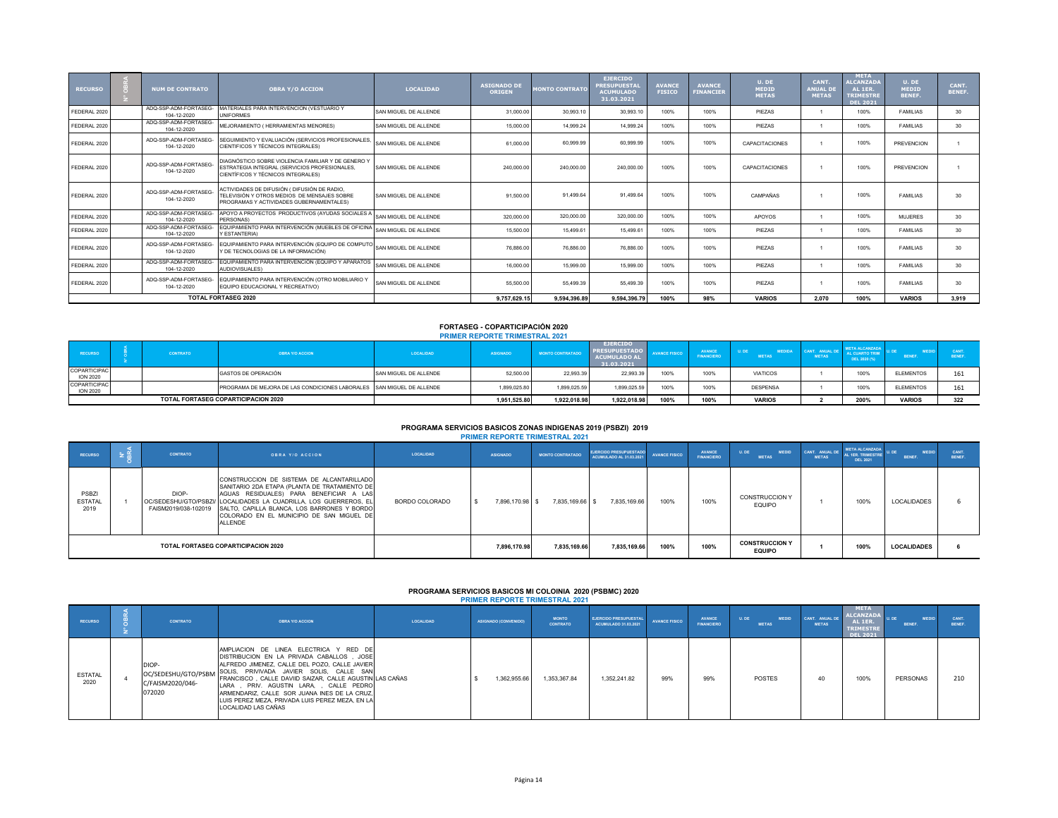| <b>RECURSO</b> | <b>NUM DE CONTRATO</b>               | <b>OBRA Y/O ACCION</b>                                                                                                                    | <b>LOCALIDAD</b>      | <b>ASIGNADO DI</b><br><b>ORIGEN</b> | <b>MONTO CONTRATO</b> | <b>EJERCIDO</b><br><b>PRESUPUESTAI</b><br><b>ACUMULADO</b><br>31.03.2021 | <b>AVANCE</b><br><b>FISICO</b> | <b>AVANCE</b><br><b>FINANCIER</b> | U. DE<br><b>MEDID</b><br><b>METAS</b> | CANT.<br><b>ANUAL DI</b><br><b>METAS</b> | <b>META</b><br><b>ALCANZADA</b><br>AL 1ER.<br><b>TRIMESTRI</b><br><b>DEL 2021</b> | $U.$ DE<br><b>MEDID</b><br><b>BENEF.</b> | CANT.<br><b>BENEF.</b> |
|----------------|--------------------------------------|-------------------------------------------------------------------------------------------------------------------------------------------|-----------------------|-------------------------------------|-----------------------|--------------------------------------------------------------------------|--------------------------------|-----------------------------------|---------------------------------------|------------------------------------------|-----------------------------------------------------------------------------------|------------------------------------------|------------------------|
| FEDERAL 2020   | ADO-SSP-ADM-FORTASEG-<br>104-12-2020 | MATERIALES PARA INTERVENCION (VESTUARIO Y<br><b>UNIFORMES</b>                                                                             | SAN MIGUEL DE ALLENDE | 31,000.00                           | 30.993.10             | 30.993.10                                                                | 100%                           | 100%                              | PIEZAS                                |                                          | 100%                                                                              | <b>FAMILIAS</b>                          | 30 <sub>1</sub>        |
| FEDERAL 2020   | ADQ-SSP-ADM-FORTASEG-<br>104-12-2020 | MEJORAMIENTO ( HERRAMIENTAS MENORES)                                                                                                      | SAN MIGUEL DE ALLENDE | 15,000.00                           | 14.999.24             | 14.999.24                                                                | 100%                           | 100%                              | PIEZAS                                |                                          | 100%                                                                              | <b>FAMILIAS</b>                          | 30 <sup>°</sup>        |
| FEDERAL 2020   | ADO-SSP-ADM-FORTASEG-<br>104-12-2020 | SEGUIMIENTO Y EVALUACIÓN (SERVICIOS PROFESIONALES,<br>CIENTIFICOS Y TÉCNICOS INTEGRALES)                                                  | SAN MIGUEL DE ALLENDE | 61,000.00                           | 60,999.99             | 60.999.99                                                                | 100%                           | 100%                              | CAPACITACIONES                        |                                          | 100%                                                                              | PREVENCION                               |                        |
| FEDERAL 2020   | ADO-SSP-ADM-FORTASEG-<br>104-12-2020 | DIAGNÓSTICO SOBRE VIOLENCIA FAMILIAR Y DE GENERO Y<br>ESTRATEGIA INTEGRAL (SERVICIOS PROFESIONALES.<br>CIENTÍFICOS Y TÉCNICOS INTEGRALES) | SAN MIGUEL DE ALLENDE | 240,000.00                          | 240.000.00            | 240.000.00                                                               | 100%                           | 100%                              | CAPACITACIONES                        |                                          | 100%                                                                              | PREVENCION                               |                        |
| FEDERAL 2020   | ADO-SSP-ADM-FORTASEG<br>104-12-2020  | ACTIVIDADES DE DIFUSIÓN ( DIFUSIÓN DE RADIO,<br>TELEVISIÓN Y OTROS MEDIOS DE MENSAJES SOBRE<br>PROGRAMAS Y ACTIVIDADES GUBERNAMENTALES)   | SAN MIGUEL DE ALLENDE | 91,500.00                           | 91.499.64             | 91.499.64                                                                | 100%                           | 100%                              | CAMPAÑAS                              |                                          | 100%                                                                              | <b>FAMILIAS</b>                          | 30 <sub>1</sub>        |
| FEDERAL 2020   | ADQ-SSP-ADM-FORTASEG-<br>104-12-2020 | APOYO A PROYECTOS PRODUCTIVOS (AYUDAS SOCIALES A<br>PERSONAS)                                                                             | SAN MIGUEL DE ALLENDE | 320,000.00                          | 320,000.00            | 320,000.00                                                               | 100%                           | 100%                              | APOYOS                                |                                          | 100%                                                                              | <b>MUJERES</b>                           | 30 <sub>1</sub>        |
| FEDERAL 2020   | ADQ-SSP-ADM-FORTASEG-<br>104-12-2020 | EQUIPAMIENTO PARA INTERVENCIÓN (MUEBLES DE OFICINA<br>Y ESTANTERIA)                                                                       | SAN MIGUEL DE ALLENDE | 15,500.00                           | 15,499.61             | 15,499.61                                                                | 100%                           | 100%                              | PIEZAS                                |                                          | 100%                                                                              | <b>FAMILIAS</b>                          | 30 <sub>1</sub>        |
| FEDERAL 2020   | ADQ-SSP-ADM-FORTASEG-<br>104-12-2020 | EQUIPAMIENTO PARA INTERVENCIÓN (EQUIPO DE COMPUTO SAN MIGUEL DE ALLENDE<br>Y DE TECNOLOGIAS DE LA INFORMACIÓN)                            |                       | 76,886.00                           | 76,886.00             | 76,886.00                                                                | 100%                           | 100%                              | <b>PIFZAS</b>                         |                                          | 100%                                                                              | <b>FAMILIAS</b>                          | 30 <sub>1</sub>        |
| FEDERAL 2020   | ADQ-SSP-ADM-FORTASEG-<br>104-12-2020 | EQUIPAMIENTO PARA INTERVENCIÓN (EQUIPO Y APARATOS<br>AUDIOVISUALES)                                                                       | SAN MIGUEL DE ALLENDE | 16,000.00                           | 15,999.00             | 15,999.00                                                                | 100%                           | 100%                              | PIEZAS                                |                                          | 100%                                                                              | <b>FAMILIAS</b>                          | 30                     |
| FEDERAL 2020   | ADQ-SSP-ADM-FORTASEG-<br>104-12-2020 | EQUIPAMIENTO PARA INTERVENCIÓN (OTRO MOBILIARIO Y<br>EQUIPO EDUCACIONAL Y RECREATIVO)                                                     | SAN MIGUEL DE ALLENDE | 55,500.00                           | 55.499.39             | 55,499.39                                                                | 100%                           | 100%                              | PIEZAS                                |                                          | 100%                                                                              | <b>FAMILIAS</b>                          | 30 <sub>1</sub>        |
|                |                                      | <b>TOTAL FORTASEG 2020</b>                                                                                                                |                       | 9.757.629.15                        | 9.594.396.89          | 9.594.396.79                                                             | 100%                           | 98%                               | <b>VARIOS</b>                         | 2.070                                    | 100%                                                                              | <b>VARIOS</b>                            | 3.919                  |

#### **FORTASEG - COPARTICIPACIÓN 2020 PRIMER REPORTE TRIMESTRAL 2021**

| <b>RECURSO</b>                  | <b>CONTRATO</b> | <b>OBRA Y/O ACCION</b>                                                | LOCALIDAD             | <b>ASIGNADO</b> | <b>MONTO CONTRATADO</b> | <b>EJERCIDO</b><br><b>PRESUPUESTADO</b><br><b>ACUMULADO AL</b><br>31.03.2021 | <b>VANCE FISICO</b> | <b>AVANCE</b><br><b>FINANCIERO</b> | <b>UDE</b><br><b>METAS</b> | <b>ANDREW ANDREWS</b><br><b>METAS</b> | <b>ALCANZADA</b><br>DEL 2020 (%) | ENEF.            |     |
|---------------------------------|-----------------|-----------------------------------------------------------------------|-----------------------|-----------------|-------------------------|------------------------------------------------------------------------------|---------------------|------------------------------------|----------------------------|---------------------------------------|----------------------------------|------------------|-----|
| COPARTICIPAC<br><b>ION 2020</b> |                 | GASTOS DE OPERACIÓN                                                   | SAN MIGUEL DE ALLENDE | 52.500.00       | 22.993.39               | 22.993.39                                                                    | 100%                | 100%                               | <b>VIATICOS</b>            |                                       | 100%                             | <b>ELEMENTOS</b> | 161 |
| COPARTICIPAC<br><b>ION 2020</b> |                 | PROGRAMA DE MEJORA DE LAS CONDICIONES LABORALES SAN MIGUEL DE ALLENDE |                       | 1,899,025.80    | 1,899,025.59            | 1,899,025.59                                                                 | 100%                | 100%                               | <b>DESPENSA</b>            |                                       | 100%                             | <b>ELEMENTOS</b> | 161 |
|                                 |                 | <b>TOTAL FORTASEG COPARTICIPACION 2020</b>                            |                       | 1,951,525.80    | 1,922,018.98            | 1,922,018.98                                                                 | 100%                | 100%                               | <b>VARIOS</b>              |                                       | 200%                             | <b>VARIOS</b>    | 322 |

# **PROGRAMA SERVICIOS BASICOS ZONAS INDIGENAS 2019 (PSBZI) 2019**

|                                 |                 |                                                                                                                                                                                                                                                                                                                                        |                | <b>PRIMER REPORTE TRIMESTRAL 2021</b> |                         |                                                          |                      |                                    |                                        |                                |                                                               |                               |                |
|---------------------------------|-----------------|----------------------------------------------------------------------------------------------------------------------------------------------------------------------------------------------------------------------------------------------------------------------------------------------------------------------------------------|----------------|---------------------------------------|-------------------------|----------------------------------------------------------|----------------------|------------------------------------|----------------------------------------|--------------------------------|---------------------------------------------------------------|-------------------------------|----------------|
| <b>RECURSO</b>                  | <b>CONTRATO</b> | <b>OBRA Y/O ACCION</b>                                                                                                                                                                                                                                                                                                                 | LOCALIDAD      | <b>ASIGNADO</b>                       | <b>MONTO CONTRATADO</b> | <b>EJERCIDO PRESUPUESTADO</b><br>ACUMULADO AL 31.03.2021 | <b>AVANCE FISICO</b> | <b>AVANCE</b><br><b>FINANCIERO</b> | U. DE<br><b>MEDID</b><br><b>METAS</b>  | CANT. ANUAL DE<br><b>METAS</b> | <b>META ALCANZADA</b><br>AL 1ER. TRIMESTRE<br><b>DEL 2021</b> | <b>MEDID</b><br><b>BENEF.</b> | CANT<br>BENEF. |
| PSBZI<br><b>ESTATAL</b><br>2019 | DIOP-           | CONSTRUCCION DE SISTEMA DE ALCANTARILLADO<br>SANITARIO 2DA ETAPA (PLANTA DE TRATAMIENTO DE<br>AGUAS RESIDUALES) PARA BENEFICIAR A LAS<br>OC/SEDESHU/GTO/PSBZI/ LOCALIDADES LA CUADRILLA, LOS GUERREROS, EL<br>FAISM2019/038-102019 SALTO, CAPILLA BLANCA, LOS BARRONES Y BORDO<br>COLORADO EN EL MUNICIPIO DE SAN MIGUEL DE<br>ALLENDE | BORDO COLORADO | 7.896.170.98 \$                       | 7,835,169.66 \$         | 7.835.169.66                                             | 100%                 | 100%                               | CONSTRUCCION Y<br><b>EQUIPO</b>        |                                | 100%                                                          | <b>LOCALIDADES</b>            |                |
|                                 |                 | <b>TOTAL FORTASEG COPARTICIPACION 2020</b>                                                                                                                                                                                                                                                                                             |                | 7.896.170.98                          | 7,835,169.66            | 7,835,169.66                                             | 100%                 | 100%                               | <b>CONSTRUCCION Y</b><br><b>EQUIPO</b> |                                | 100%                                                          | <b>LOCALIDADES</b>            |                |

# **PROGRAMA SERVICIOS BASICOS MI COLOINIA 2020 (PSBMC) 2020 PRIMER REPORTE TRIMESTRAL 2021**

| <b>RECURSO</b>         | <b>CONTRATO</b>                                            | <b>OBRA Y/O ACCION</b>                                                                                                                                                                                                                                                                                                                                                                                            | LOCALIDAD | <b>ASIGNADO (CONVENIDO)</b> | <b>MONTO</b><br><b>CONTRATO</b> | <b>EJERCIDO PRESUPUESTAL</b><br>ACUMULADO 31.03.2021 | <b>AVANCE FISICO</b> | <b>AVANCE</b><br><b>FINANCIERO</b> | U. DE<br><b>MEDID</b><br><b>METAS</b> | CANT. ANUAL DE<br><b>METAS</b> | <b>META</b><br><b>ALCANZADA</b><br>AL 1ER.<br><b>TRIMESTRE</b><br><b>DEL 2021</b> | <b>MEDID</b><br>BENEF. | CANT.<br><b>RENEE</b> |
|------------------------|------------------------------------------------------------|-------------------------------------------------------------------------------------------------------------------------------------------------------------------------------------------------------------------------------------------------------------------------------------------------------------------------------------------------------------------------------------------------------------------|-----------|-----------------------------|---------------------------------|------------------------------------------------------|----------------------|------------------------------------|---------------------------------------|--------------------------------|-----------------------------------------------------------------------------------|------------------------|-----------------------|
| <b>ESTATAL</b><br>2020 | DIOP-<br>OC/SEDESHU/GTO/PSBM<br>C/FAISM2020/046-<br>072020 | AMPLIACION DE LINEA ELECTRICA Y RED DE<br>DISTRIBUCION EN LA PRIVADA CABALLOS. JOSE<br>ALFREDO JIMENEZ, CALLE DEL POZO, CALLE JAVIER<br>SOLIS, PRIVIVADA JAVIER SOLIS, CALLE SAN<br>FRANCISCO, CALLE DAVIID SAIZAR, CALLE AGUSTIN LAS CAÑAS<br>LARA . PRIV. AGUSTIN LARA. . CALLE PEDRO<br>ARMENDARIZ, CALLE SOR JUANA INES DE LA CRUZ,<br>LUIS PEREZ MEZA. PRIVADA LUIS PEREZ MEZA. EN LA<br>LOCALIDAD LAS CAÑAS |           | 1.362.955.66                | 1.353.367.84                    | 1.352.241.82                                         | 99%                  | 99%                                | <b>POSTES</b>                         | 40                             | 100%                                                                              | PERSONAS               | 210                   |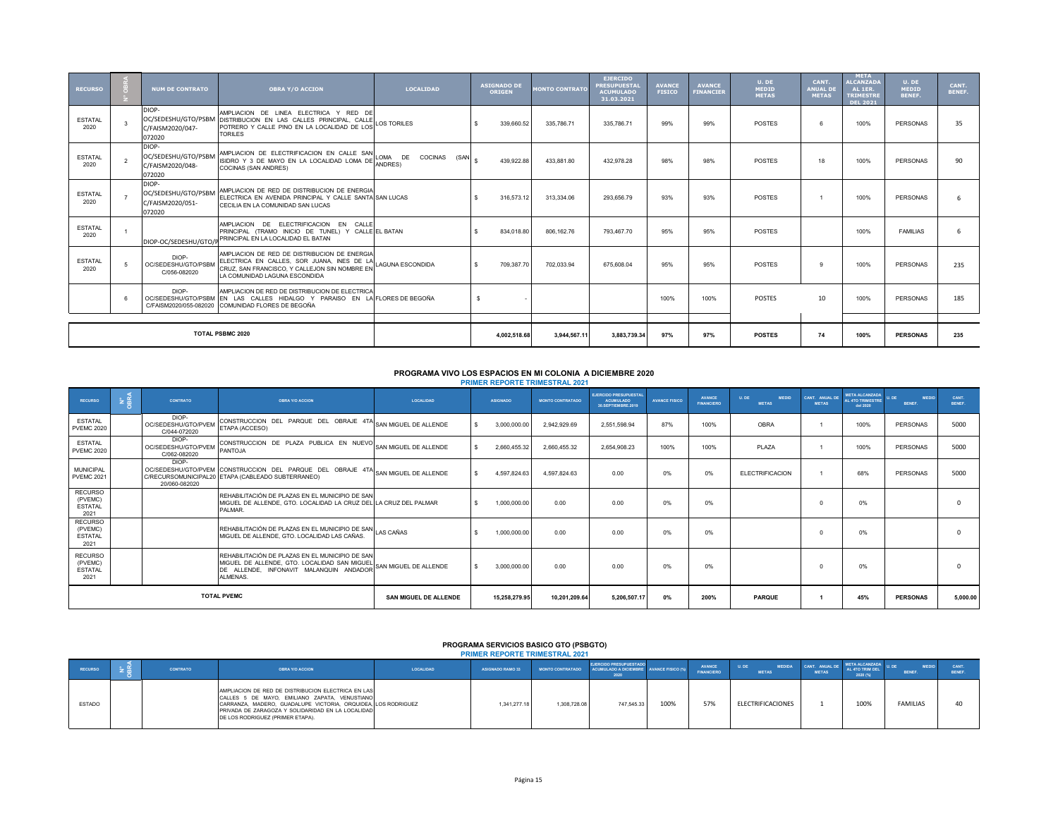| <b>RECURSO</b>         |                         | <b>NUM DE CONTRATO</b>                                     | <b>OBRA Y/O ACCION</b>                                                                                                                                             | <b>LOCALIDAD</b> | <b>ASIGNADO DE</b><br><b>ORIGEN</b> | <b>MONTO CONTRATO</b> | <b>EJERCIDO</b><br><b>PRESUPUESTAL</b><br><b>ACUMULADO</b><br>31.03.2021 | <b>AVANCE</b><br><b>FISICO</b> | <b>AVANCE</b><br><b>FINANCIER</b> | U. DE<br><b>MEDID</b><br><b>METAS</b> | CANT.<br><b>ANUAL DE</b><br><b>METAS</b> | <b>META</b><br><b>ALCANZADA</b><br>AL 1ER.<br><b>TRIMESTRE</b><br><b>DEL 2021</b> | U, DE<br><b>MEDID</b><br><b>BENEF.</b> | CANT.<br>BENEF. |
|------------------------|-------------------------|------------------------------------------------------------|--------------------------------------------------------------------------------------------------------------------------------------------------------------------|------------------|-------------------------------------|-----------------------|--------------------------------------------------------------------------|--------------------------------|-----------------------------------|---------------------------------------|------------------------------------------|-----------------------------------------------------------------------------------|----------------------------------------|-----------------|
| <b>ESTATAL</b><br>2020 |                         | DIOP-<br>OC/SEDESHU/GTO/PSBM<br>C/FAISM2020/047-<br>072020 | AMPLIACION DE LINEA ELECTRICA Y RED DE<br>DISTRIBUCION EN LAS CALLES PRINCIPAL, CALLE<br>POTRERO Y CALLE PINO EN LA LOCALIDAD DE LOS LOS TORILES<br><b>TORILES</b> |                  | 339.660.52                          | 335,786,71            | 335,786.71                                                               | 99%                            | 99%                               | <b>POSTES</b>                         |                                          | 100%                                                                              | PERSONAS                               | 35              |
| <b>ESTATAL</b><br>2020 |                         | DIOP-<br>OC/SEDESHU/GTO/PSBM<br>C/FAISM2020/048-<br>072020 | AMPLIACION DE ELECTRIFICACION EN CALLE SAN LOMA DE COCINAS (SAN $\vert$ \$<br>COCINAS (SAN ANDRES)                                                                 |                  | 439.922.88                          | 433.881.80            | 432.978.28                                                               | 98%                            | 98%                               | <b>POSTES</b>                         | 18                                       | 100%                                                                              | PERSONAS                               | 90              |
| <b>ESTATAL</b><br>2020 |                         | DIOP-<br>OC/SEDESHU/GTO/PSBM<br>C/FAISM2020/051-<br>072020 | AMPLIACION DE RED DE DISTRIBUCION DE ENERGIA<br>ELECTRICA EN AVENIDA PRINCIPAL Y CALLE SANTA SAN LUCAS<br>CECILIA EN LA COMUNIDAD SAN LUCAS                        |                  | 316.573.12                          | 313.334.06            | 293.656.79                                                               | 93%                            | 93%                               | <b>POSTES</b>                         |                                          | 100%                                                                              | PERSONAS                               |                 |
| <b>ESTATAL</b><br>2020 |                         | DIOP-OC/SEDESHU/GTO/                                       | AMPLIACION DE ELECTRIFICACION EN CALLE<br>PRINCIPAL (TRAMO INICIO DE TUNEL) Y CALLE EL BATAN<br>PRINCIPAL EN LA LOCALIDAD EL BATAN                                 |                  | 834.018.80                          | 806.162.76            | 793.467.70                                                               | 95%                            | 95%                               | <b>POSTES</b>                         |                                          | 100%                                                                              | <b>FAMILIAS</b>                        |                 |
| <b>ESTATAL</b><br>2020 |                         | DIOP-<br>OC/SEDESHU/GTO/PSBN<br>C/056-082020               | AMPLIACION DE RED DE DISTRIBUCION DE ENERGIA<br>ELECTRICA EN CALLES, SOR JUANA, INES DE LA LAGUNA ESCONDIDA<br>LA COMUNIDAD LAGUNA ESCONDIDA                       |                  | 709.387.70                          | 702.033.94            | 675,608.04                                                               | 95%                            | 95%                               | <b>POSTES</b>                         |                                          | 100%                                                                              | PERSONAS                               | 235             |
|                        |                         | DIOP-<br>OC/SEDESHU/GTO/PSBM                               | AMPLIACION DE RED DE DISTRIBUCION DE ELECTRICA<br>EN LAS CALLES HIDALGO Y PARAISO EN LA FLORES DE BEGOÑA<br>C/FAISM2020/055-082020 COMUNIDAD FLORES DE BEGOÑA      |                  |                                     |                       |                                                                          | 100%                           | 100%                              | <b>POSTES</b>                         | 10 <sup>1</sup>                          | 100%                                                                              | PERSONAS                               | 185             |
|                        |                         |                                                            |                                                                                                                                                                    |                  |                                     |                       |                                                                          |                                |                                   |                                       |                                          |                                                                                   |                                        |                 |
|                        | <b>TOTAL PSBMC 2020</b> |                                                            |                                                                                                                                                                    |                  | 4.002.518.68                        | 3.944.567.11          | 3.883.739.34                                                             | 97%                            | 97%                               | <b>POSTES</b>                         | 74                                       | 100%                                                                              | <b>PERSONAS</b>                        | 235             |

# **PROGRAMA VIVO LOS ESPACIOS EN MI COLONIA A DICIEMBRE 2020**

| <b>PRIMER REPORTE TRIMESTRAL 2021</b> |  |
|---------------------------------------|--|
|---------------------------------------|--|

| <b>RECURSO</b>                                      | $2\frac{R}{m}$ | <b>CONTRATO</b>                              | <b>OBRA Y/O ACCION</b>                                                                                                                                                       | LOCALIDAD                    | <b>ASIGNADO</b> | <b>MONTO CONTRATADO</b> | <b>EJERCIDO PRESUPUESTAI</b><br><b>ACUMULADO</b><br>30.SEPTIEMBRE.2019 | <b>AVANCE FISICO</b> | AVANCE<br><b>FINANCIFRO</b> | <b>ILDE</b><br><b>MEDID</b><br><b>METAS</b> | CANT. ANUAL DE<br><b>METAS</b> | <b>META ALCANZADA</b><br>AL 4TO TRIMESTRE<br>del 2020 | MEDID<br><b>RENFE</b> | CANT.<br><b>RENFE</b> |
|-----------------------------------------------------|----------------|----------------------------------------------|------------------------------------------------------------------------------------------------------------------------------------------------------------------------------|------------------------------|-----------------|-------------------------|------------------------------------------------------------------------|----------------------|-----------------------------|---------------------------------------------|--------------------------------|-------------------------------------------------------|-----------------------|-----------------------|
| <b>ESTATAL</b><br><b>PVEMC 2020</b>                 |                | DIOP-<br>OC/SEDESHU/GTO/PVEM<br>C/044-072020 | CONSTRUCCION DEL PARQUE DEL OBRAJE 4TA SAN MIGUEL DE ALLENDE<br>ETAPA (ACCESO)                                                                                               |                              | 3,000,000.00    | 2.942.929.69            | 2.551.598.94                                                           | 87%                  | 100%                        | OBRA                                        |                                | 100%                                                  | <b>PERSONAS</b>       | 5000                  |
| <b>ESTATAL</b><br><b>PVEMC 2020</b>                 |                | DIOP-<br>OC/SEDESHU/GTO/PVEM<br>C/062-082020 | CONSTRUCCION DE PLAZA PUBLICA EN NUEVO SAN MIGUEL DE ALLENDE<br><b>PANTOJA</b>                                                                                               |                              | 2.660.455.32    | 2.660.455.32            | 2.654.908.23                                                           | 100%                 | 100%                        | PI AZA                                      |                                | 100%                                                  | PERSONAS              | 5000                  |
| <b>MUNICIPAL</b><br><b>PVEMC 2021</b>               |                | DIOP-<br>20/060-082020                       | OC/SEDESHU/GTO/PVEM CONSTRUCCION DEL PARQUE DEL OBRAJE 4TA SAN MIGUEL DE ALLENDE<br>C/RECURSOMUNICIPAL20 ETAPA (CABLEADO SUBTERRANEO)                                        |                              | 4,597,824.63    | 4,597,824.63            | 0.00                                                                   | 0%                   | 0%                          | <b>ELECTRIFICACION</b>                      |                                | 68%                                                   | <b>PERSONAS</b>       | 5000                  |
| <b>RECURSO</b><br>(PVEMC)<br><b>ESTATAL</b><br>2021 |                |                                              | REHABILITACIÓN DE PLAZAS EN EL MUNICIPIO DE SAN<br>MIGUEL DE ALLENDE. GTO. LOCALIDAD LA CRUZ DEL LA CRUZ DEL PALMAR<br>PALMAR.                                               |                              | 1.000.000.00    | 0.00                    | 0.00                                                                   | 0%                   | 0%                          |                                             |                                | 0%                                                    |                       |                       |
| <b>RECURSO</b><br>(PVEMC)<br><b>ESTATAL</b><br>2021 |                |                                              | REHABILITACIÓN DE PLAZAS EN EL MUNICIPIO DE SAN LAS CAÑAS<br>MIGUEL DE ALLENDE. GTO. LOCALIDAD LAS CAÑAS.                                                                    |                              | 1.000.000.00    | 0.00                    | 0.00                                                                   | 0%                   | 0%                          |                                             |                                | 0%                                                    |                       |                       |
| <b>RECURSO</b><br>(PVEMC)<br><b>ESTATAL</b><br>2021 |                |                                              | REHABILITACIÓN DE PLAZAS EN EL MUNICIPIO DE SAN<br>MIGUEL DE ALLENDE, GTO. LOCALIDAD SAN MIGUEL SAN MIGUEL DE ALLENDE<br>DE ALLENDE. INFONAVIT MALANQUIN ANDADOR<br>ALMENAS. |                              | 3,000,000.00    | 0.00                    | 0.00                                                                   | 0%                   | 0%                          |                                             |                                | 0%                                                    |                       |                       |
|                                                     |                |                                              | <b>TOTAL PVEMC</b>                                                                                                                                                           | <b>SAN MIGUEL DE ALLENDE</b> | 15,258,279.95   | 10.201.209.64           | 5.206.507.17                                                           | 0%                   | 200%                        | <b>PARQUE</b>                               |                                | 45%                                                   | <b>PERSONAS</b>       | 5,000.00              |

# **PROGRAMA SERVICIOS BASICO GTO (PSBGTO) PRIMER REPORTE TRIMESTRAL 2021**

|               |                 |                                                                                                                                                                                                                                                               |           | , Indreso Inst. Vince Thirds Himself ave i |              |                                                                                           |      |                             |                                 |                                |                                                      |                      |  |
|---------------|-----------------|---------------------------------------------------------------------------------------------------------------------------------------------------------------------------------------------------------------------------------------------------------------|-----------|--------------------------------------------|--------------|-------------------------------------------------------------------------------------------|------|-----------------------------|---------------------------------|--------------------------------|------------------------------------------------------|----------------------|--|
| RECURSO       | <b>CONTRATO</b> | <b>OBRA Y/O ACCION</b>                                                                                                                                                                                                                                        | LOCALIDAD | <b>ASIGNADO RAMO 33</b>                    |              | <b>EJERCIDO PRESUPUESTADO</b><br>MONTO CONTRATADO ACUMULADO A DICIEMBRE AVANCE FISICO (%) |      | AVANCE<br><b>FINANCIERO</b> | MEDIDA<br>U. DE<br><b>METAS</b> | CANT. ANUAL DE<br><b>METAS</b> | <b>META ALCANZADA</b><br>AL 4TO TRIM DEL<br>2020 (%) | 法につい<br><b>BENEF</b> |  |
| <b>ESTADO</b> |                 | AMPLIACION DE RED DE DISTRIBUCION ELECTRICA EN LAS<br>CALLES 5 DE MAYO, EMILIANO ZAPATA, VENUSTIANO<br>CARRANZA, MADERO, GUADALUPE VICTORIA, ORQUIDEA, LOS RODRIGUEZ<br>PRIVADA DE ZARAGOZA Y SOLIDARIDAD EN LA LOCALIDAD<br>DE LOS RODRIGUEZ (PRIMER ETAPA). |           | 1.341.277.18                               | 1.308.728.08 | 747.545.33                                                                                | 100% | 57%                         | ELECTRIFICACIONES               |                                | 1009                                                 | <b>FAMILIAS</b>      |  |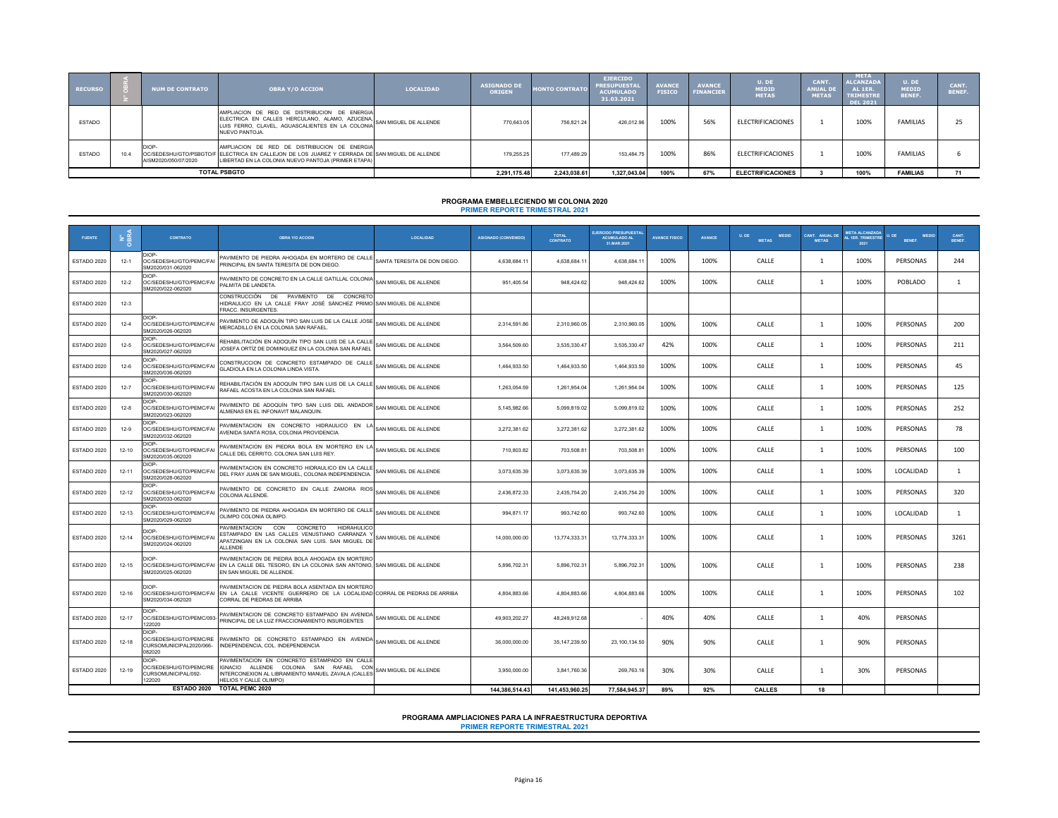| <b>RECURSO</b> | <b>INUM DE CONTRATO</b>       | <b>OBRA Y/O ACCION</b>                                                                                                                                                                                | <b>LOCALIDAD</b> | <b>ASIGNADO DE</b><br><b>ORIGEN</b> | <b>MONTO CONTRATO</b> | <b>EJERCIDO</b><br><b>PRESUPUESTAL</b><br><b>ACUMULADO</b><br>31.03.2021 | <b>AVANCE</b><br><b>FISICO</b> | <b>AVANCE</b><br><b>FINANCIER</b> | U. DE<br><b>MEDID</b><br><b>METAS</b> | CANT.<br><b>ANUAL DE</b><br><b>METAS</b> | <b>META</b><br><b>ALCANZADA</b><br>AL 1ER.<br><b>TRIMESTRE</b><br><b>DEL 2021</b> | U. DE<br>MEDID<br><b>BENEF.</b> | CANT.<br><b>BENEF</b> |
|----------------|-------------------------------|-------------------------------------------------------------------------------------------------------------------------------------------------------------------------------------------------------|------------------|-------------------------------------|-----------------------|--------------------------------------------------------------------------|--------------------------------|-----------------------------------|---------------------------------------|------------------------------------------|-----------------------------------------------------------------------------------|---------------------------------|-----------------------|
| <b>ESTADO</b>  |                               | AMPLIACION DE RED DE DISTRIBUCION DE ENERGIA<br>ELECTRICA EN CALLES HERCULANO, ALAMO, AZUCENA, SAN MIGUEL DE ALLENDE<br>NUEVO PANTOJA.                                                                |                  | 770.643.05                          | 756.821.24            | 426,012.96                                                               | 100%                           | 56%                               | ELECTRIFICACIONES                     |                                          | 100%                                                                              | <b>FAMILIAS</b>                 |                       |
| <b>ESTADO</b>  | DIOP-<br>AISM2020/050/07/2020 | AMPLIACION DE RED DE DISTRIBUCION DE ENERGIA<br>OC/SEDESHU/GTO/PSBGTO/F ELECTRICA EN CALLEJON DE LOS JUAREZ Y CERRADA DE SAN MIGUEL DE ALLENDE<br>LIBERTAD EN LA COLONIA NUEVO PANTOJA (PRIMER ETAPA) |                  | 179.255.25                          | 177,489.29            | 153,484.75                                                               | 100%                           | 86%                               | ELECTRIFICACIONES                     |                                          | 100%                                                                              | <b>FAMILIAS</b>                 |                       |
|                |                               | <b>TOTAL PSBGTO</b>                                                                                                                                                                                   |                  | 2.291.175.48                        | 2.243.038.61          | 1,327,043.04                                                             | 100%                           | 67%                               | <b>ELECTRIFICACIONES</b>              |                                          | 100%                                                                              | <b>FAMILIAS</b>                 |                       |

### **PRIMER REPORTE TRIMESTRAL 2021 PROGRAMA EMBELLECIENDO MI COLONIA 2020**

| <b>FUENTE</b> | $rac{1}{2}$ | <b>CONTRATO</b>                                                      | <b>OBRA Y/O ACCION</b>                                                                                                                                                                       | <b>LOCALIDAD</b>      | <b>ASIGNADO (CONVENIDO)</b> | TOTAL<br><b>CONTRATO</b> | <b>JERCIDO PRESUPUESTA</b><br><b>ACUMULADO AL</b><br>31.MAR.2021 | <b>AVANCE FISICO</b> | <b>AVANCE</b> | U.DE<br><b>MEDID</b><br><b>METAS</b> | CANT ANIIAI DE<br><b>METAS</b> | <b>META ALCANZADA</b><br>AL 1ER. TRIMESTRI<br>2021 | <b>I</b> DF<br><b>MEDI</b><br><b>BENEF</b> | CANT.<br>BENEF. |
|---------------|-------------|----------------------------------------------------------------------|----------------------------------------------------------------------------------------------------------------------------------------------------------------------------------------------|-----------------------|-----------------------------|--------------------------|------------------------------------------------------------------|----------------------|---------------|--------------------------------------|--------------------------------|----------------------------------------------------|--------------------------------------------|-----------------|
| ESTADO 2020   | $12-1$      | DIOP-<br>OC/SEDESHU/GTO/PEMC/FAI<br>SM2020/031-062020                | PAVIMENTO DE PIEDRA AHOGADA EN MORTERO DE CALLE SANTA TERESITA DE DON DIEGO.<br>PRINCIPAL EN SANTA TERESITA DE DON DIEGO.                                                                    |                       | 4,638,684.11                | 4,638,684.1              | 4,638,684.1                                                      | 100%                 | 100%          | CALLE                                | $\mathbf{1}$                   | 100%                                               | PERSONAS                                   | 244             |
| ESTADO 2020   | $12 - 2$    | DIOP-<br>OC/SEDESHU/GTO/PEMC/FAI<br>SM2020/022-062020                | PAVIMENTO DE CONCRETO EN LA CALLE GATILLAL COLONIA SAN MIGUEL DE ALLENDE<br>PALMITA DE LANDETA.                                                                                              |                       | 951.405.54                  | 948.424.62               | 948.424.62                                                       | 100%                 | 100%          | CALLE                                | $\mathbf{1}$                   | 100%                                               | POBLADO                                    | $\mathbf{1}$    |
| ESTADO 2020   | $12 - 3$    |                                                                      | CONSTRUCCIÓN DE PAVIMENTO DE CONCRETO<br>HIDRAULICO EN LA CALLE FRAY JOSÉ SÁNCHEZ PRIMO SAN MIGUEL DE ALLENDE<br>FRACC. INSURGENTES.                                                         |                       |                             |                          |                                                                  |                      |               |                                      |                                |                                                    |                                            |                 |
| ESTADO 2020   | $12-4$      | DIOP-<br>OC/SEDESHU/GTO/PEMC/FAI<br>SM2020/026-062020                | PAVIMENTO DE ADOQUÍN TIPO SAN LUIS DE LA CALLE JOSE SAN MIGUEL DE ALLENDE<br>MERCADILLO EN LA COLONIA SAN RAFAEL                                                                             |                       | 2,314,591.86                | 2,310,960.05             | 2,310,960.05                                                     | 100%                 | 100%          | CALLE                                | $\mathbf{1}$                   | 100%                                               | PERSONAS                                   | 200             |
| ESTADO 2020   | $12 - 5$    | DIOP-<br>OC/SEDESHU/GTO/PEMC/FAI<br>SM2020/027-062020                | REHABILITACIÓN EN ADOQUÍN TIPO SAN LUIS DE LA CALLE<br>JOSEFA ORTÍZ DE DOMINGUEZ EN LA COLONIA SAN RAFAEL                                                                                    | SAN MIGUEL DE ALLENDE | 3,564,509.60                | 3.535.330.47             | 3,535,330.47                                                     | 42%                  | 100%          | CALLE                                | $\mathbf{1}$                   | 100%                                               | PERSONAS                                   | 211             |
| ESTADO 2020   | $12-6$      | DIOP-<br>OC/SEDESHU/GTO/PEMC/FAI<br>SM2020/036-062020                | CONSTRUCCION DE CONCRETO ESTAMPADO DE CALLE<br>GLADIOLA EN LA COLONIA LINDA VISTA.                                                                                                           | SAN MIGUEL DE ALLENDE | 1,464,933.50                | 1,464,933.50             | 1,464,933.50                                                     | 100%                 | 100%          | CALLE                                | $\overline{1}$                 | 100%                                               | PERSONAS                                   | 45              |
| ESTADO 2020   | $12 - 7$    | DIOP-<br>OC/SEDESHU/GTO/PEMC/FAI<br>SM2020/030-062020                | REHABILITACIÓN EN ADOQUÍN TIPO SAN LUIS DE LA CALLE SAN MIGUEL DE ALLENDE<br>RAFAEL ACOSTA EN LA COLONIA SAN RAFAEL                                                                          |                       | 1,263,054.59                | 1,261,954.04             | 1,261,954.04                                                     | 100%                 | 100%          | CALLE                                | $\mathbf{1}$                   | 100%                                               | PERSONAS                                   | 125             |
| ESTADO 2020   | $12 - 8$    | DIOP-<br>OC/SEDESHU/GTO/PEMC/FAI<br>SM2020/023-062020                | PAVIMENTO DE ADOQUÍN TIPO SAN LUIS DEL ANDADOR SAN MIGUEL DE ALLENDE<br>ALMENAS EN EL INFONAVIT MALANQUIN                                                                                    |                       | 5,145,982.66                | 5,099,819.02             | 5,099,819.02                                                     | 100%                 | 100%          | CALLE                                | $\overline{1}$                 | 100%                                               | PERSONAS                                   | 252             |
| ESTADO 2020   | $12-9$      | DIOP-<br>OC/SEDESHU/GTO/PEMC/FAI<br>SM2020/032-062020                | PAVIMENTACION EN CONCRETO HIDRAULICO EN LA SAN MIGUEL DE ALLENDE<br>AVENIDA SANTA ROSA, COLONIA PROVIDENCIA                                                                                  |                       | 3,272,381.62                | 3,272,381.62             | 3,272,381.62                                                     | 100%                 | 100%          | CALLE                                | $\mathbf{1}$                   | 100%                                               | PERSONAS                                   | 78              |
| ESTADO 2020   | $12 - 10$   | DIOP-<br>OC/SEDESHU/GTO/PEMC/FAI<br>SM2020/035-062020                | PAVIMENTACION EN PIEDRA BOLA EN MORTERO EN LA SAN MIGUEL DE ALLENDE<br>CALLE DEL CERRITO, COLONIA SAN LUIS REY.                                                                              |                       | 710.803.82                  | 703.508.81               | 703.508.81                                                       | 100%                 | 100%          | CALLE                                | $\mathbf{1}$                   | 100%                                               | PERSONAS                                   | 100             |
| ESTADO 2020   | $12 - 11$   | DIOP-<br>OC/SEDESHU/GTO/PEMC/FAI<br>SM2020/028-062020                | PAVIMENTACION EN CONCRETO HIDRAULICO EN LA CALLE<br>DEL FRAY JUAN DE SAN MIGUEL. COLONIA INDEPENDENCIA                                                                                       | SAN MIGUEL DE ALLENDE | 3,073,635.39                | 3,073,635.39             | 3,073,635.39                                                     | 100%                 | 100%          | CALLE                                | $\mathbf{1}$                   | 100%                                               | LOCALIDAD                                  | $\mathbf{1}$    |
| ESTADO 2020   | $12 - 12$   | DIOP-<br>OC/SEDESHU/GTO/PEMC/FAI<br>SM2020/033-062020                | PAVIMENTO DE CONCRETO EN CALLE ZAMORA RIOS SAN MIGUEL DE ALLENDE<br>COLONIA ALLENDE.                                                                                                         |                       | 2,436,872.33                | 2,435,754.20             | 2,435,754.20                                                     | 100%                 | 100%          | CALLE                                | $\mathbf{1}$                   | 100%                                               | PERSONAS                                   | 320             |
| ESTADO 2020   | $12 - 13$   | DIOP-<br>OC/SEDESHU/GTO/PEMC/FAI<br>SM2020/029-062020                | PAVIMENTO DE PIEDRA AHOGADA EN MORTERO DE CALLE SAN MIGUEL DE ALLENDE<br>OLIMPO COLONIA OLIMPO.                                                                                              |                       | 994.871.17                  | 993,742.60               | 993.742.60                                                       | 100%                 | 100%          | CALLE                                | $\mathbf{1}$                   | 100%                                               | LOCALIDAD                                  | $\mathbf{1}$    |
| ESTADO 2020   | $12 - 14$   | DIOP-<br>OC/SEDESHU/GTO/PEMC/FAI<br>SM2020/024-062020                | PAVIMENTACION CON<br>CONCRETO<br>HIDRAHULICO<br>ESTAMPADO EN LAS CALLES VENUSTIANO CARRANZA Y<br>APATZINGAN EN LA COLONIA SAN LUIS. SAN MIGUEL DE<br>ALLENDE                                 | SAN MIGUEL DE ALLENDE | 14,000,000.00               | 13,774,333.31            | 13,774,333.31                                                    | 100%                 | 100%          | CALLE                                | $\overline{1}$                 | 100%                                               | PERSONAS                                   | 3261            |
| ESTADO 2020   | $12 - 15$   | DIOP-<br>OC/SEDESHU/GTO/PEMC/FAI<br>SM2020/025-062020                | PAVIMENTACION DE PIEDRA BOLA AHOGADA EN MORTERO<br>EN LA CALLE DEL TESORO. EN LA COLONIA SAN ANTONIO. SAN MIGUEL DE ALLENDE<br>EN SAN MIGUEL DE ALLENDE.                                     |                       | 5.896.702.31                | 5.896.702.31             | 5.896.702.31                                                     | 100%                 | 100%          | CALLE                                | $\mathbf{1}$                   | 100%                                               | PERSONAS                                   | 238             |
| ESTADO 2020   | $12 - 16$   | IOP-<br>OC/SEDESHU/GTO/PEMC/FAI<br>SM2020/034-062020                 | PAVIMENTACION DE PIEDRA BOLA ASENTADA EN MORTERO<br>EN LA CALLE VICENTE GUERRERO DE LA LOCALIDAD CORRAL DE PIEDRAS DE ARRIBA<br>CORRAL DE PIEDRAS DE ARRIBA                                  |                       | 4.804.883.66                | 4.804.883.66             | 4.804.883.66                                                     | 100%                 | 100%          | CALLE                                | $\overline{1}$                 | 100%                                               | PERSONAS                                   | 102             |
| ESTADO 2020   | $12 - 17$   | DIOP-<br>OC/SEDESHU/GTO/PEMC/093<br>122020                           | PAVIMENTACION DE CONCRETO ESTAMPADO EN AVENIDA<br>PRINCIPAL DE LA LUZ FRACCIONAMIENTO INSURGENTES                                                                                            | SAN MIGUEL DE ALLENDE | 49.903.202.27               | 48.249.912.68            |                                                                  | 40%                  | 40%           | CALLE                                | $\mathbf{1}$                   | 40%                                                | PERSONAS                                   |                 |
| ESTADO 2020   | $12 - 18$   | DIOP-<br>OC/SEDESHU/GTO/PEMC/RE<br>CURSOMUNICIPAL2020/066-<br>082020 | PAVIMENTO DE CONCRETO ESTAMPADO EN AVENIDA SAN MIGUEL DE ALLENDE<br>INDEPENDENCIA, COL. INDEPENDENCIA                                                                                        |                       | 36,000,000.00               | 35, 147, 239.50          | 23,100,134.50                                                    | 90%                  | 90%           | CALLE                                | 1                              | 90%                                                | PERSONAS                                   |                 |
| ESTADO 2020   | 12-19       | DIOP-<br>OC/SEDESHU/GTO/PEMC/RE<br>CURSOMUNICIPAL/092-<br>122020     | PAVIMENTACION EN CONCRETO ESTAMPADO EN CALLE<br>IGNACIO ALLENDE COLONIA SAN RAFAEL CON<br>INTERCONEXION AL LIBRAMIENTO MANUEL ZAVALA (CALLES SAN MIGUEL DE ALLENDE<br>HELIOS Y CALLE OLIMPO) |                       | 3,950,000.00                | 3.841.760.36             | 269.763.16                                                       | 30%                  | 30%           | CALLE                                | $\mathbf{1}$                   | 30%                                                | PERSONAS                                   |                 |
|               |             |                                                                      | ESTADO 2020 TOTAL PEMC 2020                                                                                                                                                                  |                       | 144.386.514.43              | 141.453.960.25           | 77.584.945.37                                                    | 89%                  | 92%           | <b>CALLES</b>                        | 18                             |                                                    |                                            |                 |

**PROGRAMA AMPLIACIONES PARA LA INFRAESTRUCTURA DEPORTIVA PRIMER REPORTE TRIMESTRAL 2021**